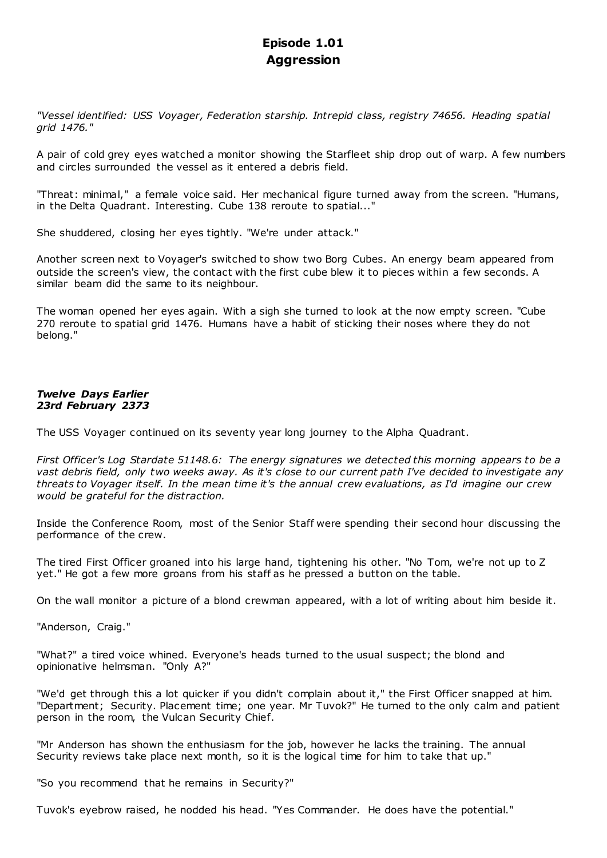# **Episode 1.01 Aggression**

*"Vessel identified: USS Voyager, Federation starship. Intrepid class, registry 74656. Heading spatial grid 1476."*

A pair of cold grey eyes watched a monitor showing the Starfleet ship drop out of warp. A few numbers and circles surrounded the vessel as it entered a debris field.

"Threat: minimal," a female voice said. Her mechanical figure turned away from the screen. "Humans, in the Delta Quadrant. Interesting. Cube 138 reroute to spatial..."

She shuddered, closing her eyes tightly. "We're under attack."

Another screen next to Voyager's switched to show two Borg Cubes. An energy beam appeared from outside the screen's view, the contact with the first cube blew it to pieces within a few seconds. A similar beam did the same to its neighbour.

The woman opened her eyes again. With a sigh she turned to look at the now empty screen. "Cube 270 reroute to spatial grid 1476. Humans have a habit of sticking their noses where they do not belong."

# *Twelve Days Earlier 23rd February 2373*

The USS Voyager continued on its seventy year long journey to the Alpha Quadrant.

*First Officer's Log Stardate 51148.6: The energy signatures we detected this morning appears to be a vast debris field, only two weeks away. As it's close to our current path I've decided to investigate any threats to Voyager itself. In the mean time it's the annual crew evaluations, as I'd imagine our crew would be grateful for the distraction.*

Inside the Conference Room, most of the Senior Staff were spending their second hour discussing the performance of the crew.

The tired First Officer groaned into his large hand, tightening his other. "No Tom, we're not up to Z yet." He got a few more groans from his staff as he pressed a button on the table.

On the wall monitor a picture of a blond crewman appeared, with a lot of writing about him beside it.

"Anderson, Craig."

"What?" a tired voice whined. Everyone's heads turned to the usual suspect; the blond and opinionative helmsman. "Only A?"

"We'd get through this a lot quicker if you didn't complain about it," the First Officer snapped at him. "Department; Security. Placement time; one year. Mr Tuvok?" He turned to the only calm and patient person in the room, the Vulcan Security Chief.

"Mr Anderson has shown the enthusiasm for the job, however he lacks the training. The annual Security reviews take place next month, so it is the logical time for him to take that up."

"So you recommend that he remains in Security?"

Tuvok's eyebrow raised, he nodded his head. "Yes Commander. He does have the potential."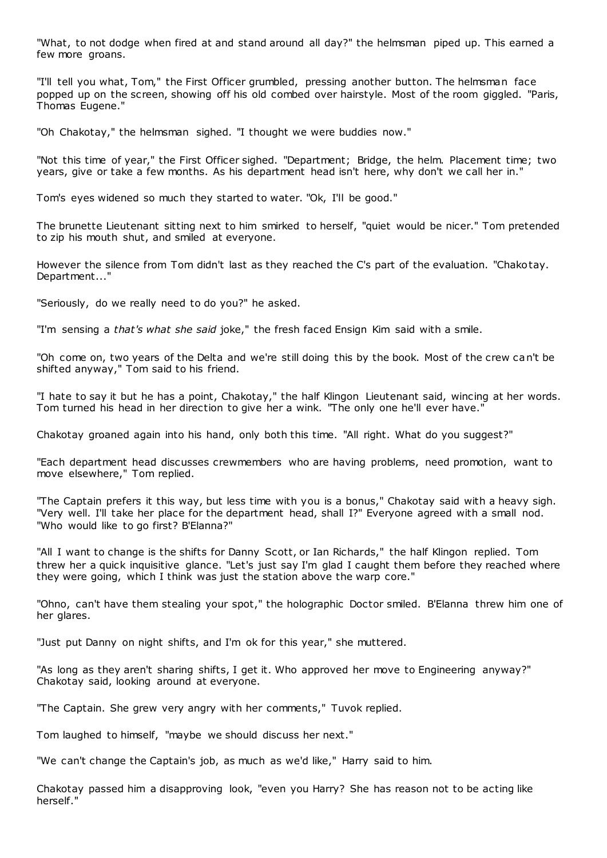"What, to not dodge when fired at and stand around all day?" the helmsman piped up. This earned a few more groans.

"I'll tell you what, Tom," the First Officer grumbled, pressing another button. The helmsman face popped up on the screen, showing off his old combed over hairstyle. Most of the room giggled. "Paris, Thomas Eugene."

"Oh Chakotay," the helmsman sighed. "I thought we were buddies now."

"Not this time of year," the First Officer sighed. "Department; Bridge, the helm. Placement time; two years, give or take a few months. As his department head isn't here, why don't we call her in."

Tom's eyes widened so much they started to water. "Ok, I'll be good."

The brunette Lieutenant sitting next to him smirked to herself, "quiet would be nicer." Tom pretended to zip his mouth shut, and smiled at everyone.

However the silence from Tom didn't last as they reached the C's part of the evaluation. "Chakotay. Department..."

"Seriously, do we really need to do you?" he asked.

"I'm sensing a *that's what she said* joke," the fresh faced Ensign Kim said with a smile.

"Oh come on, two years of the Delta and we're still doing this by the book. Most of the crew can't be shifted anyway," Tom said to his friend.

"I hate to say it but he has a point, Chakotay," the half Klingon Lieutenant said, wincing at her words. Tom turned his head in her direction to give her a wink. "The only one he'll ever have."

Chakotay groaned again into his hand, only both this time. "All right. What do you suggest?"

"Each department head discusses crewmembers who are having problems, need promotion, want to move elsewhere," Tom replied.

"The Captain prefers it this way, but less time with you is a bonus," Chakotay said with a heavy sigh. "Very well. I'll take her place for the department head, shall I?" Everyone agreed with a small nod. "Who would like to go first? B'Elanna?"

"All I want to change is the shifts for Danny Scott, or Ian Richards," the half Klingon replied. Tom threw her a quick inquisitive glance. "Let's just say I'm glad I caught them before they reached where they were going, which I think was just the station above the warp core."

"Ohno, can't have them stealing your spot," the holographic Doctor smiled. B'Elanna threw him one of her glares.

"Just put Danny on night shifts, and I'm ok for this year," she muttered.

"As long as they aren't sharing shifts, I get it. Who approved her move to Engineering anyway?" Chakotay said, looking around at everyone.

"The Captain. She grew very angry with her comments," Tuvok replied.

Tom laughed to himself, "maybe we should discuss her next."

"We can't change the Captain's job, as much as we'd like," Harry said to him.

Chakotay passed him a disapproving look, "even you Harry? She has reason not to be acting like herself."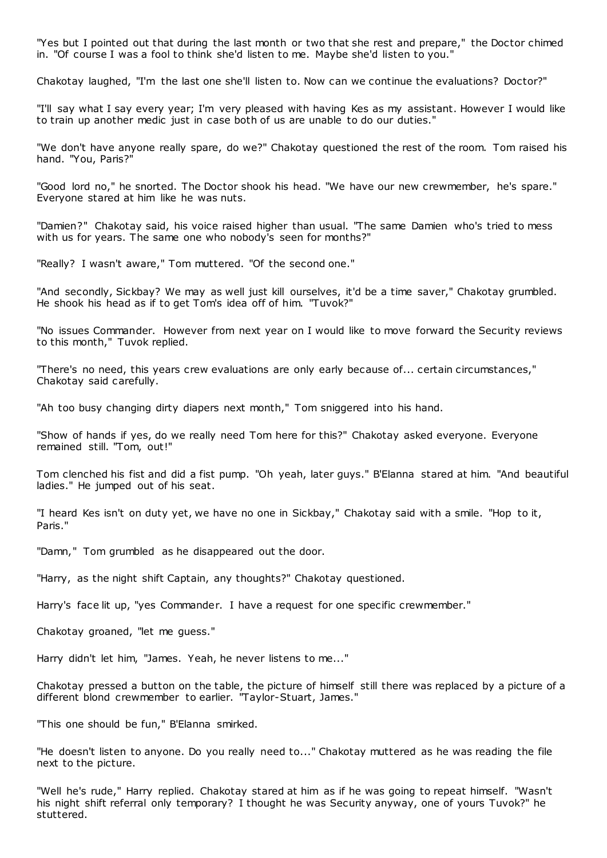"Yes but I pointed out that during the last month or two that she rest and prepare," the Doctor chimed in. "Of course I was a fool to think she'd listen to me. Maybe she'd listen to you."

Chakotay laughed, "I'm the last one she'll listen to. Now can we continue the evaluations? Doctor?"

"I'll say what I say every year; I'm very pleased with having Kes as my assistant. However I would like to train up another medic just in case both of us are unable to do our duties."

"We don't have anyone really spare, do we?" Chakotay questioned the rest of the room. Tom raised his hand. "You, Paris?"

"Good lord no," he snorted. The Doctor shook his head. "We have our new crewmember, he's spare." Everyone stared at him like he was nuts.

"Damien?" Chakotay said, his voice raised higher than usual. "The same Damien who's tried to mess with us for years. The same one who nobody's seen for months?"

"Really? I wasn't aware," Tom muttered. "Of the second one."

"And secondly, Sickbay? We may as well just kill ourselves, it'd be a time saver," Chakotay grumbled. He shook his head as if to get Tom's idea off of him. "Tuvok?"

"No issues Commander. However from next year on I would like to move forward the Security reviews to this month," Tuvok replied.

"There's no need, this years crew evaluations are only early because of... certain circumstances," Chakotay said carefully.

"Ah too busy changing dirty diapers next month," Tom sniggered into his hand.

"Show of hands if yes, do we really need Tom here for this?" Chakotay asked everyone. Everyone remained still. "Tom, out!"

Tom clenched his fist and did a fist pump. "Oh yeah, later guys." B'Elanna stared at him. "And beautiful ladies." He jumped out of his seat.

"I heard Kes isn't on duty yet, we have no one in Sickbay," Chakotay said with a smile. "Hop to it, Paris."

"Damn," Tom grumbled as he disappeared out the door.

"Harry, as the night shift Captain, any thoughts?" Chakotay questioned.

Harry's face lit up, "yes Commander. I have a request for one specific crewmember."

Chakotay groaned, "let me guess."

Harry didn't let him, "James. Yeah, he never listens to me..."

Chakotay pressed a button on the table, the picture of himself still there was replaced by a picture of a different blond crewmember to earlier. "Taylor-Stuart, James."

"This one should be fun," B'Elanna smirked.

"He doesn't listen to anyone. Do you really need to..." Chakotay muttered as he was reading the file next to the picture.

"Well he's rude," Harry replied. Chakotay stared at him as if he was going to repeat himself. "Wasn't his night shift referral only temporary? I thought he was Security anyway, one of yours Tuvok?" he stuttered.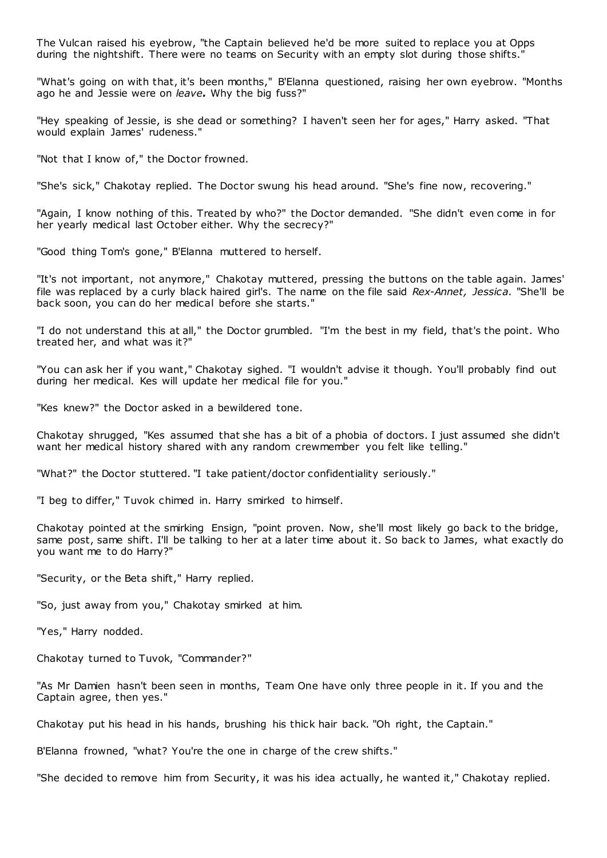The Vulcan raised his eyebrow, "the Captain believed he'd be more suited to replace you at Opps during the nightshift. There were no teams on Security with an empty slot during those shifts."

"What's going on with that, it's been months," B'Elanna questioned, raising her own eyebrow. "Months ago he and Jessie were on *leave.* Why the big fuss?"

"Hey speaking of Jessie, is she dead or something? I haven't seen her for ages," Harry asked. "That would explain James' rudeness."

"Not that I know of," the Doctor frowned.

"She's sick," Chakotay replied. The Doctor swung his head around. "She's fine now, recovering."

"Again, I know nothing of this. Treated by who?" the Doctor demanded. "She didn't even come in for her yearly medical last October either. Why the secrecy?"

"Good thing Tom's gone," B'Elanna muttered to herself.

"It's not important, not anymore," Chakotay muttered, pressing the buttons on the table again. James' file was replaced by a curly black haired girl's. The name on the file said *Rex-Annet, Jessica.* "She'll be back soon, you can do her medical before she starts."

"I do not understand this at all," the Doctor grumbled. "I'm the best in my field, that's the point. Who treated her, and what was it?"

"You can ask her if you want," Chakotay sighed. "I wouldn't advise it though. You'll probably find out during her medical. Kes will update her medical file for you."

"Kes knew?" the Doctor asked in a bewildered tone.

Chakotay shrugged, "Kes assumed that she has a bit of a phobia of doctors. I just assumed she didn't want her medical history shared with any random crewmember you felt like telling."

"What?" the Doctor stuttered. "I take patient/doctor confidentiality seriously."

"I beg to differ," Tuvok chimed in. Harry smirked to himself.

Chakotay pointed at the smirking Ensign, "point proven. Now, she'll most likely go back to the bridge, same post, same shift. I'll be talking to her at a later time about it. So back to James, what exactly do you want me to do Harry?"

"Security, or the Beta shift," Harry replied.

"So, just away from you," Chakotay smirked at him.

"Yes," Harry nodded.

Chakotay turned to Tuvok, "Commander?"

"As Mr Damien hasn't been seen in months, Team One have only three people in it. If you and the Captain agree, then yes."

Chakotay put his head in his hands, brushing his thick hair back. "Oh right, the Captain."

B'Elanna frowned, "what? You're the one in charge of the crew shifts."

"She decided to remove him from Security, it was his idea actually, he wanted it," Chakotay replied.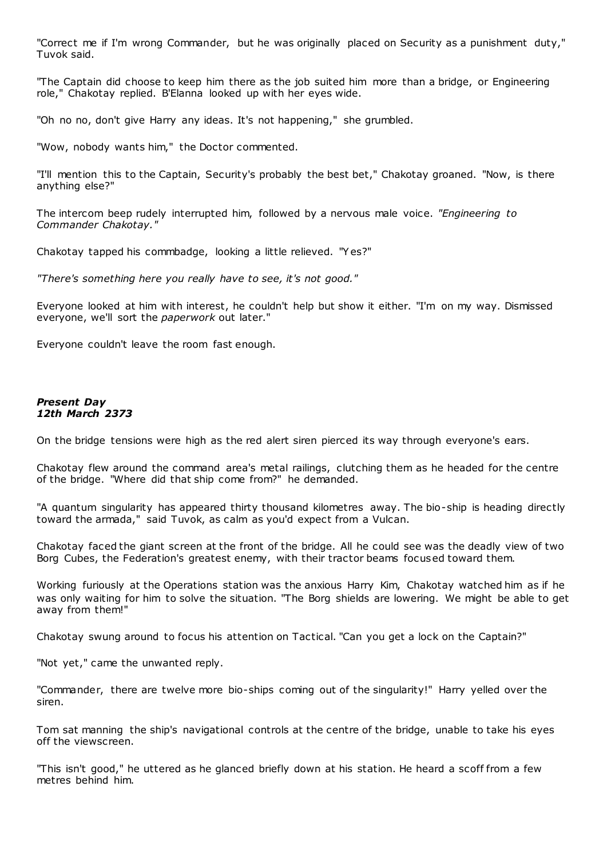"Correct me if I'm wrong Commander, but he was originally placed on Security as a punishment duty," Tuvok said.

"The Captain did choose to keep him there as the job suited him more than a bridge, or Engineering role," Chakotay replied. B'Elanna looked up with her eyes wide.

"Oh no no, don't give Harry any ideas. It's not happening," she grumbled.

"Wow, nobody wants him," the Doctor commented.

"I'll mention this to the Captain, Security's probably the best bet," Chakotay groaned. "Now, is there anything else?"

The intercom beep rudely interrupted him, followed by a nervous male voice. *"Engineering to Commander Chakotay."*

Chakotay tapped his commbadge, looking a little relieved. "Y es?"

*"There's something here you really have to see, it's not good."*

Everyone looked at him with interest, he couldn't help but show it either. "I'm on my way. Dismissed everyone, we'll sort the *paperwork* out later."

Everyone couldn't leave the room fast enough.

# *Present Day 12th March 2373*

On the bridge tensions were high as the red alert siren pierced its way through everyone's ears.

Chakotay flew around the command area's metal railings, clutching them as he headed for the centre of the bridge. "Where did that ship come from?" he demanded.

"A quantum singularity has appeared thirty thousand kilometres away. The bio-ship is heading directly toward the armada," said Tuvok, as calm as you'd expect from a Vulcan.

Chakotay faced the giant screen at the front of the bridge. All he could see was the deadly view of two Borg Cubes, the Federation's greatest enemy, with their tractor beams focused toward them.

Working furiously at the Operations station was the anxious Harry Kim, Chakotay watched him as if he was only waiting for him to solve the situation. "The Borg shields are lowering. We might be able to get away from them!"

Chakotay swung around to focus his attention on Tactical. "Can you get a lock on the Captain?"

"Not yet," came the unwanted reply.

"Commander, there are twelve more bio-ships coming out of the singularity!" Harry yelled over the siren.

Tom sat manning the ship's navigational controls at the centre of the bridge, unable to take his eyes off the viewscreen.

"This isn't good," he uttered as he glanced briefly down at his station. He heard a scoff from a few metres behind him.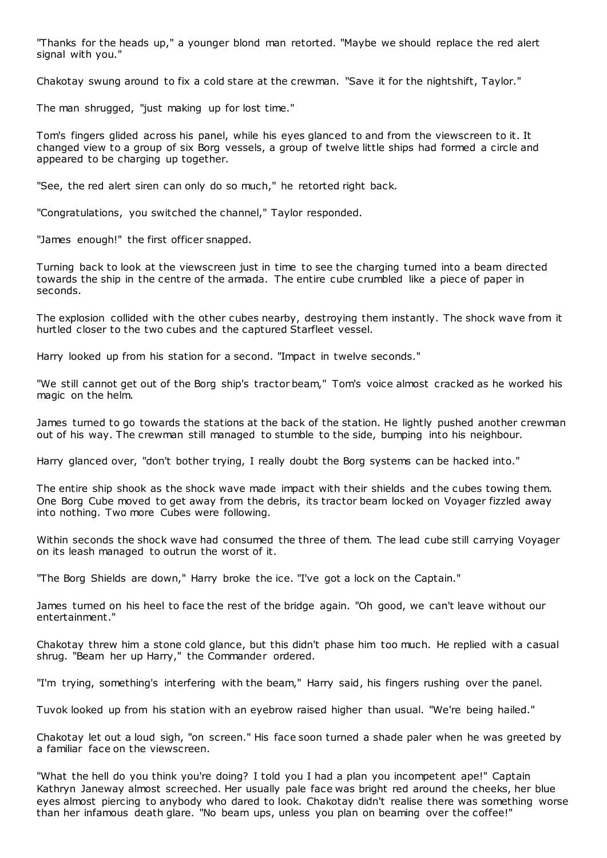"Thanks for the heads up," a younger blond man retorted. "Maybe we should replace the red alert signal with you."

Chakotay swung around to fix a cold stare at the crewman. "Save it for the nightshift, Taylor."

The man shrugged, "just making up for lost time."

Tom's fingers glided across his panel, while his eyes glanced to and from the viewscreen to it. It changed view to a group of six Borg vessels, a group of twelve little ships had formed a circle and appeared to be charging up together.

"See, the red alert siren can only do so much," he retorted right back.

"Congratulations, you switched the channel," Taylor responded.

"James enough!" the first officer snapped.

Turning back to look at the viewscreen just in time to see the charging turned into a beam directed towards the ship in the centre of the armada. The entire cube crumbled like a piece of paper in seconds.

The explosion collided with the other cubes nearby, destroying them instantly. The shock wave from it hurtled closer to the two cubes and the captured Starfleet vessel.

Harry looked up from his station for a second. "Impact in twelve seconds."

"We still cannot get out of the Borg ship's tractor beam," Tom's voice almost cracked as he worked his magic on the helm.

James turned to go towards the stations at the back of the station. He lightly pushed another crewman out of his way. The crewman still managed to stumble to the side, bumping into his neighbour.

Harry glanced over, "don't bother trying, I really doubt the Borg systems can be hacked into."

The entire ship shook as the shock wave made impact with their shields and the cubes towing them. One Borg Cube moved to get away from the debris, its tractor beam locked on Voyager fizzled away into nothing. Two more Cubes were following.

Within seconds the shock wave had consumed the three of them. The lead cube still carrying Voyager on its leash managed to outrun the worst of it.

"The Borg Shields are down," Harry broke the ice. "I've got a lock on the Captain."

James turned on his heel to face the rest of the bridge again. "Oh good, we can't leave without our entertainment."

Chakotay threw him a stone cold glance, but this didn't phase him too much. He replied with a casual shrug. "Beam her up Harry," the Commander ordered.

"I'm trying, something's interfering with the beam," Harry said, his fingers rushing over the panel.

Tuvok looked up from his station with an eyebrow raised higher than usual. "We're being hailed."

Chakotay let out a loud sigh, "on screen." His face soon turned a shade paler when he was greeted by a familiar face on the viewscreen.

"What the hell do you think you're doing? I told you I had a plan you incompetent ape!" Captain Kathryn Janeway almost screeched. Her usually pale face was bright red around the cheeks, her blue eyes almost piercing to anybody who dared to look. Chakotay didn't realise there was something worse than her infamous death glare. "No beam ups, unless you plan on beaming over the coffee!"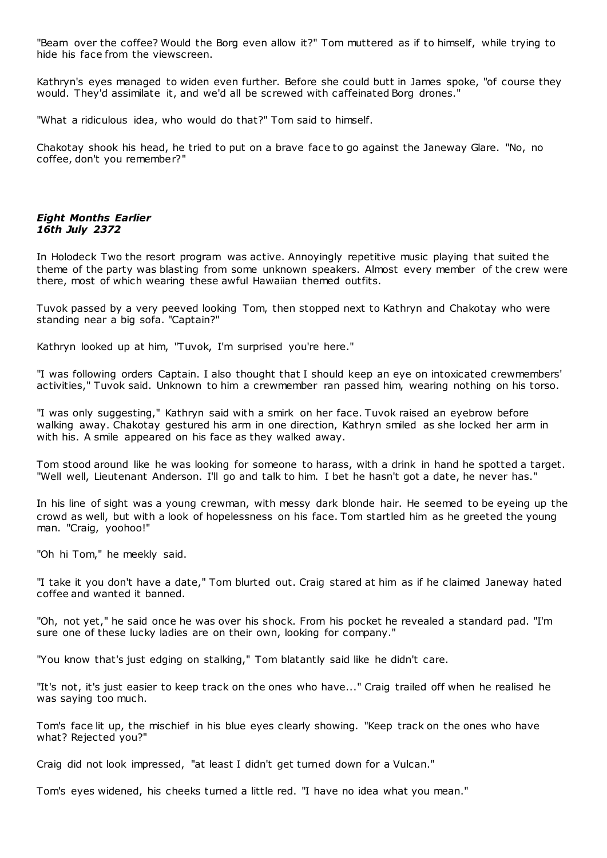"Beam over the coffee? Would the Borg even allow it?" Tom muttered as if to himself, while trying to hide his face from the viewscreen.

Kathryn's eyes managed to widen even further. Before she could butt in James spoke, "of course they would. They'd assimilate it, and we'd all be screwed with caffeinated Borg drones."

"What a ridiculous idea, who would do that?" Tom said to himself.

Chakotay shook his head, he tried to put on a brave face to go against the Janeway Glare. "No, no coffee, don't you remember?"

# *Eight Months Earlier 16th July 2372*

In Holodeck Two the resort program was active. Annoyingly repetitive music playing that suited the theme of the party was blasting from some unknown speakers. Almost every member of the crew were there, most of which wearing these awful Hawaiian themed outfits.

Tuvok passed by a very peeved looking Tom, then stopped next to Kathryn and Chakotay who were standing near a big sofa. "Captain?"

Kathryn looked up at him, "Tuvok, I'm surprised you're here."

"I was following orders Captain. I also thought that I should keep an eye on intoxicated crewmembers' activities," Tuvok said. Unknown to him a crewmember ran passed him, wearing nothing on his torso.

"I was only suggesting," Kathryn said with a smirk on her face. Tuvok raised an eyebrow before walking away. Chakotay gestured his arm in one direction, Kathryn smiled as she locked her arm in with his. A smile appeared on his face as they walked away.

Tom stood around like he was looking for someone to harass, with a drink in hand he spotted a target. "Well well, Lieutenant Anderson. I'll go and talk to him. I bet he hasn't got a date, he never has."

In his line of sight was a young crewman, with messy dark blonde hair. He seemed to be eyeing up the crowd as well, but with a look of hopelessness on his face. Tom startled him as he greeted the young man. "Craig, yoohoo!"

"Oh hi Tom," he meekly said.

"I take it you don't have a date," Tom blurted out. Craig stared at him as if he claimed Janeway hated coffee and wanted it banned.

"Oh, not yet," he said once he was over his shock. From his pocket he revealed a standard pad. "I'm sure one of these lucky ladies are on their own, looking for company."

"You know that's just edging on stalking," Tom blatantly said like he didn't care.

"It's not, it's just easier to keep track on the ones who have..." Craig trailed off when he realised he was saying too much.

Tom's face lit up, the mischief in his blue eyes clearly showing. "Keep track on the ones who have what? Rejected you?"

Craig did not look impressed, "at least I didn't get turned down for a Vulcan."

Tom's eyes widened, his cheeks turned a little red. "I have no idea what you mean."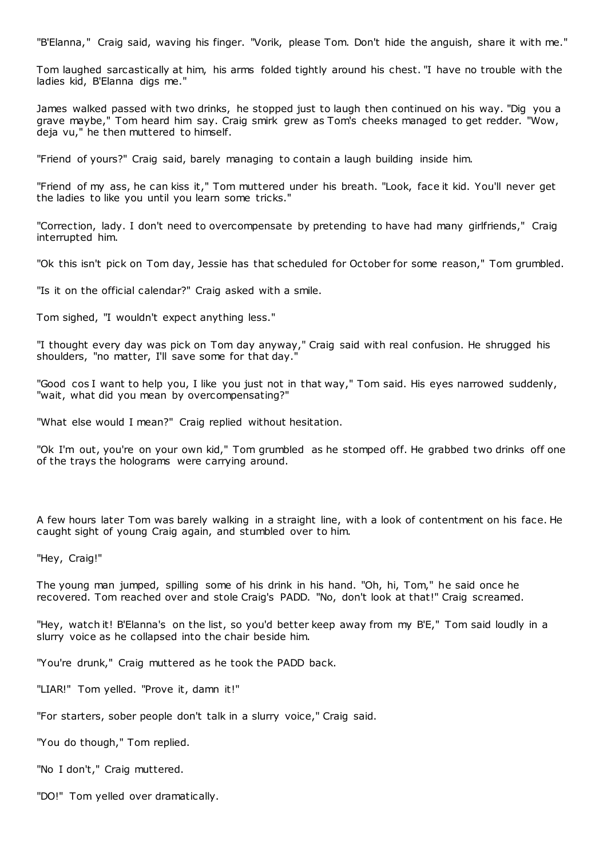"B'Elanna," Craig said, waving his finger. "Vorik, please Tom. Don't hide the anguish, share it with me."

Tom laughed sarcastically at him, his arms folded tightly around his chest. "I have no trouble with the ladies kid, B'Elanna digs me."

James walked passed with two drinks, he stopped just to laugh then continued on his way. "Dig you a grave maybe," Tom heard him say. Craig smirk grew as Tom's cheeks managed to get redder. "Wow, deja vu," he then muttered to himself.

"Friend of yours?" Craig said, barely managing to contain a laugh building inside him.

"Friend of my ass, he can kiss it," Tom muttered under his breath. "Look, face it kid. You'll never get the ladies to like you until you learn some tricks."

"Correction, lady. I don't need to overcompensate by pretending to have had many girlfriends," Craig interrupted him.

"Ok this isn't pick on Tom day, Jessie has that scheduled for October for some reason," Tom grumbled.

"Is it on the official calendar?" Craig asked with a smile.

Tom sighed, "I wouldn't expect anything less."

"I thought every day was pick on Tom day anyway," Craig said with real confusion. He shrugged his shoulders, "no matter, I'll save some for that day."

"Good cos I want to help you, I like you just not in that way," Tom said. His eyes narrowed suddenly, "wait, what did you mean by overcompensating?"

"What else would I mean?" Craig replied without hesitation.

"Ok I'm out, you're on your own kid," Tom grumbled as he stomped off. He grabbed two drinks off one of the trays the holograms were carrying around.

A few hours later Tom was barely walking in a straight line, with a look of contentment on his face. He caught sight of young Craig again, and stumbled over to him.

"Hey, Craig!"

The young man jumped, spilling some of his drink in his hand. "Oh, hi, Tom," he said once he recovered. Tom reached over and stole Craig's PADD. "No, don't look at that!" Craig screamed.

"Hey, watch it! B'Elanna's on the list, so you'd better keep away from my B'E," Tom said loudly in a slurry voice as he collapsed into the chair beside him.

"You're drunk," Craig muttered as he took the PADD back.

"LIAR!" Tom yelled. "Prove it, damn it!"

"For starters, sober people don't talk in a slurry voice," Craig said.

"You do though," Tom replied.

"No I don't," Craig muttered.

"DO!" Tom yelled over dramatically.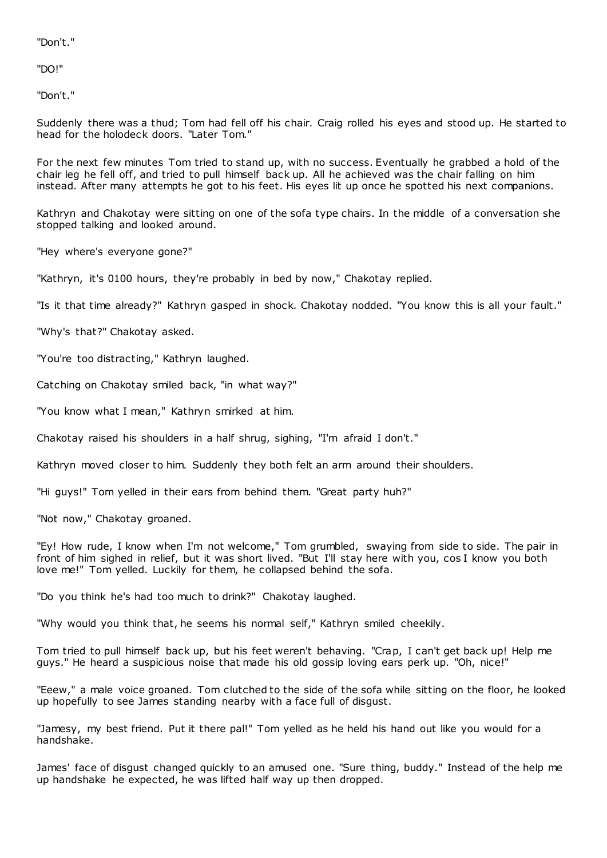"Don't."

"DO!"

"Don't."

Suddenly there was a thud; Tom had fell off his chair. Craig rolled his eyes and stood up. He started to head for the holodeck doors. "Later Tom."

For the next few minutes Tom tried to stand up, with no success. Eventually he grabbed a hold of the chair leg he fell off, and tried to pull himself back up. All he achieved was the chair falling on him instead. After many attempts he got to his feet. His eyes lit up once he spotted his next companions.

Kathryn and Chakotay were sitting on one of the sofa type chairs. In the middle of a conversation she stopped talking and looked around.

"Hey where's everyone gone?"

"Kathryn, it's 0100 hours, they're probably in bed by now," Chakotay replied.

"Is it that time already?" Kathryn gasped in shock. Chakotay nodded. "You know this is all your fault."

"Why's that?" Chakotay asked.

"You're too distracting," Kathryn laughed.

Catching on Chakotay smiled back, "in what way?"

"You know what I mean," Kathryn smirked at him.

Chakotay raised his shoulders in a half shrug, sighing, "I'm afraid I don't."

Kathryn moved closer to him. Suddenly they both felt an arm around their shoulders.

"Hi guys!" Tom yelled in their ears from behind them. "Great party huh?"

"Not now," Chakotay groaned.

"Ey! How rude, I know when I'm not welcome," Tom grumbled, swaying from side to side. The pair in front of him sighed in relief, but it was short lived. "But I'll stay here with you, cos I know you both love me!" Tom yelled. Luckily for them, he collapsed behind the sofa.

"Do you think he's had too much to drink?" Chakotay laughed.

"Why would you think that, he seems his normal self," Kathryn smiled cheekily.

Tom tried to pull himself back up, but his feet weren't behaving. "Crap, I can't get back up! Help me guys." He heard a suspicious noise that made his old gossip loving ears perk up. "Oh, nice!"

"Eeew," a male voice groaned. Tom clutched to the side of the sofa while sitting on the floor, he looked up hopefully to see James standing nearby with a face full of disgust.

"Jamesy, my best friend. Put it there pal!" Tom yelled as he held his hand out like you would for a handshake.

James' face of disgust changed quickly to an amused one. "Sure thing, buddy." Instead of the help me up handshake he expected, he was lifted half way up then dropped.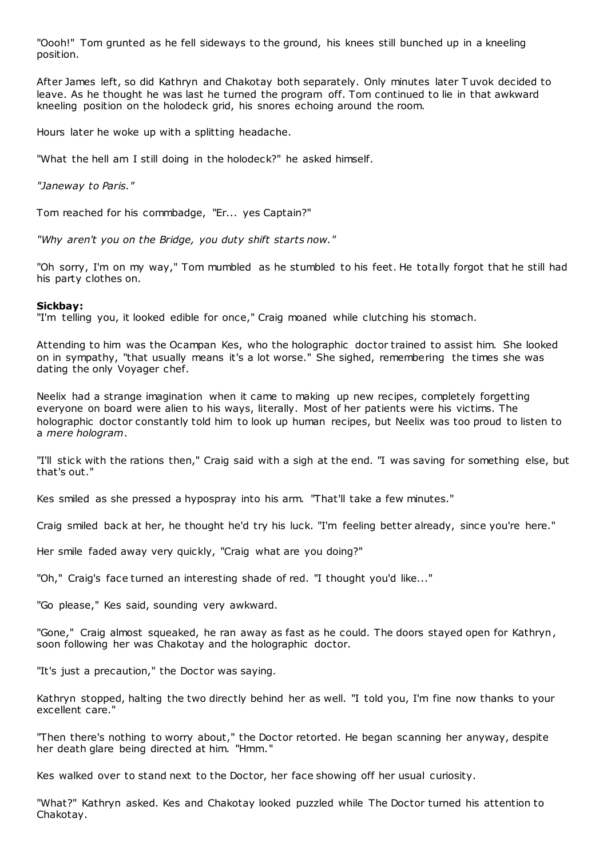"Oooh!" Tom grunted as he fell sideways to the ground, his knees still bunched up in a kneeling position.

After James left, so did Kathryn and Chakotay both separately. Only minutes later T uvok decided to leave. As he thought he was last he turned the program off. Tom continued to lie in that awkward kneeling position on the holodeck grid, his snores echoing around the room.

Hours later he woke up with a splitting headache.

"What the hell am I still doing in the holodeck?" he asked himself.

*"Janeway to Paris."*

Tom reached for his commbadge, "Er... yes Captain?"

*"Why aren't you on the Bridge, you duty shift starts now."*

"Oh sorry, I'm on my way," Tom mumbled as he stumbled to his feet. He totally forgot that he still had his party clothes on.

#### **Sickbay:**

"I'm telling you, it looked edible for once," Craig moaned while clutching his stomach.

Attending to him was the Ocampan Kes, who the holographic doctor trained to assist him. She looked on in sympathy, "that usually means it's a lot worse." She sighed, remembering the times she was dating the only Voyager chef.

Neelix had a strange imagination when it came to making up new recipes, completely forgetting everyone on board were alien to his ways, literally. Most of her patients were his victims. The holographic doctor constantly told him to look up human recipes, but Neelix was too proud to listen to a *mere hologram*.

"I'll stick with the rations then," Craig said with a sigh at the end. "I was saving for something else, but that's out."

Kes smiled as she pressed a hypospray into his arm. "That'll take a few minutes."

Craig smiled back at her, he thought he'd try his luck. "I'm feeling better already, since you're here."

Her smile faded away very quickly, "Craig what are you doing?"

"Oh," Craig's face turned an interesting shade of red. "I thought you'd like..."

"Go please," Kes said, sounding very awkward.

"Gone," Craig almost squeaked, he ran away as fast as he could. The doors stayed open for Kathryn, soon following her was Chakotay and the holographic doctor.

"It's just a precaution," the Doctor was saying.

Kathryn stopped, halting the two directly behind her as well. "I told you, I'm fine now thanks to your excellent care."

"Then there's nothing to worry about," the Doctor retorted. He began scanning her anyway, despite her death glare being directed at him. "Hmm."

Kes walked over to stand next to the Doctor, her face showing off her usual curiosity.

"What?" Kathryn asked. Kes and Chakotay looked puzzled while The Doctor turned his attention to Chakotay.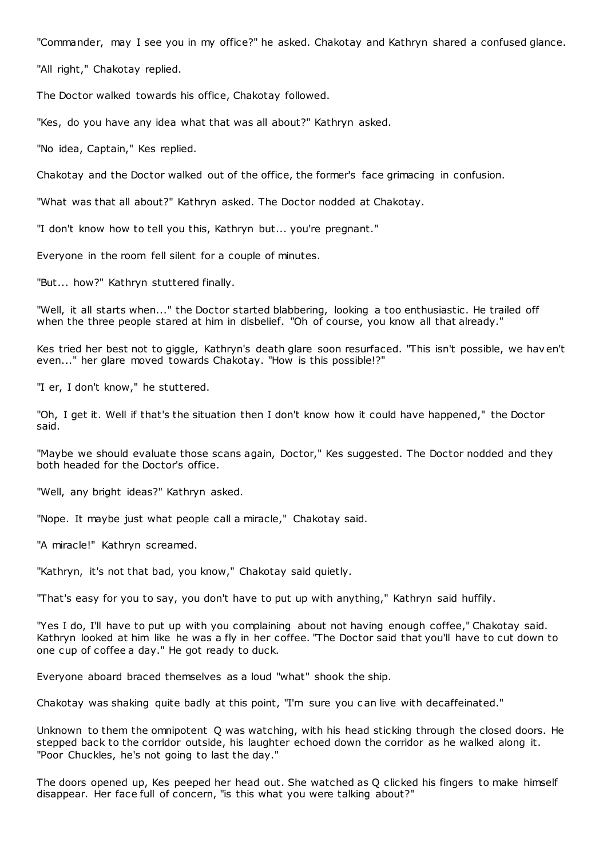"Commander, may I see you in my office?" he asked. Chakotay and Kathryn shared a confused glance.

"All right," Chakotay replied.

The Doctor walked towards his office, Chakotay followed.

"Kes, do you have any idea what that was all about?" Kathryn asked.

"No idea, Captain," Kes replied.

Chakotay and the Doctor walked out of the office, the former's face grimacing in confusion.

"What was that all about?" Kathryn asked. The Doctor nodded at Chakotay.

"I don't know how to tell you this, Kathryn but... you're pregnant."

Everyone in the room fell silent for a couple of minutes.

"But... how?" Kathryn stuttered finally.

"Well, it all starts when..." the Doctor started blabbering, looking a too enthusiastic . He trailed off when the three people stared at him in disbelief. "Oh of course, you know all that already."

Kes tried her best not to giggle, Kathryn's death glare soon resurfaced. "This isn't possible, we hav en't even..." her glare moved towards Chakotay. "How is this possible!?"

"I er, I don't know," he stuttered.

"Oh, I get it. Well if that's the situation then I don't know how it could have happened," the Doctor said.

"Maybe we should evaluate those scans again, Doctor," Kes suggested. The Doctor nodded and they both headed for the Doctor's office.

"Well, any bright ideas?" Kathryn asked.

"Nope. It maybe just what people call a miracle," Chakotay said.

"A miracle!" Kathryn screamed.

"Kathryn, it's not that bad, you know," Chakotay said quietly.

"That's easy for you to say, you don't have to put up with anything," Kathryn said huffily.

"Yes I do, I'll have to put up with you complaining about not having enough coffee," Chakotay said. Kathryn looked at him like he was a fly in her coffee. "The Doctor said that you'll have to cut down to one cup of coffee a day." He got ready to duck.

Everyone aboard braced themselves as a loud "what" shook the ship.

Chakotay was shaking quite badly at this point, "I'm sure you c an live with decaffeinated."

Unknown to them the omnipotent Q was watching, with his head sticking through the closed doors. He stepped back to the corridor outside, his laughter echoed down the corridor as he walked along it. "Poor Chuckles, he's not going to last the day."

The doors opened up, Kes peeped her head out. She watched as Q clicked his fingers to make himself disappear. Her face full of concern, "is this what you were talking about?"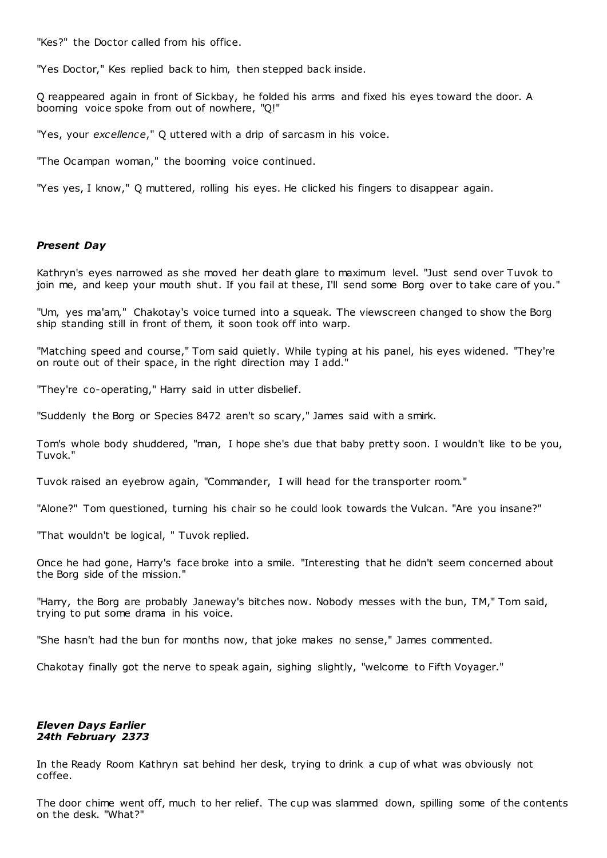"Kes?" the Doctor called from his office.

"Yes Doctor," Kes replied back to him, then stepped back inside.

Q reappeared again in front of Sickbay, he folded his arms and fixed his eyes toward the door. A booming voice spoke from out of nowhere, "Q!"

"Yes, your *excellence*," Q uttered with a drip of sarcasm in his voice.

"The Ocampan woman," the booming voice continued.

"Yes yes, I know," Q muttered, rolling his eyes. He clicked his fingers to disappear again.

# *Present Day*

Kathryn's eyes narrowed as she moved her death glare to maximum level. "Just send over Tuvok to join me, and keep your mouth shut. If you fail at these, I'll send some Borg over to take care of you."

"Um, yes ma'am," Chakotay's voice turned into a squeak. The viewscreen changed to show the Borg ship standing still in front of them, it soon took off into warp.

"Matching speed and course," Tom said quietly. While typing at his panel, his eyes widened. "They're on route out of their space, in the right direction may I add."

"They're co-operating," Harry said in utter disbelief.

"Suddenly the Borg or Species 8472 aren't so scary," James said with a smirk.

Tom's whole body shuddered, "man, I hope she's due that baby pretty soon. I wouldn't like to be you, Tuvok."

Tuvok raised an eyebrow again, "Commander, I will head for the transporter room."

"Alone?" Tom questioned, turning his chair so he could look towards the Vulcan. "Are you insane?"

"That wouldn't be logical, " Tuvok replied.

Once he had gone, Harry's face broke into a smile. "Interesting that he didn't seem concerned about the Borg side of the mission."

"Harry, the Borg are probably Janeway's bitches now. Nobody messes with the bun, TM," Tom said, trying to put some drama in his voice.

"She hasn't had the bun for months now, that joke makes no sense," James commented.

Chakotay finally got the nerve to speak again, sighing slightly, "welcome to Fifth Voyager."

# *Eleven Days Earlier 24th February 2373*

In the Ready Room Kathryn sat behind her desk, trying to drink a cup of what was obviously not coffee.

The door chime went off, much to her relief. The cup was slammed down, spilling some of the contents on the desk. "What?"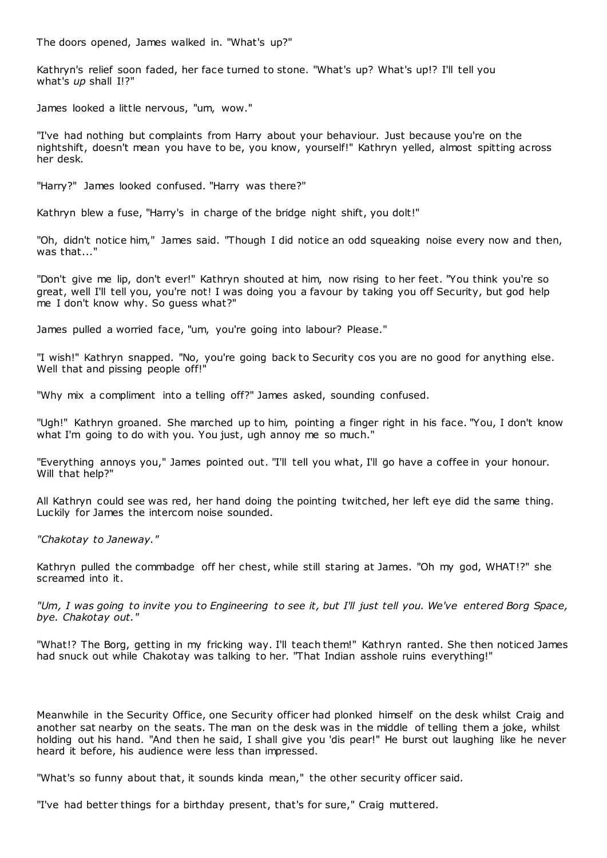The doors opened, James walked in. "What's up?"

Kathryn's relief soon faded, her face turned to stone. "What's up? What's up!? I'll tell you what's *up* shall I!?"

James looked a little nervous, "um, wow."

"I've had nothing but complaints from Harry about your behaviour. Just because you're on the nightshift, doesn't mean you have to be, you know, yourself!" Kathryn yelled, almost spitting across her desk.

"Harry?" James looked confused. "Harry was there?"

Kathryn blew a fuse, "Harry's in charge of the bridge night shift, you dolt!"

"Oh, didn't notice him," James said. "Though I did notice an odd squeaking noise every now and then, was that...'

"Don't give me lip, don't ever!" Kathryn shouted at him, now rising to her feet. "You think you're so great, well I'll tell you, you're not! I was doing you a favour by taking you off Security, but god help me I don't know why. So guess what?"

James pulled a worried face, "um, you're going into labour? Please."

"I wish!" Kathryn snapped. "No, you're going back to Security cos you are no good for anything else. Well that and pissing people off!"

"Why mix a compliment into a telling off?" James asked, sounding confused.

"Ugh!" Kathryn groaned. She marched up to him, pointing a finger right in his face. "You, I don't know what I'm going to do with you. You just, ugh annoy me so much."

"Everything annoys you," James pointed out. "I'll tell you what, I'll go have a coffee in your honour. Will that help?"

All Kathryn could see was red, her hand doing the pointing twitched, her left eye did the same thing. Luckily for James the intercom noise sounded.

*"Chakotay to Janeway."*

Kathryn pulled the commbadge off her chest, while still staring at James. "Oh my god, WHAT!?" she screamed into it.

*"Um, I was going to invite you to Engineering to see it, but I'll just tell you. We've entered Borg Space, bye. Chakotay out."*

"What!? The Borg, getting in my fricking way. I'll teach them!" Kathryn ranted. She then noticed James had snuck out while Chakotay was talking to her. "That Indian asshole ruins everything!"

Meanwhile in the Security Office, one Security officer had plonked himself on the desk whilst Craig and another sat nearby on the seats. The man on the desk was in the middle of telling them a joke, whilst holding out his hand. "And then he said, I shall give you 'dis pear!" He burst out laughing like he never heard it before, his audience were less than impressed.

"What's so funny about that, it sounds kinda mean," the other security officer said.

"I've had better things for a birthday present, that's for sure," Craig muttered.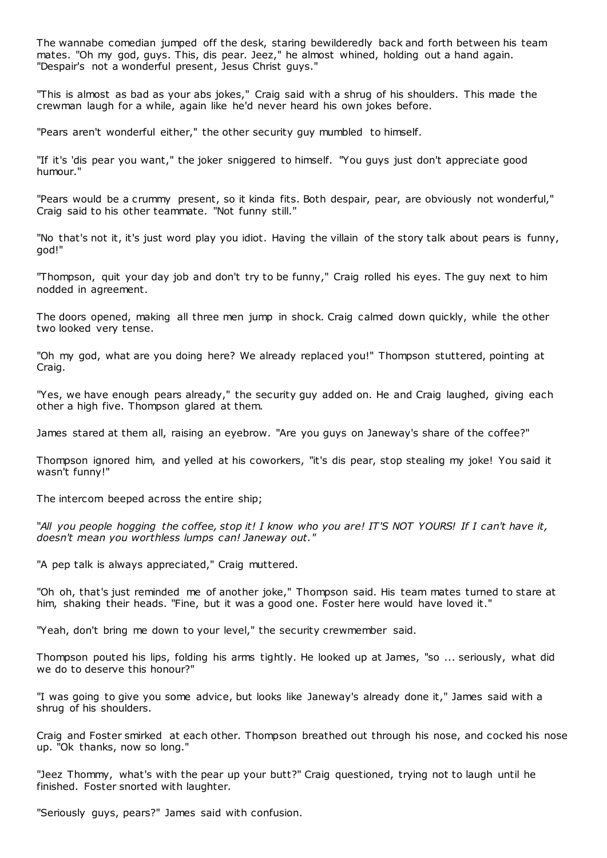The wannabe comedian jumped off the desk, staring bewilderedly back and forth between his team mates. "Oh my god, guys. This, dis pear. Jeez," he almost whined, holding out a hand again. "Despair's not a wonderful present, Jesus Christ guys."

"This is almost as bad as your abs jokes," Craig said with a shrug of his shoulders. This made the crewman laugh for a while, again like he'd never heard his own jokes before.

"Pears aren't wonderful either," the other security guy mumbled to himself.

"If it's 'dis pear you want," the joker sniggered to himself. "You guys just don't appreciate good humour."

"Pears would be a crummy present, so it kinda fits. Both despair, pear, are obviously not wonderful," Craig said to his other teammate. "Not funny still."

"No that's not it, it's just word play you idiot. Having the villain of the story talk about pears is funny, god!"

"Thompson, quit your day job and don't try to be funny," Craig rolled his eyes. The guy next to him nodded in agreement.

The doors opened, making all three men jump in shock. Craig calmed down quickly, while the other two looked very tense.

"Oh my god, what are you doing here? We already replaced you!" Thompson stuttered, pointing at Craig.

"Yes, we have enough pears already," the security guy added on. He and Craig laughed, giving each other a high five. Thompson glared at them.

James stared at them all, raising an eyebrow. "Are you guys on Janeway's share of the coffee?"

Thompson ignored him, and yelled at his coworkers, "it's dis pear, stop stealing my joke! You said it wasn't funny!"

The intercom beeped across the entire ship;

"*All you people hogging the coffee, stop it! I know who you are! IT'S NOT YOURS! If I can't have it, doesn't mean you worthless lumps can! Janeway out."*

"A pep talk is always appreciated," Craig muttered.

"Oh oh, that's just reminded me of another joke," Thompson said. His team mates turned to stare at him, shaking their heads. "Fine, but it was a good one. Foster here would have loved it."

"Yeah, don't bring me down to your level," the security crewmember said.

Thompson pouted his lips, folding his arms tightly. He looked up at James, "so ... seriously, what did we do to deserve this honour?"

"I was going to give you some advice, but looks like Janeway's already done it," James said with a shrug of his shoulders.

Craig and Foster smirked at each other. Thompson breathed out through his nose, and cocked his nose up. "Ok thanks, now so long."

"Jeez Thommy, what's with the pear up your butt?" Craig questioned, trying not to laugh until he finished. Foster snorted with laughter.

"Seriously guys, pears?" James said with confusion.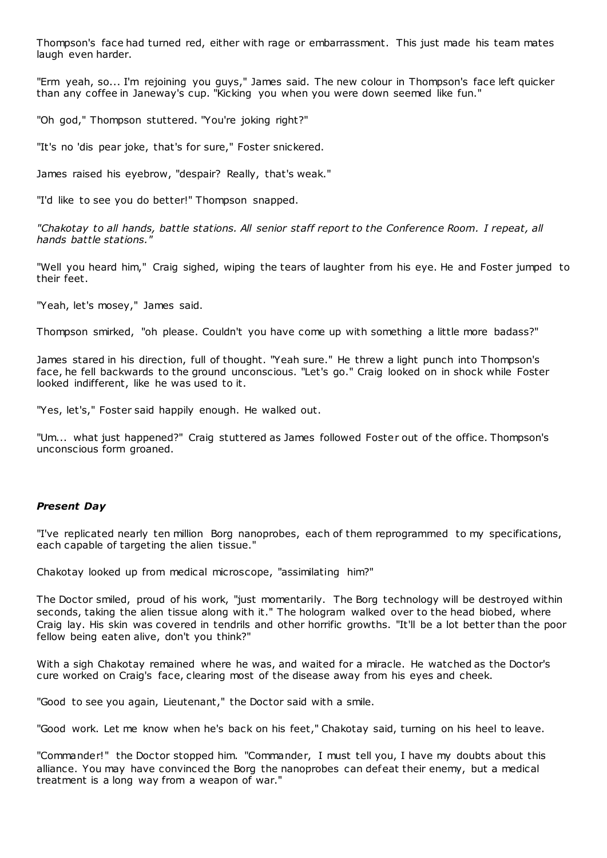Thompson's face had turned red, either with rage or embarrassment. This just made his team mates laugh even harder.

"Erm yeah, so... I'm rejoining you guys," James said. The new colour in Thompson's face left quicker than any coffee in Janeway's cup. "Kicking you when you were down seemed like fun."

"Oh god," Thompson stuttered. "You're joking right?"

"It's no 'dis pear joke, that's for sure," Foster snickered.

James raised his eyebrow, "despair? Really, that's weak."

"I'd like to see you do better!" Thompson snapped.

*"Chakotay to all hands, battle stations. All senior staff report to the Conference Room. I repeat, all hands battle stations."*

"Well you heard him," Craig sighed, wiping the tears of laughter from his eye. He and Foster jumped to their feet.

"Yeah, let's mosey," James said.

Thompson smirked, "oh please. Couldn't you have come up with something a little more badass?"

James stared in his direction, full of thought. "Yeah sure." He threw a light punch into Thompson's face, he fell backwards to the ground unconscious. "Let's go." Craig looked on in shock while Foster looked indifferent, like he was used to it.

"Yes, let's," Foster said happily enough. He walked out.

"Um... what just happened?" Craig stuttered as James followed Foster out of the office. Thompson's unconscious form groaned.

# *Present Day*

"I've replicated nearly ten million Borg nanoprobes, each of them reprogrammed to my specifications, each capable of targeting the alien tissue."

Chakotay looked up from medical microscope, "assimilating him?"

The Doctor smiled, proud of his work, "just momentarily. The Borg technology will be destroyed within seconds, taking the alien tissue along with it." The hologram walked over to the head biobed, where Craig lay. His skin was covered in tendrils and other horrific growths. "It'll be a lot better than the poor fellow being eaten alive, don't you think?"

With a sigh Chakotay remained where he was, and waited for a miracle. He watched as the Doctor's cure worked on Craig's face, clearing most of the disease away from his eyes and cheek.

"Good to see you again, Lieutenant," the Doctor said with a smile.

"Good work. Let me know when he's back on his feet," Chakotay said, turning on his heel to leave.

"Commander!" the Doctor stopped him. "Commander, I must tell you, I have my doubts about this alliance. You may have convinced the Borg the nanoprobes can defeat their enemy, but a medical treatment is a long way from a weapon of war."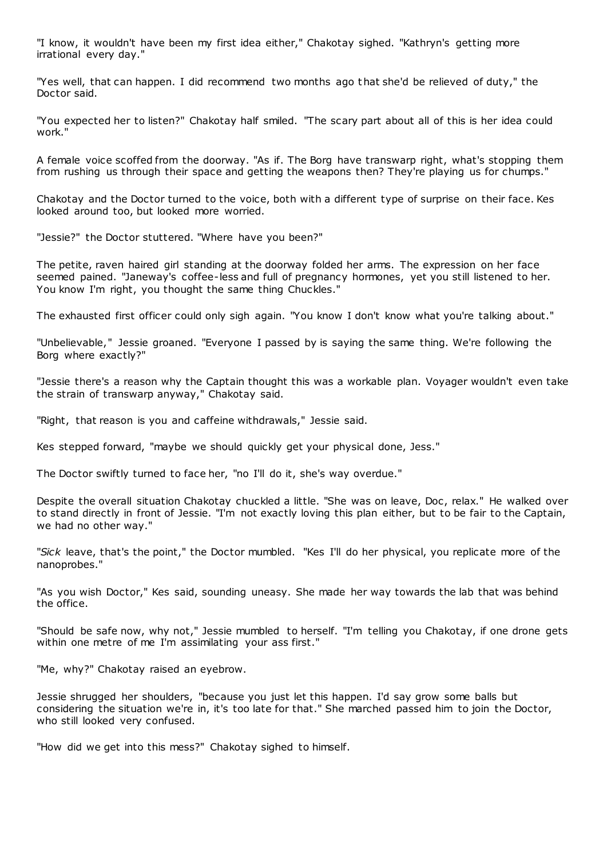"I know, it wouldn't have been my first idea either," Chakotay sighed. "Kathryn's getting more irrational every day."

"Yes well, that can happen. I did recommend two months ago that she'd be relieved of duty," the Doctor said.

"You expected her to listen?" Chakotay half smiled. "The scary part about all of this is her idea could work."

A female voice scoffed from the doorway. "As if. The Borg have transwarp right, what's stopping them from rushing us through their space and getting the weapons then? They're playing us for chumps."

Chakotay and the Doctor turned to the voice, both with a different type of surprise on their face. Kes looked around too, but looked more worried.

"Jessie?" the Doctor stuttered. "Where have you been?"

The petite, raven haired girl standing at the doorway folded her arms. The expression on her face seemed pained. "Janeway's coffee-less and full of pregnancy hormones, yet you still listened to her. You know I'm right, you thought the same thing Chuckles."

The exhausted first officer could only sigh again. "You know I don't know what you're talking about."

"Unbelievable," Jessie groaned. "Everyone I passed by is saying the same thing. We're following the Borg where exactly?"

"Jessie there's a reason why the Captain thought this was a workable plan. Voyager wouldn't even take the strain of transwarp anyway," Chakotay said.

"Right, that reason is you and caffeine withdrawals," Jessie said.

Kes stepped forward, "maybe we should quickly get your physical done, Jess."

The Doctor swiftly turned to face her, "no I'll do it, she's way overdue."

Despite the overall situation Chakotay chuckled a little. "She was on leave, Doc, relax." He walked over to stand directly in front of Jessie. "I'm not exactly loving this plan either, but to be fair to the Captain, we had no other way."

"*Sick* leave, that's the point," the Doctor mumbled. "Kes I'll do her physical, you replicate more of the nanoprobes."

"As you wish Doctor," Kes said, sounding uneasy. She made her way towards the lab that was behind the office.

"Should be safe now, why not," Jessie mumbled to herself. "I'm telling you Chakotay, if one drone gets within one metre of me I'm assimilating your ass first."

"Me, why?" Chakotay raised an eyebrow.

Jessie shrugged her shoulders, "because you just let this happen. I'd say grow some balls but considering the situation we're in, it's too late for that." She marched passed him to join the Doctor, who still looked very confused.

"How did we get into this mess?" Chakotay sighed to himself.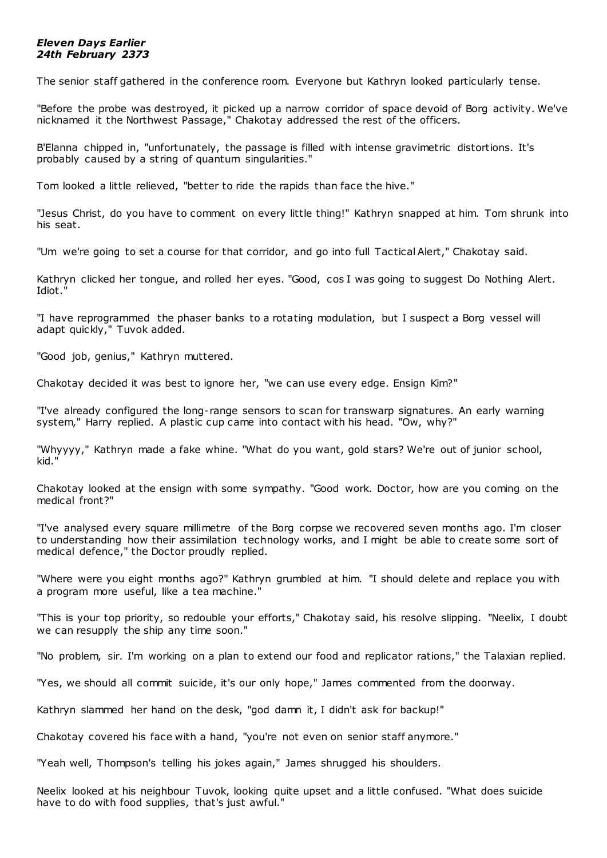# *Eleven Days Earlier 24th February 2373*

The senior staff gathered in the conference room. Everyone but Kathryn looked particularly tense.

"Before the probe was destroyed, it picked up a narrow corridor of space devoid of Borg activity. We've nicknamed it the Northwest Passage," Chakotay addressed the rest of the officers.

B'Elanna chipped in, "unfortunately, the passage is filled with intense gravimetric distortions. It's probably caused by a string of quantum singularities."

Tom looked a little relieved, "better to ride the rapids than face the hive."

"Jesus Christ, do you have to comment on every little thing!" Kathryn snapped at him. Tom shrunk into his seat.

"Um we're going to set a course for that corridor, and go into full Tactical Alert," Chakotay said.

Kathryn clicked her tongue, and rolled her eyes. "Good, cos I was going to suggest Do Nothing Alert. Idiot."

"I have reprogrammed the phaser banks to a rotating modulation, but I suspect a Borg vessel will adapt quickly," Tuvok added.

"Good job, genius," Kathryn muttered.

Chakotay decided it was best to ignore her, "we can use every edge. Ensign Kim?"

"I've already configured the long-range sensors to scan for transwarp signatures. An early warning system," Harry replied. A plastic cup came into contact with his head. "Ow, why?"

"Whyyyy," Kathryn made a fake whine. "What do you want, gold stars? We're out of junior school, kid."

Chakotay looked at the ensign with some sympathy. "Good work. Doctor, how are you coming on the medical front?"

"I've analysed every square millimetre of the Borg corpse we recovered seven months ago. I'm closer to understanding how their assimilation technology works, and I might be able to create some sort of medical defence," the Doctor proudly replied.

"Where were you eight months ago?" Kathryn grumbled at him. "I should delete and replace you with a program more useful, like a tea machine."

"This is your top priority, so redouble your efforts," Chakotay said, his resolve slipping. "Neelix, I doubt we can resupply the ship any time soon."

"No problem, sir. I'm working on a plan to extend our food and replicator rations," the Talaxian replied.

"Yes, we should all commit suicide, it's our only hope," James commented from the doorway.

Kathryn slammed her hand on the desk, "god damn it, I didn't ask for backup!"

Chakotay covered his face with a hand, "you're not even on senior staff anymore."

"Yeah well, Thompson's telling his jokes again," James shrugged his shoulders.

Neelix looked at his neighbour Tuvok, looking quite upset and a little confused. "What does suicide have to do with food supplies, that's just awful."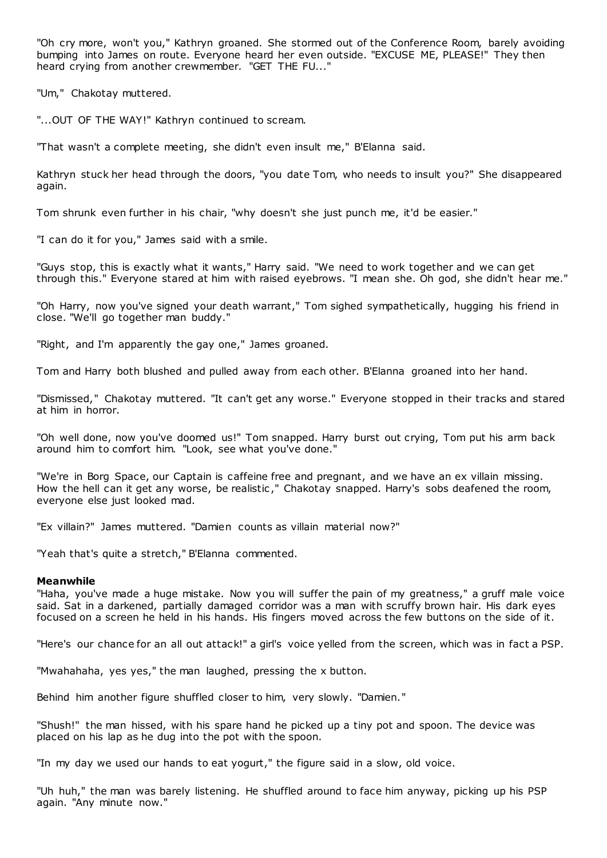"Oh cry more, won't you," Kathryn groaned. She stormed out of the Conference Room, barely avoiding bumping into James on route. Everyone heard her even outside. "EXCUSE ME, PLEASE!" They then heard crying from another crewmember. "GET THE FU..."

"Um," Chakotay muttered.

"...OUT OF THE WAY!" Kathryn continued to scream.

"That wasn't a complete meeting, she didn't even insult me," B'Elanna said.

Kathryn stuck her head through the doors, "you date Tom, who needs to insult you?" She disappeared again.

Tom shrunk even further in his chair, "why doesn't she just punch me, it'd be easier."

"I can do it for you," James said with a smile.

"Guys stop, this is exactly what it wants," Harry said. "We need to work together and we can get through this." Everyone stared at him with raised eyebrows. "I mean she. Oh god, she didn't hear me."

"Oh Harry, now you've signed your death warrant," Tom sighed sympathetically, hugging his friend in close. "We'll go together man buddy."

"Right, and I'm apparently the gay one," James groaned.

Tom and Harry both blushed and pulled away from each other. B'Elanna groaned into her hand.

"Dismissed," Chakotay muttered. "It can't get any worse." Everyone stopped in their tracks and stared at him in horror.

"Oh well done, now you've doomed us!" Tom snapped. Harry burst out crying, Tom put his arm back around him to comfort him. "Look, see what you've done."

"We're in Borg Space, our Captain is caffeine free and pregnant, and we have an ex villain missing. How the hell can it get any worse, be realistic ," Chakotay snapped. Harry's sobs deafened the room, everyone else just looked mad.

"Ex villain?" James muttered. "Damien counts as villain material now?"

"Yeah that's quite a stretch," B'Elanna commented.

#### **Meanwhile**

"Haha, you've made a huge mistake. Now you will suffer the pain of my greatness," a gruff male voice said. Sat in a darkened, partially damaged corridor was a man with scruffy brown hair. His dark eyes focused on a screen he held in his hands. His fingers moved across the few buttons on the side of it.

"Here's our chance for an all out attack!" a girl's voice yelled from the screen, which was in fact a PSP.

"Mwahahaha, yes yes," the man laughed, pressing the x button.

Behind him another figure shuffled closer to him, very slowly. "Damien."

"Shush!" the man hissed, with his spare hand he picked up a tiny pot and spoon. The device was placed on his lap as he dug into the pot with the spoon.

"In my day we used our hands to eat yogurt," the figure said in a slow, old voice.

"Uh huh," the man was barely listening. He shuffled around to face him anyway, picking up his PSP again. "Any minute now."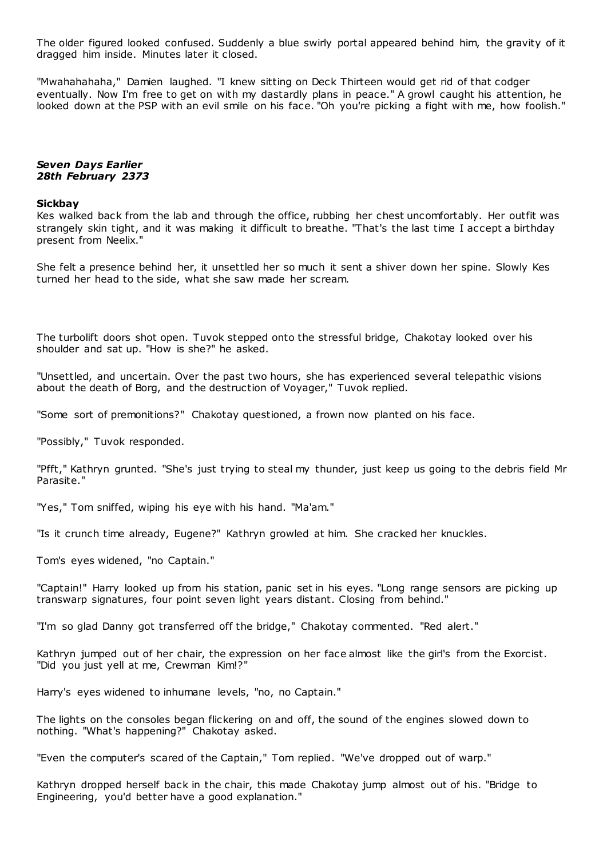The older figured looked confused. Suddenly a blue swirly portal appeared behind him, the gravity of it dragged him inside. Minutes later it closed.

"Mwahahahaha," Damien laughed. "I knew sitting on Deck Thirteen would get rid of that codger eventually. Now I'm free to get on with my dastardly plans in peace." A growl caught his attention, he looked down at the PSP with an evil smile on his face. "Oh you're picking a fight with me, how foolish."

# *Seven Days Earlier 28th February 2373*

### **Sickbay**

Kes walked back from the lab and through the office, rubbing her chest uncomfortably. Her outfit was strangely skin tight, and it was making it difficult to breathe. "That's the last time I accept a birthday present from Neelix."

She felt a presence behind her, it unsettled her so much it sent a shiver down her spine. Slowly Kes turned her head to the side, what she saw made her scream.

The turbolift doors shot open. Tuvok stepped onto the stressful bridge, Chakotay looked over his shoulder and sat up. "How is she?" he asked.

"Unsettled, and uncertain. Over the past two hours, she has experienced several telepathic visions about the death of Borg, and the destruction of Voyager," Tuvok replied.

"Some sort of premonitions?" Chakotay questioned, a frown now planted on his face.

"Possibly," Tuvok responded.

"Pfft," Kathryn grunted. "She's just trying to steal my thunder, just keep us going to the debris field Mr Parasite."

"Yes," Tom sniffed, wiping his eye with his hand. "Ma'am."

"Is it crunch time already, Eugene?" Kathryn growled at him. She cracked her knuckles.

Tom's eyes widened, "no Captain."

"Captain!" Harry looked up from his station, panic set in his eyes. "Long range sensors are picking up transwarp signatures, four point seven light years distant. Closing from behind."

"I'm so glad Danny got transferred off the bridge," Chakotay commented. "Red alert."

Kathryn jumped out of her chair, the expression on her face almost like the girl's from the Exorcist. "Did you just yell at me, Crewman Kim!?"

Harry's eyes widened to inhumane levels, "no, no Captain."

The lights on the consoles began flickering on and off, the sound of the engines slowed down to nothing. "What's happening?" Chakotay asked.

"Even the computer's scared of the Captain," Tom replied. "We've dropped out of warp."

Kathryn dropped herself back in the chair, this made Chakotay jump almost out of his. "Bridge to Engineering, you'd better have a good explanation."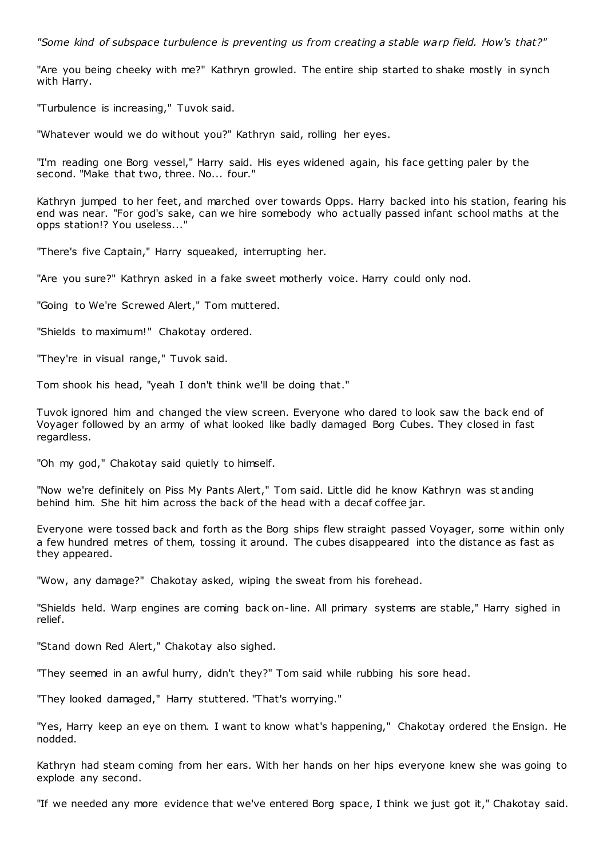*"Some kind of subspace turbulence is preventing us from creating a stable warp field. How's that?"*

"Are you being cheeky with me?" Kathryn growled. The entire ship started to shake mostly in synch with Harry.

"Turbulence is increasing," Tuvok said.

"Whatever would we do without you?" Kathryn said, rolling her eyes.

"I'm reading one Borg vessel," Harry said. His eyes widened again, his face getting paler by the second. "Make that two, three. No... four."

Kathryn jumped to her feet, and marched over towards Opps. Harry backed into his station, fearing his end was near. "For god's sake, can we hire somebody who actually passed infant school maths at the opps station!? You useless..."

"There's five Captain," Harry squeaked, interrupting her.

"Are you sure?" Kathryn asked in a fake sweet motherly voice. Harry could only nod.

"Going to We're Screwed Alert," Tom muttered.

"Shields to maximum!" Chakotay ordered.

"They're in visual range," Tuvok said.

Tom shook his head, "yeah I don't think we'll be doing that."

Tuvok ignored him and changed the view screen. Everyone who dared to look saw the back end of Voyager followed by an army of what looked like badly damaged Borg Cubes. They closed in fast regardless.

"Oh my god," Chakotay said quietly to himself.

"Now we're definitely on Piss My Pants Alert," Tom said. Little did he know Kathryn was st anding behind him. She hit him across the back of the head with a decaf coffee jar.

Everyone were tossed back and forth as the Borg ships flew straight passed Voyager, some within only a few hundred metres of them, tossing it around. The cubes disappeared into the distance as fast as they appeared.

"Wow, any damage?" Chakotay asked, wiping the sweat from his forehead.

"Shields held. Warp engines are coming back on-line. All primary systems are stable," Harry sighed in relief.

"Stand down Red Alert," Chakotay also sighed.

"They seemed in an awful hurry, didn't they?" Tom said while rubbing his sore head.

"They looked damaged," Harry stuttered. "That's worrying."

"Yes, Harry keep an eye on them. I want to know what's happening," Chakotay ordered the Ensign. He nodded.

Kathryn had steam coming from her ears. With her hands on her hips everyone knew she was going to explode any second.

"If we needed any more evidence that we've entered Borg space, I think we just got it," Chakotay said.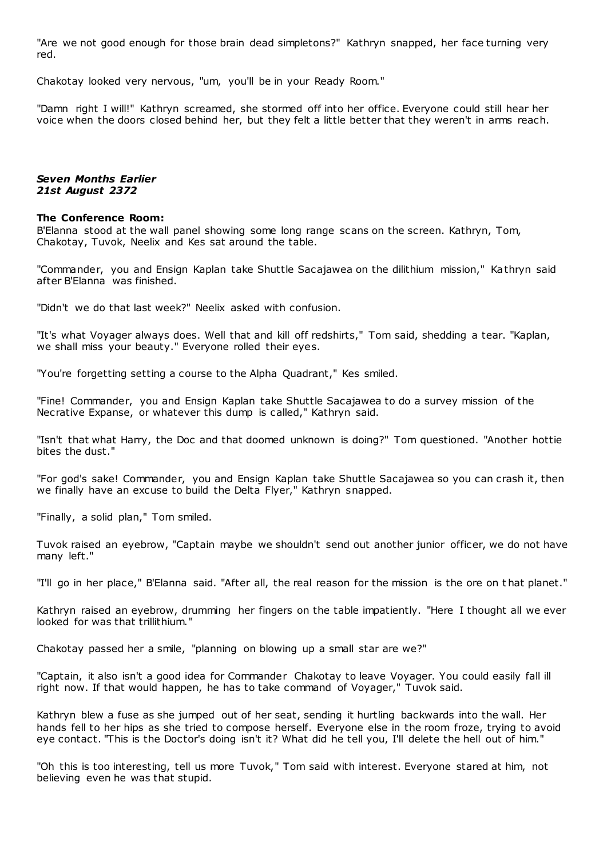"Are we not good enough for those brain dead simpletons?" Kathryn snapped, her face turning very red.

Chakotay looked very nervous, "um, you'll be in your Ready Room."

"Damn right I will!" Kathryn screamed, she stormed off into her office. Everyone could still hear her voice when the doors closed behind her, but they felt a little better that they weren't in arms reach.

# *Seven Months Earlier 21st August 2372*

#### **The Conference Room:**

B'Elanna stood at the wall panel showing some long range scans on the screen. Kathryn, Tom, Chakotay, Tuvok, Neelix and Kes sat around the table.

"Commander, you and Ensign Kaplan take Shuttle Sacajawea on the dilithium mission," Kathryn said after B'Elanna was finished.

"Didn't we do that last week?" Neelix asked with confusion.

"It's what Voyager always does. Well that and kill off redshirts," Tom said, shedding a tear. "Kaplan, we shall miss your beauty." Everyone rolled their eyes.

"You're forgetting setting a course to the Alpha Quadrant," Kes smiled.

"Fine! Commander, you and Ensign Kaplan take Shuttle Sacajawea to do a survey mission of the Necrative Expanse, or whatever this dump is called," Kathryn said.

"Isn't that what Harry, the Doc and that doomed unknown is doing?" Tom questioned. "Another hottie bites the dust."

"For god's sake! Commander, you and Ensign Kaplan take Shuttle Sacajawea so you can crash it, then we finally have an excuse to build the Delta Flyer," Kathryn snapped.

"Finally, a solid plan," Tom smiled.

Tuvok raised an eyebrow, "Captain maybe we shouldn't send out another junior officer, we do not have many left."

"I'll go in her place," B'Elanna said. "After all, the real reason for the mission is the ore on t hat planet."

Kathryn raised an eyebrow, drumming her fingers on the table impatiently. "Here I thought all we ever looked for was that trillithium."

Chakotay passed her a smile, "planning on blowing up a small star are we?"

"Captain, it also isn't a good idea for Commander Chakotay to leave Voyager. You could easily fall ill right now. If that would happen, he has to take command of Voyager," Tuvok said.

Kathryn blew a fuse as she jumped out of her seat, sending it hurtling backwards into the wall. Her hands fell to her hips as she tried to compose herself. Everyone else in the room froze, trying to avoid eye contact. "This is the Doctor's doing isn't it? What did he tell you, I'll delete the hell out of him."

"Oh this is too interesting, tell us more Tuvok," Tom said with interest. Everyone stared at him, not believing even he was that stupid.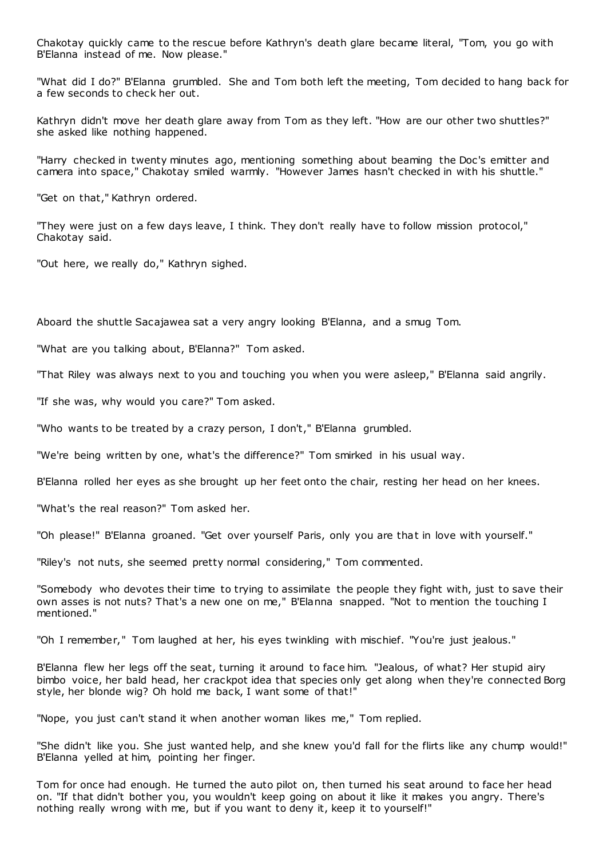Chakotay quickly came to the rescue before Kathryn's death glare became literal, "Tom, you go with B'Elanna instead of me. Now please."

"What did I do?" B'Elanna grumbled. She and Tom both left the meeting, Tom decided to hang back for a few seconds to check her out.

Kathryn didn't move her death glare away from Tom as they left. "How are our other two shuttles?" she asked like nothing happened.

"Harry checked in twenty minutes ago, mentioning something about beaming the Doc's emitter and camera into space," Chakotay smiled warmly. "However James hasn't checked in with his shuttle."

"Get on that," Kathryn ordered.

"They were just on a few days leave, I think. They don't really have to follow mission protocol," Chakotay said.

"Out here, we really do," Kathryn sighed.

Aboard the shuttle Sacajawea sat a very angry looking B'Elanna, and a smug Tom.

"What are you talking about, B'Elanna?" Tom asked.

"That Riley was always next to you and touching you when you were asleep," B'Elanna said angrily.

"If she was, why would you care?" Tom asked.

"Who wants to be treated by a crazy person, I don't," B'Elanna grumbled.

"We're being written by one, what's the difference?" Tom smirked in his usual way.

B'Elanna rolled her eyes as she brought up her feet onto the chair, resting her head on her knees.

"What's the real reason?" Tom asked her.

"Oh please!" B'Elanna groaned. "Get over yourself Paris, only you are that in love with yourself."

"Riley's not nuts, she seemed pretty normal considering," Tom commented.

"Somebody who devotes their time to trying to assimilate the people they fight with, just to save their own asses is not nuts? That's a new one on me," B'Elanna snapped. "Not to mention the touching I mentioned."

"Oh I remember," Tom laughed at her, his eyes twinkling with mischief. "You're just jealous."

B'Elanna flew her legs off the seat, turning it around to face him. "Jealous, of what? Her stupid airy bimbo voice, her bald head, her crackpot idea that species only get along when they're connected Borg style, her blonde wig? Oh hold me back, I want some of that!"

"Nope, you just can't stand it when another woman likes me," Tom replied.

"She didn't like you. She just wanted help, and she knew you'd fall for the flirts like any chump would!" B'Elanna yelled at him, pointing her finger.

Tom for once had enough. He turned the auto pilot on, then turned his seat around to face her head on. "If that didn't bother you, you wouldn't keep going on about it like it makes you angry. There's nothing really wrong with me, but if you want to deny it, keep it to yourself!"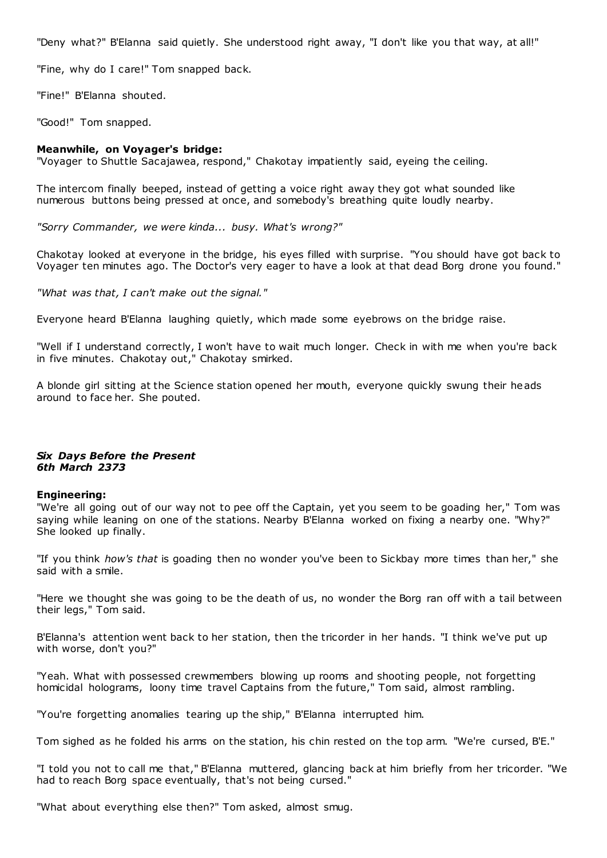"Deny what?" B'Elanna said quietly. She understood right away, "I don't like you that way, at all!"

"Fine, why do I care!" Tom snapped back.

"Fine!" B'Elanna shouted.

"Good!" Tom snapped.

# **Meanwhile, on Voyager's bridge:**

"Voyager to Shuttle Sacajawea, respond," Chakotay impatiently said, eyeing the ceiling.

The intercom finally beeped, instead of getting a voice right away they got what sounded like numerous buttons being pressed at once, and somebody's breathing quite loudly nearby.

*"Sorry Commander, we were kinda... busy. What's wrong?"*

Chakotay looked at everyone in the bridge, his eyes filled with surprise. "You should have got back to Voyager ten minutes ago. The Doctor's very eager to have a look at that dead Borg drone you found."

*"What was that, I can't make out the signal."*

Everyone heard B'Elanna laughing quietly, which made some eyebrows on the bridge raise.

"Well if I understand correctly, I won't have to wait much longer. Check in with me when you're back in five minutes. Chakotay out," Chakotay smirked.

A blonde girl sitting at the Science station opened her mouth, everyone quickly swung their heads around to face her. She pouted.

# *Six Days Before the Present 6th March 2373*

# **Engineering:**

"We're all going out of our way not to pee off the Captain, yet you seem to be goading her," Tom was saying while leaning on one of the stations. Nearby B'Elanna worked on fixing a nearby one. "Why?" She looked up finally.

"If you think *how's that* is goading then no wonder you've been to Sickbay more times than her," she said with a smile.

"Here we thought she was going to be the death of us, no wonder the Borg ran off with a tail between their legs," Tom said.

B'Elanna's attention went back to her station, then the tricorder in her hands. "I think we've put up with worse, don't you?"

"Yeah. What with possessed crewmembers blowing up rooms and shooting people, not forgetting homicidal holograms, loony time travel Captains from the future," Tom said, almost rambling.

"You're forgetting anomalies tearing up the ship," B'Elanna interrupted him.

Tom sighed as he folded his arms on the station, his chin rested on the top arm. "We're cursed, B'E."

"I told you not to call me that," B'Elanna muttered, glancing back at him briefly from her tricorder. "We had to reach Borg space eventually, that's not being cursed."

"What about everything else then?" Tom asked, almost smug.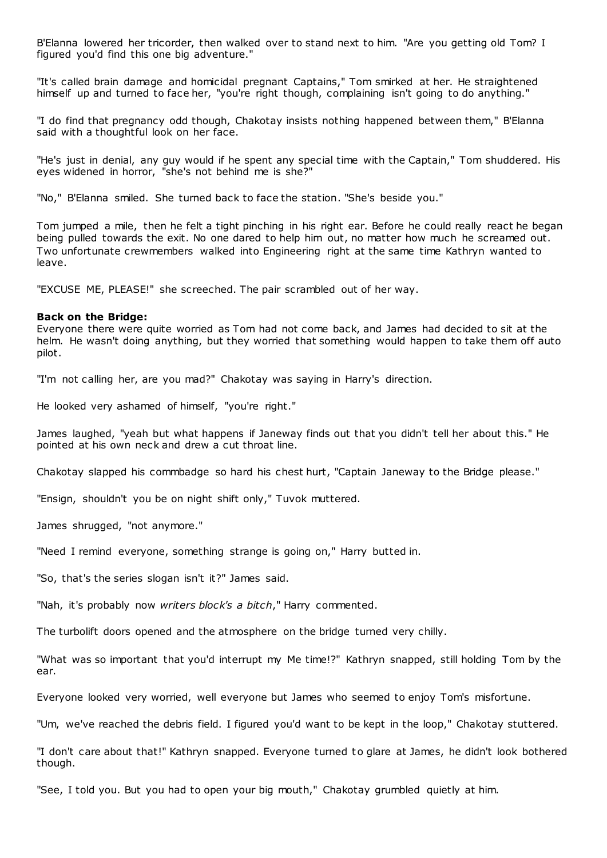B'Elanna lowered her tricorder, then walked over to stand next to him. "Are you getting old Tom? I figured you'd find this one big adventure."

"It's called brain damage and homicidal pregnant Captains," Tom smirked at her. He straightened himself up and turned to face her, "you're right though, complaining isn't going to do anything."

"I do find that pregnancy odd though, Chakotay insists nothing happened between them," B'Elanna said with a thoughtful look on her face.

"He's just in denial, any guy would if he spent any special time with the Captain," Tom shuddered. His eyes widened in horror, "she's not behind me is she?"

"No," B'Elanna smiled. She turned back to face the station. "She's beside you."

Tom jumped a mile, then he felt a tight pinching in his right ear. Before he could really react he began being pulled towards the exit. No one dared to help him out, no matter how much he screamed out. Two unfortunate crewmembers walked into Engineering right at the same time Kathryn wanted to leave.

"EXCUSE ME, PLEASE!" she screeched. The pair scrambled out of her way.

### **Back on the Bridge:**

Everyone there were quite worried as Tom had not come back, and James had decided to sit at the helm. He wasn't doing anything, but they worried that something would happen to take them off auto pilot.

"I'm not calling her, are you mad?" Chakotay was saying in Harry's direction.

He looked very ashamed of himself, "you're right."

James laughed, "yeah but what happens if Janeway finds out that you didn't tell her about this." He pointed at his own neck and drew a cut throat line.

Chakotay slapped his commbadge so hard his chest hurt, "Captain Janeway to the Bridge please."

"Ensign, shouldn't you be on night shift only," Tuvok muttered.

James shrugged, "not anymore."

"Need I remind everyone, something strange is going on," Harry butted in.

"So, that's the series slogan isn't it?" James said.

"Nah, it's probably now *writers block's a bitch*," Harry commented.

The turbolift doors opened and the atmosphere on the bridge turned very chilly.

"What was so important that you'd interrupt my Me time!?" Kathryn snapped, still holding Tom by the ear.

Everyone looked very worried, well everyone but James who seemed to enjoy Tom's misfortune.

"Um, we've reached the debris field. I figured you'd want to be kept in the loop," Chakotay stuttered.

"I don't care about that!" Kathryn snapped. Everyone turned to glare at James, he didn't look bothered though.

"See, I told you. But you had to open your big mouth," Chakotay grumbled quietly at him.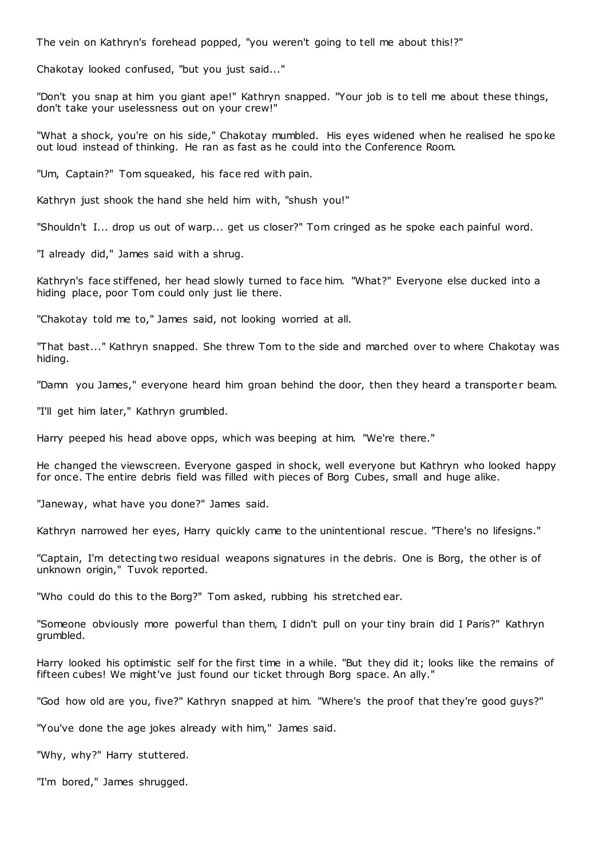The vein on Kathryn's forehead popped, "you weren't going to tell me about this!?"

Chakotay looked confused, "but you just said..."

"Don't you snap at him you giant ape!" Kathryn snapped. "Your job is to tell me about these things, don't take your uselessness out on your crew!"

"What a shock, you're on his side," Chakotay mumbled. His eyes widened when he realised he spoke out loud instead of thinking. He ran as fast as he could into the Conference Room.

"Um, Captain?" Tom squeaked, his face red with pain.

Kathryn just shook the hand she held him with, "shush you!"

"Shouldn't I... drop us out of warp... get us closer?" Tom cringed as he spoke each painful word.

"I already did," James said with a shrug.

Kathryn's face stiffened, her head slowly turned to face him. "What?" Everyone else ducked into a hiding place, poor Tom could only just lie there.

"Chakotay told me to," James said, not looking worried at all.

"That bast..." Kathryn snapped. She threw Tom to the side and marched over to where Chakotay was hiding.

"Damn you James," everyone heard him groan behind the door, then they heard a transporter beam.

"I'll get him later," Kathryn grumbled.

Harry peeped his head above opps, which was beeping at him. "We're there."

He changed the viewscreen. Everyone gasped in shock, well everyone but Kathryn who looked happy for once. The entire debris field was filled with pieces of Borg Cubes, small and huge alike.

"Janeway, what have you done?" James said.

Kathryn narrowed her eyes, Harry quickly came to the unintentional rescue. "There's no lifesigns."

"Captain, I'm detecting two residual weapons signatures in the debris. One is Borg, the other is of unknown origin," Tuvok reported.

"Who could do this to the Borg?" Tom asked, rubbing his stretched ear.

"Someone obviously more powerful than them, I didn't pull on your tiny brain did I Paris?" Kathryn grumbled.

Harry looked his optimistic self for the first time in a while. "But they did it; looks like the remains of fifteen cubes! We might've just found our ticket through Borg space. An ally."

"God how old are you, five?" Kathryn snapped at him. "Where's the proof that they're good guys?"

"You've done the age jokes already with him," James said.

"Why, why?" Harry stuttered.

"I'm bored," James shrugged.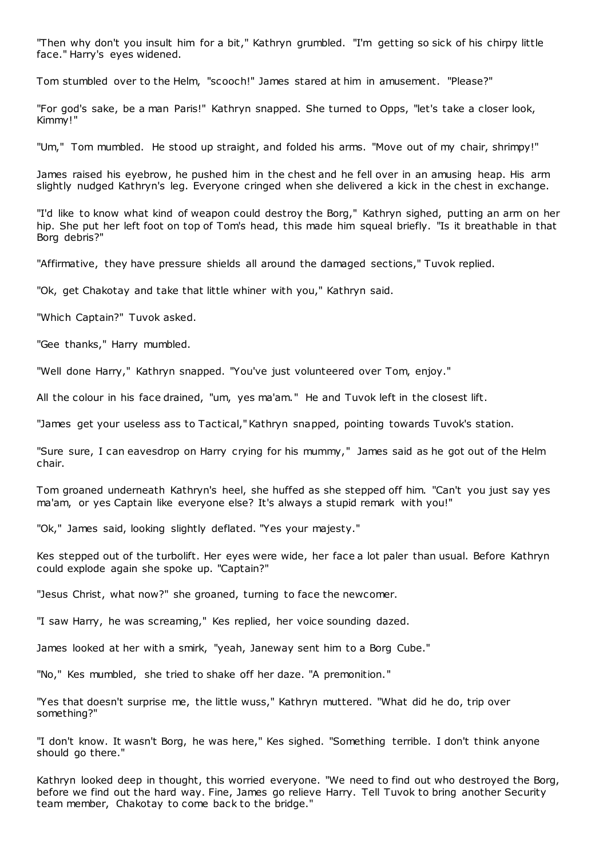"Then why don't you insult him for a bit," Kathryn grumbled. "I'm getting so sick of his chirpy little face." Harry's eyes widened.

Tom stumbled over to the Helm, "scooch!" James stared at him in amusement. "Please?"

"For god's sake, be a man Paris!" Kathryn snapped. She turned to Opps, "let's take a closer look, Kimmy!"

"Um," Tom mumbled. He stood up straight, and folded his arms. "Move out of my chair, shrimpy!"

James raised his eyebrow, he pushed him in the chest and he fell over in an amusing heap. His arm slightly nudged Kathryn's leg. Everyone cringed when she delivered a kick in the chest in exchange.

"I'd like to know what kind of weapon could destroy the Borg," Kathryn sighed, putting an arm on her hip. She put her left foot on top of Tom's head, this made him squeal briefly. "Is it breathable in that Borg debris?"

"Affirmative, they have pressure shields all around the damaged sections," Tuvok replied.

"Ok, get Chakotay and take that little whiner with you," Kathryn said.

"Which Captain?" Tuvok asked.

"Gee thanks," Harry mumbled.

"Well done Harry," Kathryn snapped. "You've just volunteered over Tom, enjoy."

All the colour in his face drained, "um, yes ma'am." He and Tuvok left in the closest lift.

"James get your useless ass to Tactical," Kathryn snapped, pointing towards Tuvok's station.

"Sure sure, I can eavesdrop on Harry crying for his mummy," James said as he got out of the Helm chair.

Tom groaned underneath Kathryn's heel, she huffed as she stepped off him. "Can't you just say yes ma'am, or yes Captain like everyone else? It's always a stupid remark with you!"

"Ok," James said, looking slightly deflated. "Yes your majesty."

Kes stepped out of the turbolift. Her eyes were wide, her face a lot paler than usual. Before Kathryn could explode again she spoke up. "Captain?"

"Jesus Christ, what now?" she groaned, turning to face the newcomer.

"I saw Harry, he was screaming," Kes replied, her voice sounding dazed.

James looked at her with a smirk, "yeah, Janeway sent him to a Borg Cube."

"No," Kes mumbled, she tried to shake off her daze. "A premonition."

"Yes that doesn't surprise me, the little wuss," Kathryn muttered. "What did he do, trip over something?"

"I don't know. It wasn't Borg, he was here," Kes sighed. "Something terrible. I don't think anyone should go there."

Kathryn looked deep in thought, this worried everyone. "We need to find out who destroyed the Borg, before we find out the hard way. Fine, James go relieve Harry. Tell Tuvok to bring another Security team member, Chakotay to come back to the bridge."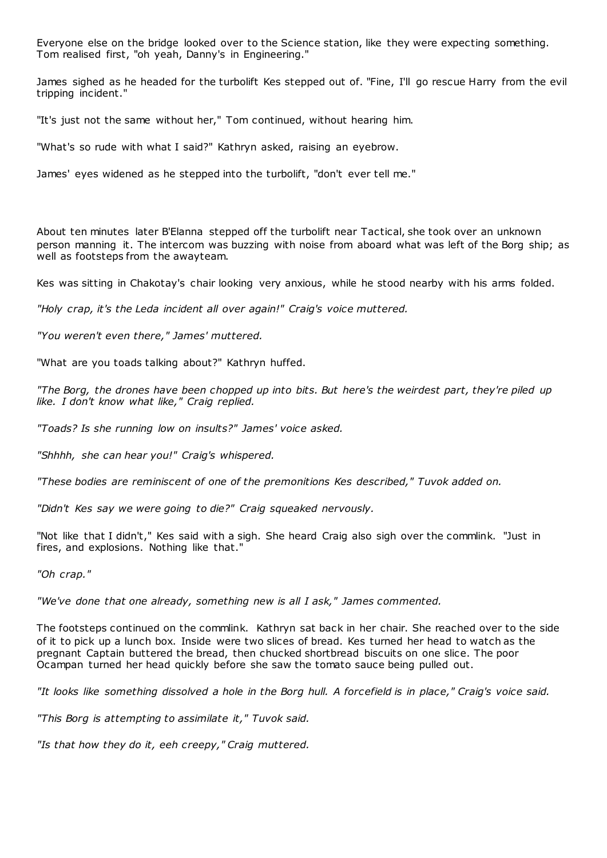Everyone else on the bridge looked over to the Science station, like they were expecting something. Tom realised first, "oh yeah, Danny's in Engineering."

James sighed as he headed for the turbolift Kes stepped out of. "Fine, I'll go rescue Harry from the evil tripping incident."

"It's just not the same without her," Tom continued, without hearing him.

"What's so rude with what I said?" Kathryn asked, raising an eyebrow.

James' eyes widened as he stepped into the turbolift, "don't ever tell me."

About ten minutes later B'Elanna stepped off the turbolift near Tactical, she took over an unknown person manning it. The intercom was buzzing with noise from aboard what was left of the Borg ship; as well as footsteps from the awayteam.

Kes was sitting in Chakotay's chair looking very anxious, while he stood nearby with his arms folded.

*"Holy crap, it's the Leda incident all over again!" Craig's voice muttered.*

*"You weren't even there," James' muttered.*

"What are you toads talking about?" Kathryn huffed.

*"The Borg, the drones have been chopped up into bits. But here's the weirdest part, they're piled up like. I don't know what like," Craig replied.*

*"Toads? Is she running low on insults?" James' voice asked.*

*"Shhhh, she can hear you!" Craig's whispered.*

*"These bodies are reminiscent of one of the premonitions Kes described," Tuvok added on.*

*"Didn't Kes say we were going to die?" Craig squeaked nervously.*

"Not like that I didn't," Kes said with a sigh. She heard Craig also sigh over the commlink. "Just in fires, and explosions. Nothing like that."

*"Oh crap."*

*"We've done that one already, something new is all I ask," James commented.*

The footsteps continued on the commlink. Kathryn sat back in her chair. She reached over to the side of it to pick up a lunch box. Inside were two slices of bread. Kes turned her head to watch as the pregnant Captain buttered the bread, then chucked shortbread biscuits on one slice. The poor Ocampan turned her head quickly before she saw the tomato sauce being pulled out.

*"It looks like something dissolved a hole in the Borg hull. A forcefield is in place," Craig's voice said.*

*"This Borg is attempting to assimilate it," Tuvok said.*

*"Is that how they do it, eeh creepy," Craig muttered.*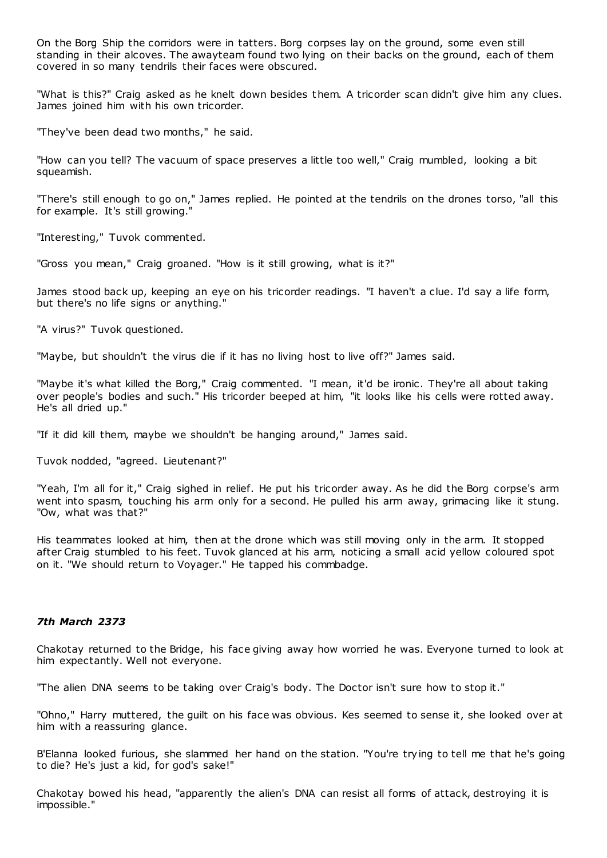On the Borg Ship the corridors were in tatters. Borg corpses lay on the ground, some even still standing in their alcoves. The awayteam found two lying on their backs on the ground, each of them covered in so many tendrils their faces were obscured.

"What is this?" Craig asked as he knelt down besides them. A tricorder scan didn't give him any clues. James joined him with his own tricorder.

"They've been dead two months," he said.

"How can you tell? The vacuum of space preserves a little too well," Craig mumbled, looking a bit squeamish.

"There's still enough to go on," James replied. He pointed at the tendrils on the drones torso, "all this for example. It's still growing."

"Interesting," Tuvok commented.

"Gross you mean," Craig groaned. "How is it still growing, what is it?"

James stood back up, keeping an eye on his tricorder readings. "I haven't a clue. I'd say a life form, but there's no life signs or anything."

"A virus?" Tuvok questioned.

"Maybe, but shouldn't the virus die if it has no living host to live off?" James said.

"Maybe it's what killed the Borg," Craig commented. "I mean, it'd be ironic. They're all about taking over people's bodies and such." His tricorder beeped at him, "it looks like his cells were rotted away. He's all dried up."

"If it did kill them, maybe we shouldn't be hanging around," James said.

Tuvok nodded, "agreed. Lieutenant?"

"Yeah, I'm all for it," Craig sighed in relief. He put his tricorder away. As he did the Borg corpse's arm went into spasm, touching his arm only for a second. He pulled his arm away, grimacing like it stung. "Ow, what was that?"

His teammates looked at him, then at the drone which was still moving only in the arm. It stopped after Craig stumbled to his feet. Tuvok glanced at his arm, noticing a small acid yellow coloured spot on it. "We should return to Voyager." He tapped his commbadge.

# *7th March 2373*

Chakotay returned to the Bridge, his face giving away how worried he was. Everyone turned to look at him expectantly. Well not everyone.

"The alien DNA seems to be taking over Craig's body. The Doctor isn't sure how to stop it."

"Ohno," Harry muttered, the guilt on his face was obvious. Kes seemed to sense it, she looked over at him with a reassuring glance.

B'Elanna looked furious, she slammed her hand on the station. "You're trying to tell me that he's going to die? He's just a kid, for god's sake!"

Chakotay bowed his head, "apparently the alien's DNA can resist all forms of attack, destroying it is impossible."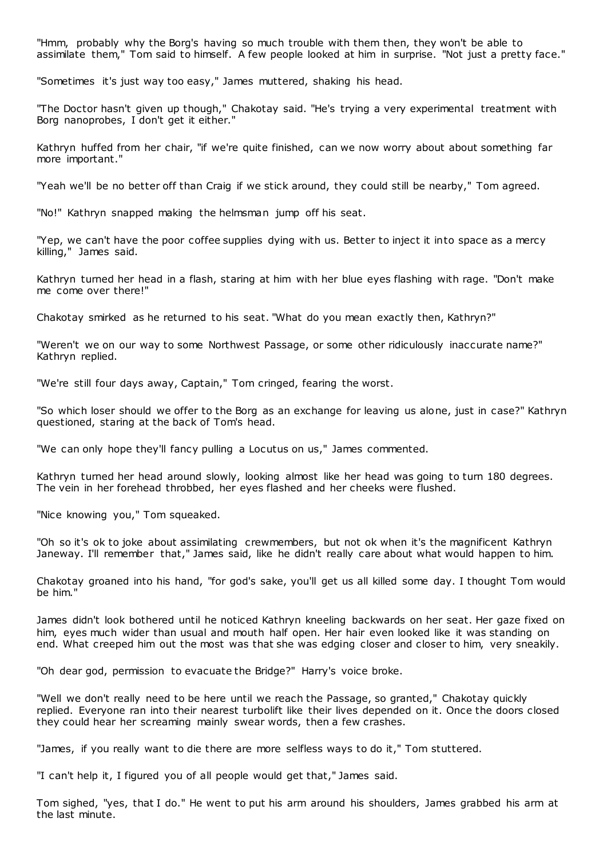"Hmm, probably why the Borg's having so much trouble with them then, they won't be able to assimilate them," Tom said to himself. A few people looked at him in surprise. "Not just a pretty face."

"Sometimes it's just way too easy," James muttered, shaking his head.

"The Doctor hasn't given up though," Chakotay said. "He's trying a very experimental treatment with Borg nanoprobes, I don't get it either."

Kathryn huffed from her chair, "if we're quite finished, can we now worry about about something far more important."

"Yeah we'll be no better off than Craig if we stick around, they could still be nearby," Tom agreed.

"No!" Kathryn snapped making the helmsman jump off his seat.

"Yep, we can't have the poor coffee supplies dying with us. Better to inject it into space as a mercy killing," James said.

Kathryn turned her head in a flash, staring at him with her blue eyes flashing with rage. "Don't make me come over there!"

Chakotay smirked as he returned to his seat. "What do you mean exactly then, Kathryn?"

"Weren't we on our way to some Northwest Passage, or some other ridiculously inaccurate name?" Kathryn replied.

"We're still four days away, Captain," Tom cringed, fearing the worst.

"So which loser should we offer to the Borg as an exchange for leaving us alone, just in case?" Kathryn questioned, staring at the back of Tom's head.

"We can only hope they'll fancy pulling a Locutus on us," James commented.

Kathryn turned her head around slowly, looking almost like her head was going to turn 180 degrees. The vein in her forehead throbbed, her eyes flashed and her cheeks were flushed.

"Nice knowing you," Tom squeaked.

"Oh so it's ok to joke about assimilating crewmembers, but not ok when it's the magnificent Kathryn Janeway. I'll remember that," James said, like he didn't really care about what would happen to him.

Chakotay groaned into his hand, "for god's sake, you'll get us all killed some day. I thought Tom would be him."

James didn't look bothered until he noticed Kathryn kneeling backwards on her seat. Her gaze fixed on him, eyes much wider than usual and mouth half open. Her hair even looked like it was standing on end. What creeped him out the most was that she was edging closer and closer to him, very sneakily.

"Oh dear god, permission to evacuate the Bridge?" Harry's voice broke.

"Well we don't really need to be here until we reach the Passage, so granted," Chakotay quickly replied. Everyone ran into their nearest turbolift like their lives depended on it. Once the doors closed they could hear her screaming mainly swear words, then a few crashes.

"James, if you really want to die there are more selfless ways to do it," Tom stuttered.

"I can't help it, I figured you of all people would get that," James said.

Tom sighed, "yes, that I do." He went to put his arm around his shoulders, James grabbed his arm at the last minute.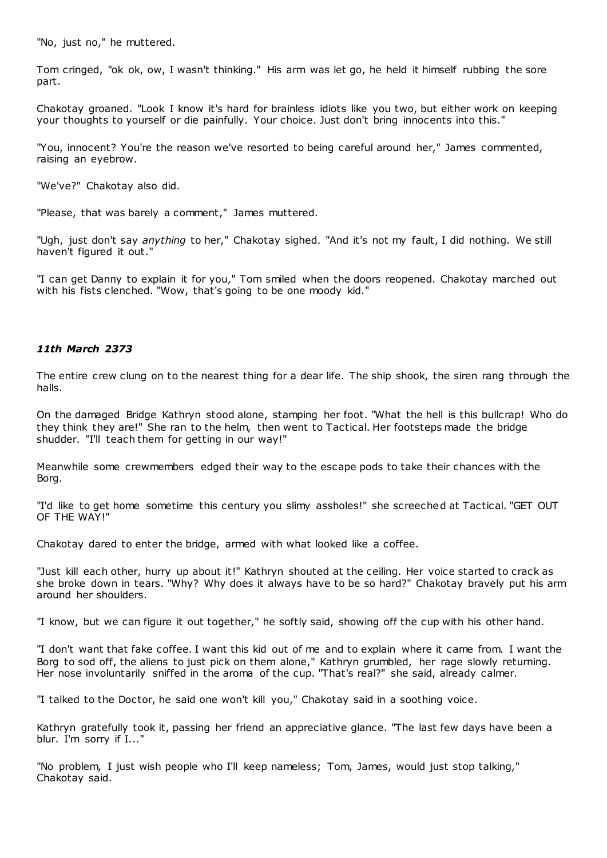"No, just no," he muttered.

Tom cringed, "ok ok, ow, I wasn't thinking." His arm was let go, he held it himself rubbing the sore part.

Chakotay groaned. "Look I know it's hard for brainless idiots like you two, but either work on keeping your thoughts to yourself or die painfully. Your choice. Just don't bring innocents into this."

"You, innocent? You're the reason we've resorted to being careful around her," James commented, raising an eyebrow.

"We've?" Chakotay also did.

"Please, that was barely a comment," James muttered.

"Ugh, just don't say *anything* to her," Chakotay sighed. "And it's not my fault, I did nothing. We still haven't figured it out."

"I can get Danny to explain it for you," Tom smiled when the doors reopened. Chakotay marched out with his fists clenched. "Wow, that's going to be one moody kid."

# *11th March 2373*

The entire crew clung on to the nearest thing for a dear life. The ship shook, the siren rang through the halls.

On the damaged Bridge Kathryn stood alone, stamping her foot. "What the hell is this bullcrap! Who do they think they are!" She ran to the helm, then went to Tactical. Her footsteps made the bridge shudder. "I'll teach them for getting in our way!"

Meanwhile some crewmembers edged their way to the escape pods to take their chances with the Borg.

"I'd like to get home sometime this century you slimy assholes!" she screeched at Tactical. "GET OUT OF THE WAY!"

Chakotay dared to enter the bridge, armed with what looked like a coffee.

"Just kill each other, hurry up about it!" Kathryn shouted at the ceiling. Her voice started to crack as she broke down in tears. "Why? Why does it always have to be so hard?" Chakotay bravely put his arm around her shoulders.

"I know, but we can figure it out together," he softly said, showing off the cup with his other hand.

"I don't want that fake coffee. I want this kid out of me and to explain where it came from. I want the Borg to sod off, the aliens to just pick on them alone," Kathryn grumbled, her rage slowly returning. Her nose involuntarily sniffed in the aroma of the cup. "That's real?" she said, already calmer.

"I talked to the Doctor, he said one won't kill you," Chakotay said in a soothing voice.

Kathryn gratefully took it, passing her friend an appreciative glance. "The last few days have been a blur. I'm sorry if I..."

"No problem, I just wish people who I'll keep nameless; Tom, James, would just stop talking," Chakotay said.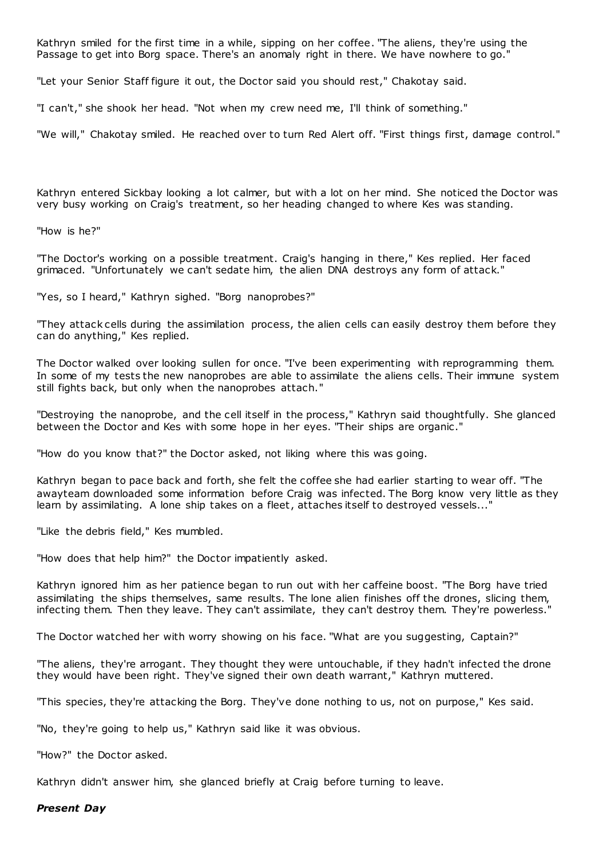Kathryn smiled for the first time in a while, sipping on her coffee. "The aliens, they're using the Passage to get into Borg space. There's an anomaly right in there. We have nowhere to go."

"Let your Senior Staff figure it out, the Doctor said you should rest," Chakotay said.

"I can't," she shook her head. "Not when my crew need me, I'll think of something."

"We will," Chakotay smiled. He reached over to turn Red Alert off. "First things first, damage control."

Kathryn entered Sickbay looking a lot calmer, but with a lot on her mind. She noticed the Doctor was very busy working on Craig's treatment, so her heading changed to where Kes was standing.

"How is he?"

"The Doctor's working on a possible treatment. Craig's hanging in there," Kes replied. Her faced grimaced. "Unfortunately we can't sedate him, the alien DNA destroys any form of attack."

"Yes, so I heard," Kathryn sighed. "Borg nanoprobes?"

"They attack cells during the assimilation process, the alien cells can easily destroy them before they can do anything," Kes replied.

The Doctor walked over looking sullen for once. "I've been experimenting with reprogramming them. In some of my tests the new nanoprobes are able to assimilate the aliens cells. Their immune system still fights back, but only when the nanoprobes attach."

"Destroying the nanoprobe, and the cell itself in the process," Kathryn said thoughtfully. She glanced between the Doctor and Kes with some hope in her eyes. "Their ships are organic ."

"How do you know that?" the Doctor asked, not liking where this was going.

Kathryn began to pace back and forth, she felt the coffee she had earlier starting to wear off. "The awayteam downloaded some information before Craig was infected. The Borg know very little as they learn by assimilating. A lone ship takes on a fleet, attaches itself to destroyed vessels...'

"Like the debris field," Kes mumbled.

"How does that help him?" the Doctor impatiently asked.

Kathryn ignored him as her patience began to run out with her caffeine boost. "The Borg have tried assimilating the ships themselves, same results. The lone alien finishes off the drones, slicing them, infecting them. Then they leave. They can't assimilate, they can't destroy them. They're powerless."

The Doctor watched her with worry showing on his face. "What are you suggesting, Captain?"

"The aliens, they're arrogant. They thought they were untouchable, if they hadn't infected the drone they would have been right. They've signed their own death warrant," Kathryn muttered.

"This species, they're attacking the Borg. They've done nothing to us, not on purpose," Kes said.

"No, they're going to help us," Kathryn said like it was obvious.

"How?" the Doctor asked.

Kathryn didn't answer him, she glanced briefly at Craig before turning to leave.

#### *Present Day*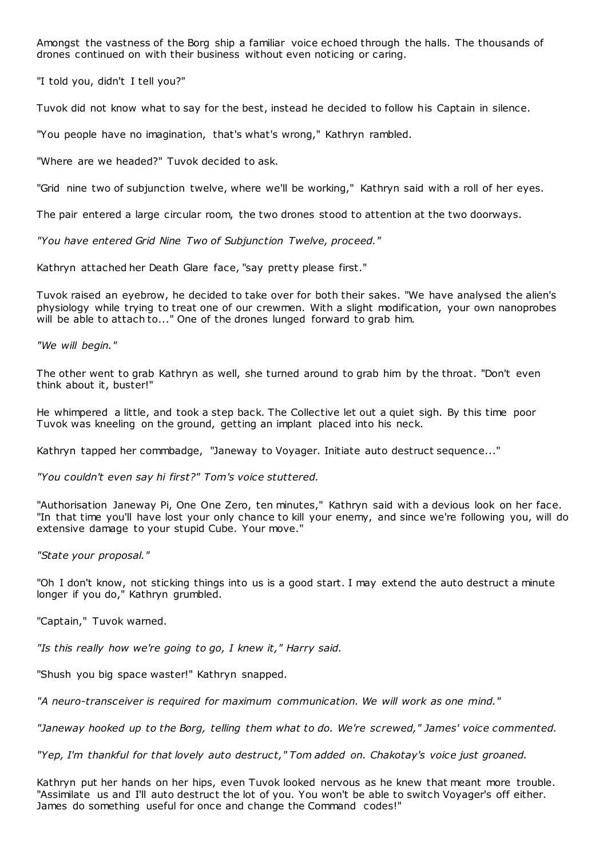Amongst the vastness of the Borg ship a familiar voice echoed through the halls. The thousands of drones continued on with their business without even noticing or caring.

"I told you, didn't I tell you?"

Tuvok did not know what to say for the best, instead he decided to follow his Captain in silence.

"You people have no imagination, that's what's wrong," Kathryn rambled.

"Where are we headed?" Tuvok decided to ask.

"Grid nine two of subjunction twelve, where we'll be working," Kathryn said with a roll of her eyes.

The pair entered a large circular room, the two drones stood to attention at the two doorways.

*"You have entered Grid Nine Two of Subjunction Twelve, proceed."*

Kathryn attached her Death Glare face, "say pretty please first."

Tuvok raised an eyebrow, he decided to take over for both their sakes. "We have analysed the alien's physiology while trying to treat one of our crewmen. With a slight modification, your own nanoprobes will be able to attach to..." One of the drones lunged forward to grab him.

*"We will begin."*

The other went to grab Kathryn as well, she turned around to grab him by the throat. "Don't even think about it, buster!"

He whimpered a little, and took a step back. The Collective let out a quiet sigh. By this time poor Tuvok was kneeling on the ground, getting an implant placed into his neck.

Kathryn tapped her commbadge, "Janeway to Voyager. Initiate auto destruct sequence..."

*"You couldn't even say hi first?" Tom's voice stuttered.*

"Authorisation Janeway Pi, One One Zero, ten minutes," Kathryn said with a devious look on her face. "In that time you'll have lost your only chance to kill your enemy, and since we're following you, will do extensive damage to your stupid Cube. Your move."

*"State your proposal."*

"Oh I don't know, not sticking things into us is a good start. I may extend the auto destruct a minute longer if you do," Kathryn grumbled.

"Captain," Tuvok warned.

*"Is this really how we're going to go, I knew it," Harry said.*

"Shush you big space waster!" Kathryn snapped.

*"A neuro-transceiver is required for maximum communication. We will work as one mind."*

*"Janeway hooked up to the Borg, telling them what to do. We're screwed," James' voice commented.*

*"Yep, I'm thankful for that lovely auto destruct," Tom added on. Chakotay's voice just groaned.*

Kathryn put her hands on her hips, even Tuvok looked nervous as he knew that meant more trouble. "Assimilate us and I'll auto destruct the lot of you. You won't be able to switch Voyager's off either. James do something useful for once and change the Command codes!"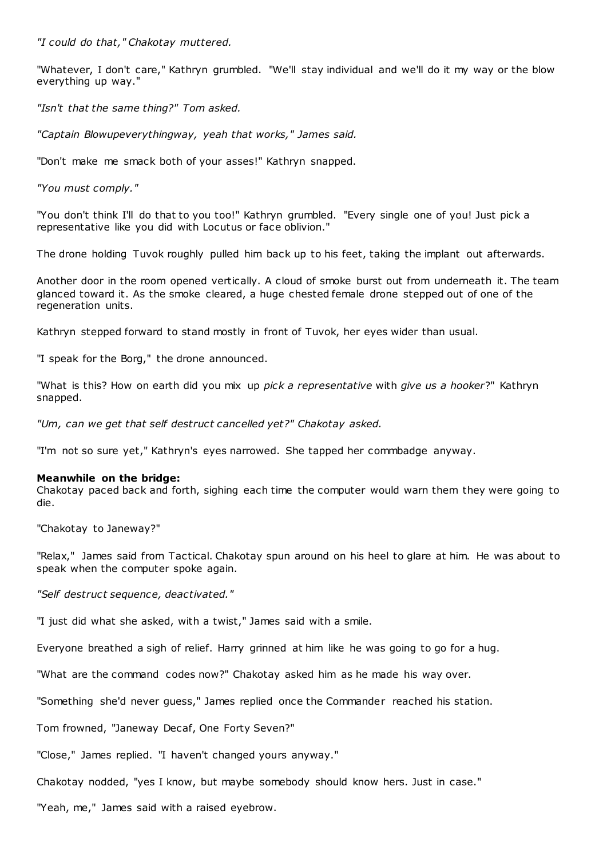*"I could do that," Chakotay muttered.*

"Whatever, I don't care," Kathryn grumbled. "We'll stay individual and we'll do it my way or the blow everything up way."

*"Isn't that the same thing?" Tom asked.*

*"Captain Blowupeverythingway, yeah that works," James said.*

"Don't make me smack both of your asses!" Kathryn snapped.

*"You must comply."*

"You don't think I'll do that to you too!" Kathryn grumbled. "Every single one of you! Just pick a representative like you did with Locutus or face oblivion."

The drone holding Tuvok roughly pulled him back up to his feet, taking the implant out afterwards.

Another door in the room opened vertically. A cloud of smoke burst out from underneath it. The team glanced toward it. As the smoke cleared, a huge chested female drone stepped out of one of the regeneration units.

Kathryn stepped forward to stand mostly in front of Tuvok, her eyes wider than usual.

"I speak for the Borg," the drone announced.

"What is this? How on earth did you mix up *pick a representative* with *give us a hooker*?" Kathryn snapped.

*"Um, can we get that self destruct cancelled yet?" Chakotay asked.*

"I'm not so sure yet," Kathryn's eyes narrowed. She tapped her commbadge anyway.

# **Meanwhile on the bridge:**

Chakotay paced back and forth, sighing each time the computer would warn them they were going to die.

"Chakotay to Janeway?"

"Relax," James said from Tactical. Chakotay spun around on his heel to glare at him. He was about to speak when the computer spoke again.

*"Self destruct sequence, deactivated."*

"I just did what she asked, with a twist," James said with a smile.

Everyone breathed a sigh of relief. Harry grinned at him like he was going to go for a hug.

"What are the command codes now?" Chakotay asked him as he made his way over.

"Something she'd never guess," James replied once the Commander reached his station.

Tom frowned, "Janeway Decaf, One Forty Seven?"

"Close," James replied. "I haven't changed yours anyway."

Chakotay nodded, "yes I know, but maybe somebody should know hers. Just in case."

"Yeah, me," James said with a raised eyebrow.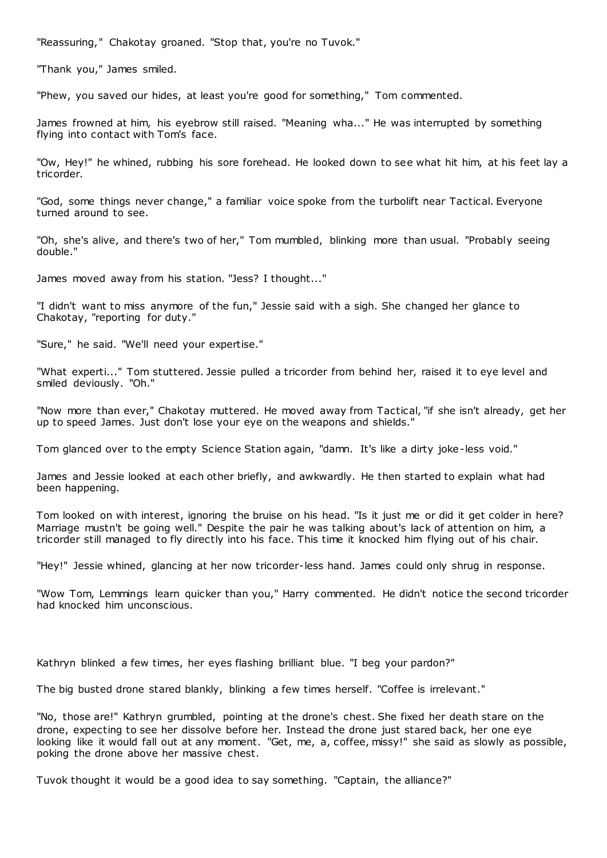"Reassuring," Chakotay groaned. "Stop that, you're no Tuvok."

"Thank you," James smiled.

"Phew, you saved our hides, at least you're good for something," Tom commented.

James frowned at him, his eyebrow still raised. "Meaning wha..." He was interrupted by something flying into contact with Tom's face.

"Ow, Hey!" he whined, rubbing his sore forehead. He looked down to see what hit him, at his feet lay a tricorder.

"God, some things never change," a familiar voice spoke from the turbolift near Tactical. Everyone turned around to see.

"Oh, she's alive, and there's two of her," Tom mumbled, blinking more than usual. "Probably seeing double."

James moved away from his station. "Jess? I thought..."

"I didn't want to miss anymore of the fun," Jessie said with a sigh. She changed her glance to Chakotay, "reporting for duty."

"Sure," he said. "We'll need your expertise."

"What experti..." Tom stuttered. Jessie pulled a tricorder from behind her, raised it to eye level and smiled deviously. "Oh."

"Now more than ever," Chakotay muttered. He moved away from Tactical, "if she isn't already, get her up to speed James. Just don't lose your eye on the weapons and shields."

Tom glanced over to the empty Science Station again, "damn. It's like a dirty joke-less void."

James and Jessie looked at each other briefly, and awkwardly. He then started to explain what had been happening.

Tom looked on with interest, ignoring the bruise on his head. "Is it just me or did it get colder in here? Marriage mustn't be going well." Despite the pair he was talking about's lack of attention on him, a tricorder still managed to fly directly into his face. This time it knocked him flying out of his chair.

"Hey!" Jessie whined, glancing at her now tricorder-less hand. James could only shrug in response.

"Wow Tom, Lemmings learn quicker than you," Harry commented. He didn't notice the second tricorder had knocked him unconscious.

Kathryn blinked a few times, her eyes flashing brilliant blue. "I beg your pardon?"

The big busted drone stared blankly, blinking a few times herself. "Coffee is irrelevant."

"No, those are!" Kathryn grumbled, pointing at the drone's chest. She fixed her death stare on the drone, expecting to see her dissolve before her. Instead the drone just stared back, her one eye looking like it would fall out at any moment. "Get, me, a, coffee, missy!" she said as slowly as possible, poking the drone above her massive chest.

Tuvok thought it would be a good idea to say something. "Captain, the alliance?"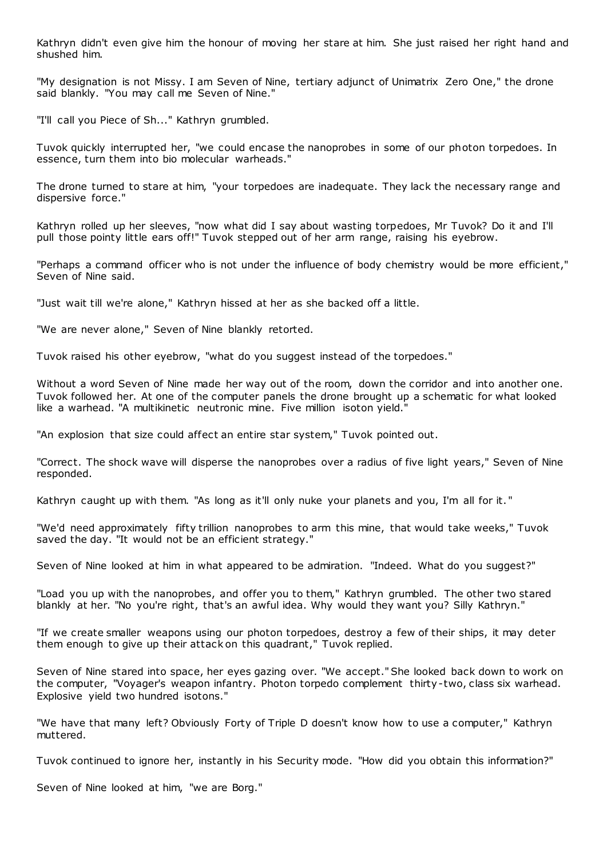Kathryn didn't even give him the honour of moving her stare at him. She just raised her right hand and shushed him.

"My designation is not Missy. I am Seven of Nine, tertiary adjunct of Unimatrix Zero One," the drone said blankly. "You may call me Seven of Nine."

"I'll call you Piece of Sh..." Kathryn grumbled.

Tuvok quickly interrupted her, "we could encase the nanoprobes in some of our photon torpedoes. In essence, turn them into bio molecular warheads."

The drone turned to stare at him, "your torpedoes are inadequate. They lack the necessary range and dispersive force."

Kathryn rolled up her sleeves, "now what did I say about wasting torpedoes, Mr Tuvok? Do it and I'll pull those pointy little ears off!" Tuvok stepped out of her arm range, raising his eyebrow.

"Perhaps a command officer who is not under the influence of body chemistry would be more efficient," Seven of Nine said.

"Just wait till we're alone," Kathryn hissed at her as she backed off a little.

"We are never alone," Seven of Nine blankly retorted.

Tuvok raised his other eyebrow, "what do you suggest instead of the torpedoes."

Without a word Seven of Nine made her way out of the room, down the corridor and into another one. Tuvok followed her. At one of the computer panels the drone brought up a schematic for what looked like a warhead. "A multikinetic neutronic mine. Five million isoton yield."

"An explosion that size could affect an entire star system," Tuvok pointed out.

"Correct. The shock wave will disperse the nanoprobes over a radius of five light years," Seven of Nine responded.

Kathryn caught up with them. "As long as it'll only nuke your planets and you, I'm all for it. "

"We'd need approximately fifty trillion nanoprobes to arm this mine, that would take weeks," Tuvok saved the day. "It would not be an efficient strategy."

Seven of Nine looked at him in what appeared to be admiration. "Indeed. What do you suggest?"

"Load you up with the nanoprobes, and offer you to them," Kathryn grumbled. The other two stared blankly at her. "No you're right, that's an awful idea. Why would they want you? Silly Kathryn."

"If we create smaller weapons using our photon torpedoes, destroy a few of their ships, it may deter them enough to give up their attack on this quadrant," Tuvok replied.

Seven of Nine stared into space, her eyes gazing over. "We accept." She looked back down to work on the computer, "Voyager's weapon infantry. Photon torpedo complement thirty-two, class six warhead. Explosive yield two hundred isotons."

"We have that many left? Obviously Forty of Triple D doesn't know how to use a computer," Kathryn muttered.

Tuvok continued to ignore her, instantly in his Security mode. "How did you obtain this information?"

Seven of Nine looked at him, "we are Borg."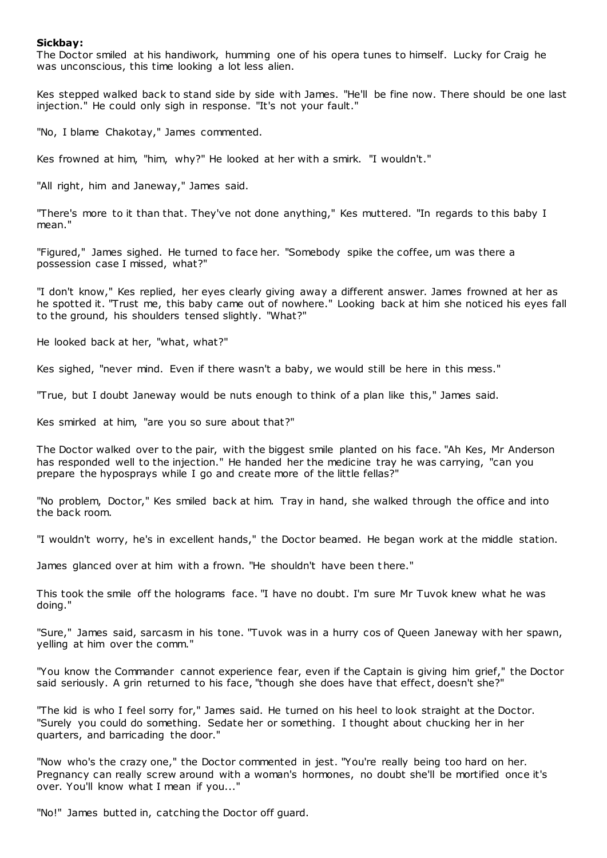### **Sickbay:**

The Doctor smiled at his handiwork, humming one of his opera tunes to himself. Lucky for Craig he was unconscious, this time looking a lot less alien.

Kes stepped walked back to stand side by side with James. "He'll be fine now. There should be one last injection." He could only sigh in response. "It's not your fault."

"No, I blame Chakotay," James commented.

Kes frowned at him, "him, why?" He looked at her with a smirk. "I wouldn't."

"All right, him and Janeway," James said.

"There's more to it than that. They've not done anything," Kes muttered. "In regards to this baby I mean."

"Figured," James sighed. He turned to face her. "Somebody spike the coffee, um was there a possession case I missed, what?"

"I don't know," Kes replied, her eyes clearly giving away a different answer. James frowned at her as he spotted it. "Trust me, this baby came out of nowhere." Looking back at him she noticed his eyes fall to the ground, his shoulders tensed slightly. "What?"

He looked back at her, "what, what?"

Kes sighed, "never mind. Even if there wasn't a baby, we would still be here in this mess."

"True, but I doubt Janeway would be nuts enough to think of a plan like this," James said.

Kes smirked at him, "are you so sure about that?"

The Doctor walked over to the pair, with the biggest smile planted on his face. "Ah Kes, Mr Anderson has responded well to the injection." He handed her the medicine tray he was carrying, "can you prepare the hyposprays while I go and create more of the little fellas?"

"No problem, Doctor," Kes smiled back at him. Tray in hand, she walked through the office and into the back room.

"I wouldn't worry, he's in excellent hands," the Doctor beamed. He began work at the middle station.

James glanced over at him with a frown. "He shouldn't have been t here."

This took the smile off the holograms face. "I have no doubt. I'm sure Mr Tuvok knew what he was doing."

"Sure," James said, sarcasm in his tone. "Tuvok was in a hurry cos of Queen Janeway with her spawn, yelling at him over the comm."

"You know the Commander cannot experience fear, even if the Captain is giving him grief," the Doctor said seriously. A grin returned to his face, "though she does have that effect, doesn't she?"

"The kid is who I feel sorry for," James said. He turned on his heel to look straight at the Doctor. "Surely you could do something. Sedate her or something. I thought about chucking her in her quarters, and barricading the door."

"Now who's the crazy one," the Doctor commented in jest. "You're really being too hard on her. Pregnancy can really screw around with a woman's hormones, no doubt she'll be mortified once it's over. You'll know what I mean if you..."

"No!" James butted in, catching the Doctor off guard.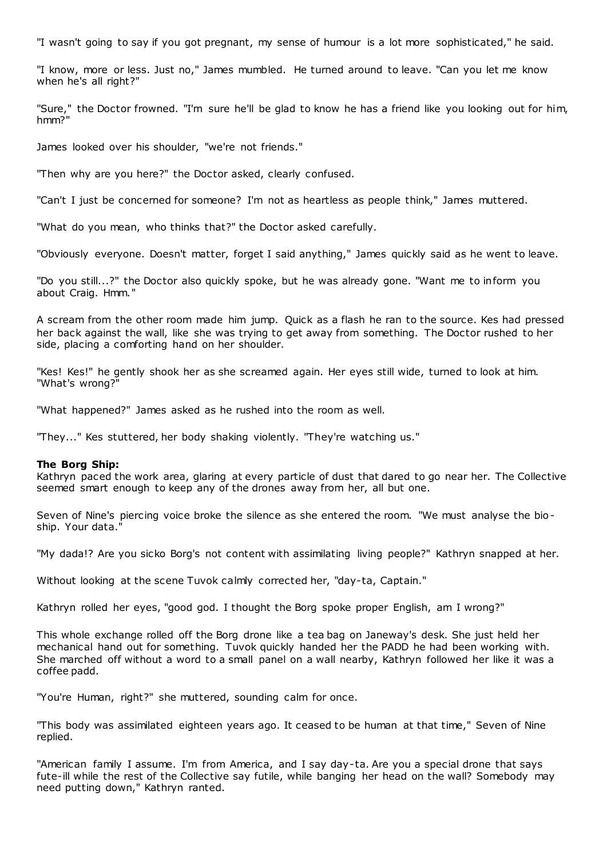"I wasn't going to say if you got pregnant, my sense of humour is a lot more sophisticated," he said.

"I know, more or less. Just no," James mumbled. He turned around to leave. "Can you let me know when he's all right?"

"Sure," the Doctor frowned. "I'm sure he'll be glad to know he has a friend like you looking out for him, hmm?"

James looked over his shoulder, "we're not friends."

"Then why are you here?" the Doctor asked, clearly confused.

"Can't I just be concerned for someone? I'm not as heartless as people think," James muttered.

"What do you mean, who thinks that?" the Doctor asked carefully.

"Obviously everyone. Doesn't matter, forget I said anything," James quickly said as he went to leave.

"Do you still...?" the Doctor also quickly spoke, but he was already gone. "Want me to inform you about Craig. Hmm."

A scream from the other room made him jump. Quick as a flash he ran to the source. Kes had pressed her back against the wall, like she was trying to get away from something. The Doctor rushed to her side, placing a comforting hand on her shoulder.

"Kes! Kes!" he gently shook her as she screamed again. Her eyes still wide, turned to look at him. "What's wrong?"

"What happened?" James asked as he rushed into the room as well.

"They..." Kes stuttered, her body shaking violently. "They're watching us."

# **The Borg Ship:**

Kathryn paced the work area, glaring at every particle of dust that dared to go near her. The Collective seemed smart enough to keep any of the drones away from her, all but one.

Seven of Nine's piercing voice broke the silence as she entered the room. "We must analyse the bioship. Your data."

"My dada!? Are you sicko Borg's not content with assimilating living people?" Kathryn snapped at her.

Without looking at the scene Tuvok calmly corrected her, "day-ta, Captain."

Kathryn rolled her eyes, "good god. I thought the Borg spoke proper English, am I wrong?"

This whole exchange rolled off the Borg drone like a tea bag on Janeway's desk. She just held her mechanical hand out for something. Tuvok quickly handed her the PADD he had been working with. She marched off without a word to a small panel on a wall nearby, Kathryn followed her like it was a coffee padd.

"You're Human, right?" she muttered, sounding calm for once.

"This body was assimilated eighteen years ago. It ceased to be human at that time," Seven of Nine replied.

"American family I assume. I'm from America, and I say day-ta. Are you a special drone that says fute-ill while the rest of the Collective say futile, while banging her head on the wall? Somebody may need putting down," Kathryn ranted.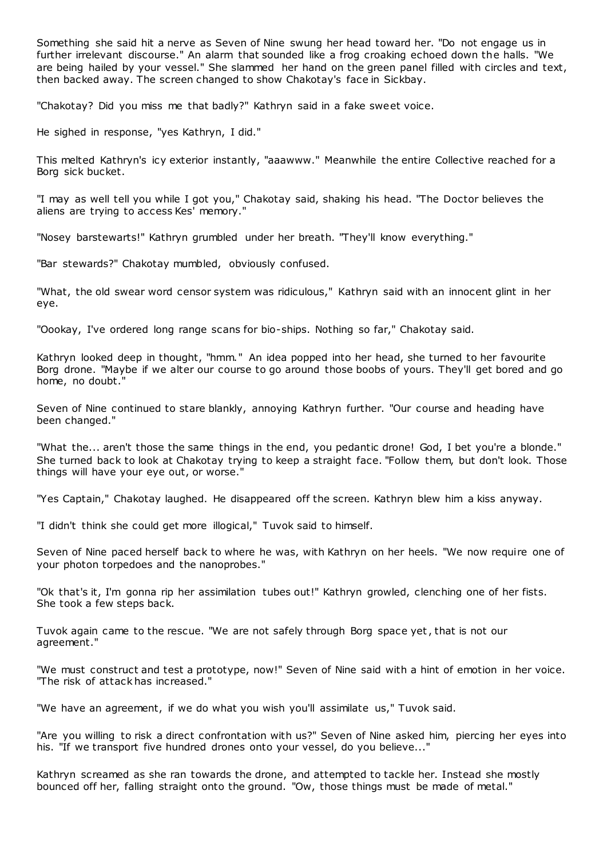Something she said hit a nerve as Seven of Nine swung her head toward her. "Do not engage us in further irrelevant discourse." An alarm that sounded like a frog croaking echoed down the halls. "We are being hailed by your vessel." She slammed her hand on the green panel filled with circles and text, then backed away. The screen changed to show Chakotay's face in Sickbay.

"Chakotay? Did you miss me that badly?" Kathryn said in a fake sweet voice.

He sighed in response, "yes Kathryn, I did."

This melted Kathryn's icy exterior instantly, "aaawww." Meanwhile the entire Collective reached for a Borg sick bucket.

"I may as well tell you while I got you," Chakotay said, shaking his head. "The Doctor believes the aliens are trying to access Kes' memory."

"Nosey barstewarts!" Kathryn grumbled under her breath. "They'll know everything."

"Bar stewards?" Chakotay mumbled, obviously confused.

"What, the old swear word censor system was ridiculous," Kathryn said with an innocent glint in her eye.

"Oookay, I've ordered long range scans for bio-ships. Nothing so far," Chakotay said.

Kathryn looked deep in thought, "hmm." An idea popped into her head, she turned to her favourite Borg drone. "Maybe if we alter our course to go around those boobs of yours. They'll get bored and go home, no doubt."

Seven of Nine continued to stare blankly, annoying Kathryn further. "Our course and heading have been changed."

"What the... aren't those the same things in the end, you pedantic drone! God, I bet you're a blonde." She turned back to look at Chakotay trying to keep a straight face. "Follow them, but don't look. Those things will have your eye out, or worse."

"Yes Captain," Chakotay laughed. He disappeared off the screen. Kathryn blew him a kiss anyway.

"I didn't think she could get more illogical," Tuvok said to himself.

Seven of Nine paced herself back to where he was, with Kathryn on her heels. "We now require one of your photon torpedoes and the nanoprobes."

"Ok that's it, I'm gonna rip her assimilation tubes out!" Kathryn growled, clenching one of her fists. She took a few steps back.

Tuvok again came to the rescue. "We are not safely through Borg space yet, that is not our agreement."

"We must construct and test a prototype, now!" Seven of Nine said with a hint of emotion in her voice. "The risk of attack has increased."

"We have an agreement, if we do what you wish you'll assimilate us," Tuvok said.

"Are you willing to risk a direct confrontation with us?" Seven of Nine asked him, piercing her eyes into his. "If we transport five hundred drones onto your vessel, do you believe..."

Kathryn screamed as she ran towards the drone, and attempted to tackle her. Instead she mostly bounced off her, falling straight onto the ground. "Ow, those things must be made of metal."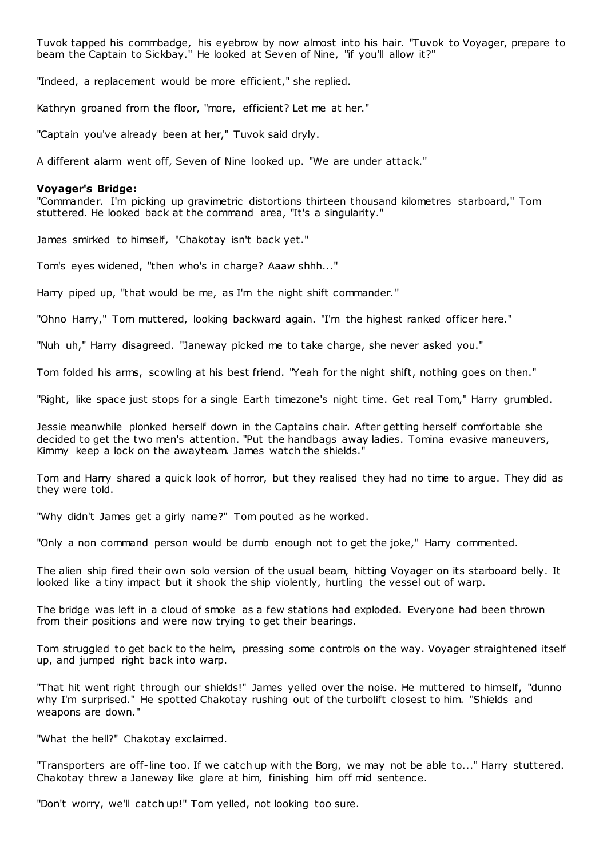Tuvok tapped his commbadge, his eyebrow by now almost into his hair. "Tuvok to Voyager, prepare to beam the Captain to Sickbay." He looked at Seven of Nine, "if you'll allow it?"

"Indeed, a replacement would be more efficient," she replied.

Kathryn groaned from the floor, "more, efficient? Let me at her."

"Captain you've already been at her," Tuvok said dryly.

A different alarm went off, Seven of Nine looked up. "We are under attack."

#### **Voyager's Bridge:**

"Commander. I'm picking up gravimetric distortions thirteen thousand kilometres starboard," Tom stuttered. He looked back at the command area, "It's a singularity."

James smirked to himself, "Chakotay isn't back yet."

Tom's eyes widened, "then who's in charge? Aaaw shhh..."

Harry piped up, "that would be me, as I'm the night shift commander."

"Ohno Harry," Tom muttered, looking backward again. "I'm the highest ranked officer here."

"Nuh uh," Harry disagreed. "Janeway picked me to take charge, she never asked you."

Tom folded his arms, scowling at his best friend. "Yeah for the night shift, nothing goes on then."

"Right, like space just stops for a single Earth timezone's night time. Get real Tom," Harry grumbled.

Jessie meanwhile plonked herself down in the Captains chair. After getting herself comfortable she decided to get the two men's attention. "Put the handbags away ladies. Tomina evasive maneuvers, Kimmy keep a lock on the awayteam. James watch the shields."

Tom and Harry shared a quick look of horror, but they realised they had no time to argue. They did as they were told.

"Why didn't James get a girly name?" Tom pouted as he worked.

"Only a non command person would be dumb enough not to get the joke," Harry commented.

The alien ship fired their own solo version of the usual beam, hitting Voyager on its starboard belly. It looked like a tiny impact but it shook the ship violently, hurtling the vessel out of warp.

The bridge was left in a cloud of smoke as a few stations had exploded. Everyone had been thrown from their positions and were now trying to get their bearings.

Tom struggled to get back to the helm, pressing some controls on the way. Voyager straightened itself up, and jumped right back into warp.

"That hit went right through our shields!" James yelled over the noise. He muttered to himself, "dunno why I'm surprised." He spotted Chakotay rushing out of the turbolift closest to him. "Shields and weapons are down."

"What the hell?" Chakotay exclaimed.

"Transporters are off-line too. If we catch up with the Borg, we may not be able to..." Harry stuttered. Chakotay threw a Janeway like glare at him, finishing him off mid sentence.

"Don't worry, we'll catch up!" Tom yelled, not looking too sure.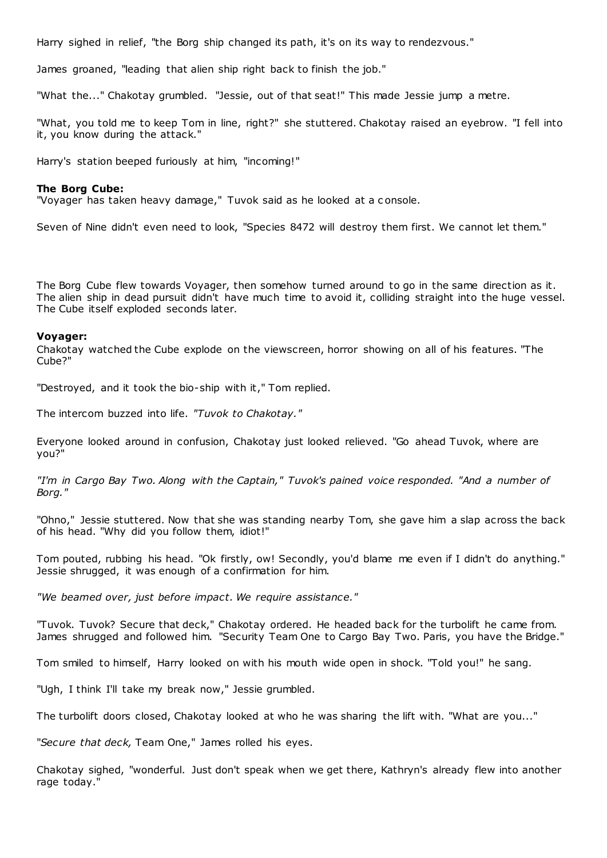Harry sighed in relief, "the Borg ship changed its path, it's on its way to rendezvous."

James groaned, "leading that alien ship right back to finish the job."

"What the..." Chakotay grumbled. "Jessie, out of that seat!" This made Jessie jump a metre.

"What, you told me to keep Tom in line, right?" she stuttered. Chakotay raised an eyebrow. "I fell into it, you know during the attack."

Harry's station beeped furiously at him, "incoming!"

# **The Borg Cube:**

"Voyager has taken heavy damage," Tuvok said as he looked at a c onsole.

Seven of Nine didn't even need to look, "Species 8472 will destroy them first. We cannot let them."

The Borg Cube flew towards Voyager, then somehow turned around to go in the same direction as it. The alien ship in dead pursuit didn't have much time to avoid it, colliding straight into the huge vessel. The Cube itself exploded seconds later.

# **Voyager:**

Chakotay watched the Cube explode on the viewscreen, horror showing on all of his features. "The Cube?"

"Destroyed, and it took the bio-ship with it," Tom replied.

The intercom buzzed into life. *"Tuvok to Chakotay."*

Everyone looked around in confusion, Chakotay just looked relieved. "Go ahead Tuvok, where are you?"

*"I'm in Cargo Bay Two. Along with the Captain," Tuvok's pained voice responded. "And a number of Borg."*

"Ohno," Jessie stuttered. Now that she was standing nearby Tom, she gave him a slap across the back of his head. "Why did you follow them, idiot!"

Tom pouted, rubbing his head. "Ok firstly, ow! Secondly, you'd blame me even if I didn't do anything." Jessie shrugged, it was enough of a confirmation for him.

*"We beamed over, just before impact. We require assistance."*

"Tuvok. Tuvok? Secure that deck," Chakotay ordered. He headed back for the turbolift he came from. James shrugged and followed him. "Security Team One to Cargo Bay Two. Paris, you have the Bridge."

Tom smiled to himself, Harry looked on with his mouth wide open in shock. "Told you!" he sang.

"Ugh, I think I'll take my break now," Jessie grumbled.

The turbolift doors closed, Chakotay looked at who he was sharing the lift with. "What are you..."

"*Secure that deck,* Team One," James rolled his eyes.

Chakotay sighed, "wonderful. Just don't speak when we get there, Kathryn's already flew into another rage today."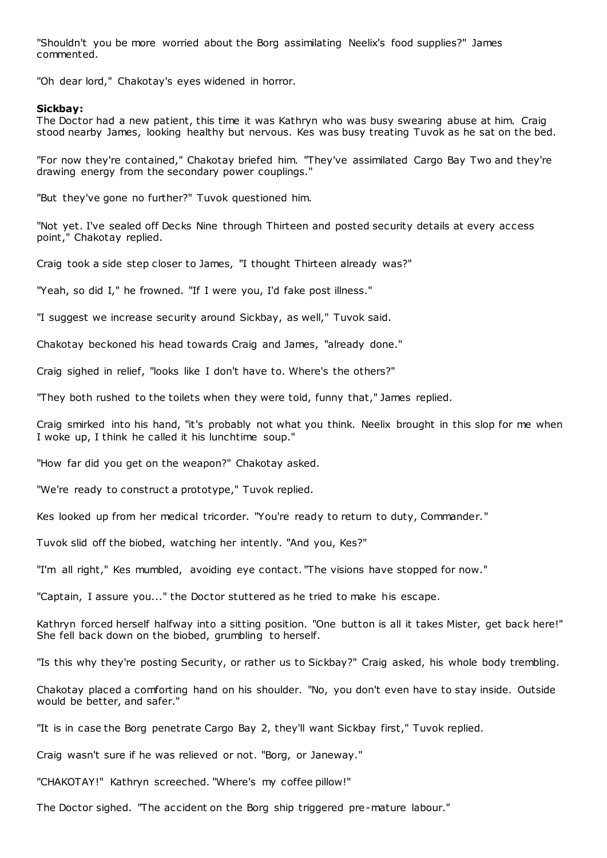"Shouldn't you be more worried about the Borg assimilating Neelix's food supplies?" James commented.

"Oh dear lord," Chakotay's eyes widened in horror.

### **Sickbay:**

The Doctor had a new patient, this time it was Kathryn who was busy swearing abuse at him. Craig stood nearby James, looking healthy but nervous. Kes was busy treating Tuvok as he sat on the bed.

"For now they're contained," Chakotay briefed him. "They've assimilated Cargo Bay Two and they're drawing energy from the secondary power couplings."

"But they've gone no further?" Tuvok questioned him.

"Not yet. I've sealed off Decks Nine through Thirteen and posted security details at every access point," Chakotay replied.

Craig took a side step closer to James, "I thought Thirteen already was?"

"Yeah, so did I," he frowned. "If I were you, I'd fake post illness."

"I suggest we increase security around Sickbay, as well," Tuvok said.

Chakotay beckoned his head towards Craig and James, "already done."

Craig sighed in relief, "looks like I don't have to. Where's the others?"

"They both rushed to the toilets when they were told, funny that," James replied.

Craig smirked into his hand, "it's probably not what you think. Neelix brought in this slop for me when I woke up, I think he called it his lunchtime soup."

"How far did you get on the weapon?" Chakotay asked.

"We're ready to construct a prototype," Tuvok replied.

Kes looked up from her medical tricorder. "You're ready to return to duty, Commander."

Tuvok slid off the biobed, watching her intently. "And you, Kes?"

"I'm all right," Kes mumbled, avoiding eye contact. "The visions have stopped for now."

"Captain, I assure you..." the Doctor stuttered as he tried to make his escape.

Kathryn forced herself halfway into a sitting position. "One button is all it takes Mister, get back here!" She fell back down on the biobed, grumbling to herself.

"Is this why they're posting Security, or rather us to Sickbay?" Craig asked, his whole body trembling.

Chakotay placed a comforting hand on his shoulder. "No, you don't even have to stay inside. Outside would be better, and safer."

"It is in case the Borg penetrate Cargo Bay 2, they'll want Sickbay first," Tuvok replied.

Craig wasn't sure if he was relieved or not. "Borg, or Janeway."

"CHAKOTAY!" Kathryn screeched. "Where's my coffee pillow!"

The Doctor sighed. "The accident on the Borg ship triggered pre-mature labour."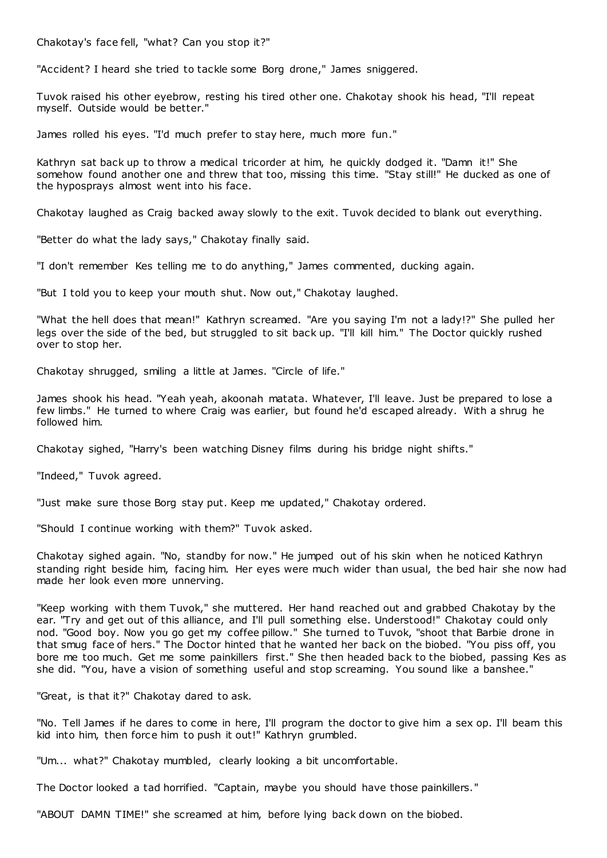Chakotay's face fell, "what? Can you stop it?"

"Accident? I heard she tried to tackle some Borg drone," James sniggered.

Tuvok raised his other eyebrow, resting his tired other one. Chakotay shook his head, "I'll repeat myself. Outside would be better."

James rolled his eyes. "I'd much prefer to stay here, much more fun."

Kathryn sat back up to throw a medical tricorder at him, he quickly dodged it. "Damn it!" She somehow found another one and threw that too, missing this time. "Stay still!" He ducked as one of the hyposprays almost went into his face.

Chakotay laughed as Craig backed away slowly to the exit. Tuvok decided to blank out everything.

"Better do what the lady says," Chakotay finally said.

"I don't remember Kes telling me to do anything," James commented, ducking again.

"But I told you to keep your mouth shut. Now out," Chakotay laughed.

"What the hell does that mean!" Kathryn screamed. "Are you saying I'm not a lady!?" She pulled her legs over the side of the bed, but struggled to sit back up. "I'll kill him." The Doctor quickly rushed over to stop her.

Chakotay shrugged, smiling a little at James. "Circle of life."

James shook his head. "Yeah yeah, akoonah matata. Whatever, I'll leave. Just be prepared to lose a few limbs." He turned to where Craig was earlier, but found he'd escaped already. With a shrug he followed him.

Chakotay sighed, "Harry's been watching Disney films during his bridge night shifts."

"Indeed," Tuvok agreed.

"Just make sure those Borg stay put. Keep me updated," Chakotay ordered.

"Should I continue working with them?" Tuvok asked.

Chakotay sighed again. "No, standby for now." He jumped out of his skin when he noticed Kathryn standing right beside him, facing him. Her eyes were much wider than usual, the bed hair she now had made her look even more unnerving.

"Keep working with them Tuvok," she muttered. Her hand reached out and grabbed Chakotay by the ear. "Try and get out of this alliance, and I'll pull something else. Understood!" Chakotay could only nod. "Good boy. Now you go get my coffee pillow." She turned to Tuvok, "shoot that Barbie drone in that smug face of hers." The Doctor hinted that he wanted her back on the biobed. "You piss off, you bore me too much. Get me some painkillers first." She then headed back to the biobed, passing Kes as she did. "You, have a vision of something useful and stop screaming. You sound like a banshee."

"Great, is that it?" Chakotay dared to ask.

"No. Tell James if he dares to come in here, I'll program the doctor to give him a sex op. I'll beam this kid into him, then force him to push it out!" Kathryn grumbled.

"Um... what?" Chakotay mumbled, clearly looking a bit uncomfortable.

The Doctor looked a tad horrified. "Captain, maybe you should have those painkillers."

"ABOUT DAMN TIME!" she screamed at him, before lying back down on the biobed.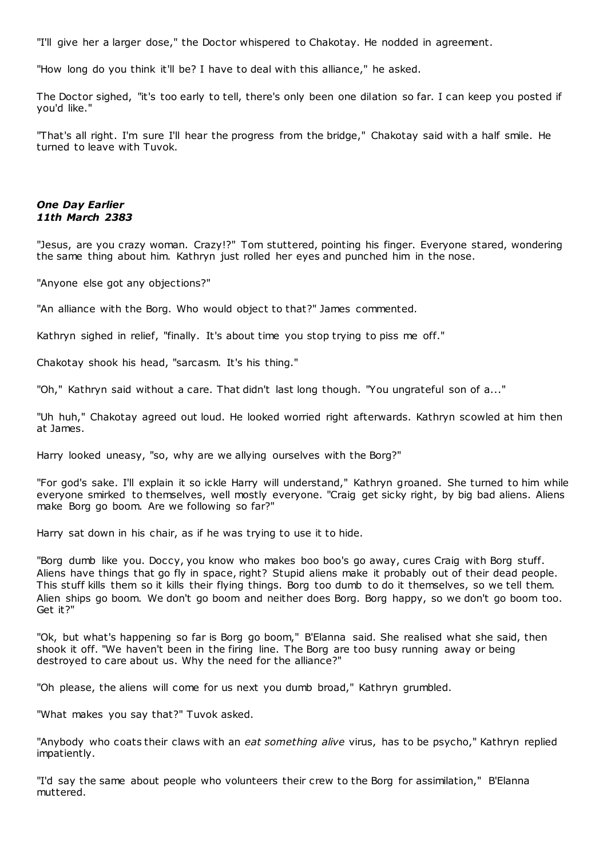"I'll give her a larger dose," the Doctor whispered to Chakotay. He nodded in agreement.

"How long do you think it'll be? I have to deal with this alliance," he asked.

The Doctor sighed, "it's too early to tell, there's only been one dilation so far. I can keep you posted if you'd like."

"That's all right. I'm sure I'll hear the progress from the bridge," Chakotay said with a half smile. He turned to leave with Tuvok.

# *One Day Earlier 11th March 2383*

"Jesus, are you crazy woman. Crazy!?" Tom stuttered, pointing his finger. Everyone stared, wondering the same thing about him. Kathryn just rolled her eyes and punched him in the nose.

"Anyone else got any objections?"

"An alliance with the Borg. Who would object to that?" James commented.

Kathryn sighed in relief, "finally. It's about time you stop trying to piss me off."

Chakotay shook his head, "sarcasm. It's his thing."

"Oh," Kathryn said without a care. That didn't last long though. "You ungrateful son of a..."

"Uh huh," Chakotay agreed out loud. He looked worried right afterwards. Kathryn scowled at him then at James.

Harry looked uneasy, "so, why are we allying ourselves with the Borg?"

"For god's sake. I'll explain it so ickle Harry will understand," Kathryn groaned. She turned to him while everyone smirked to themselves, well mostly everyone. "Craig get sicky right, by big bad aliens. Aliens make Borg go boom. Are we following so far?"

Harry sat down in his chair, as if he was trying to use it to hide.

"Borg dumb like you. Doccy, you know who makes boo boo's go away, cures Craig with Borg stuff. Aliens have things that go fly in space, right? Stupid aliens make it probably out of their dead people. This stuff kills them so it kills their flying things. Borg too dumb to do it themselves, so we tell them. Alien ships go boom. We don't go boom and neither does Borg. Borg happy, so we don't go boom too. Get it?"

"Ok, but what's happening so far is Borg go boom," B'Elanna said. She realised what she said, then shook it off. "We haven't been in the firing line. The Borg are too busy running away or being destroyed to care about us. Why the need for the alliance?"

"Oh please, the aliens will come for us next you dumb broad," Kathryn grumbled.

"What makes you say that?" Tuvok asked.

"Anybody who coats their claws with an *eat something alive* virus, has to be psycho," Kathryn replied impatiently.

"I'd say the same about people who volunteers their crew to the Borg for assimilation," B'Elanna muttered.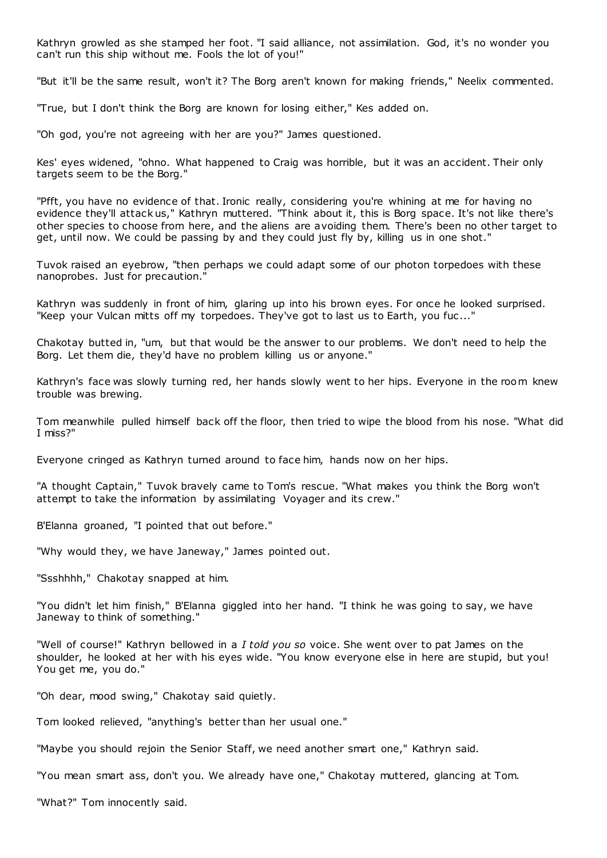Kathryn growled as she stamped her foot. "I said alliance, not assimilation. God, it's no wonder you can't run this ship without me. Fools the lot of you!"

"But it'll be the same result, won't it? The Borg aren't known for making friends," Neelix commented.

"True, but I don't think the Borg are known for losing either," Kes added on.

"Oh god, you're not agreeing with her are you?" James questioned.

Kes' eyes widened, "ohno. What happened to Craig was horrible, but it was an accident. Their only targets seem to be the Borg."

"Pfft, you have no evidence of that. Ironic really, considering you're whining at me for having no evidence they'll attack us," Kathryn muttered. "Think about it, this is Borg space. It's not like there's other species to choose from here, and the aliens are avoiding them. There's been no other target to get, until now. We could be passing by and they could just fly by, killing us in one shot."

Tuvok raised an eyebrow, "then perhaps we could adapt some of our photon torpedoes with these nanoprobes. Just for precaution."

Kathryn was suddenly in front of him, glaring up into his brown eyes. For once he looked surprised. "Keep your Vulcan mitts off my torpedoes. They've got to last us to Earth, you fuc..."

Chakotay butted in, "um, but that would be the answer to our problems. We don't need to help the Borg. Let them die, they'd have no problem killing us or anyone."

Kathryn's face was slowly turning red, her hands slowly went to her hips. Everyone in the room knew trouble was brewing.

Tom meanwhile pulled himself back off the floor, then tried to wipe the blood from his nose. "What did I miss?"

Everyone cringed as Kathryn turned around to face him, hands now on her hips.

"A thought Captain," Tuvok bravely came to Tom's rescue. "What makes you think the Borg won't attempt to take the information by assimilating Voyager and its crew."

B'Elanna groaned, "I pointed that out before."

"Why would they, we have Janeway," James pointed out.

"Ssshhhh," Chakotay snapped at him.

"You didn't let him finish," B'Elanna giggled into her hand. "I think he was going to say, we have Janeway to think of something."

"Well of course!" Kathryn bellowed in a *I told you so* voice. She went over to pat James on the shoulder, he looked at her with his eyes wide. "You know everyone else in here are stupid, but you! You get me, you do."

"Oh dear, mood swing," Chakotay said quietly.

Tom looked relieved, "anything's better than her usual one."

"Maybe you should rejoin the Senior Staff, we need another smart one," Kathryn said.

"You mean smart ass, don't you. We already have one," Chakotay muttered, glancing at Tom.

"What?" Tom innocently said.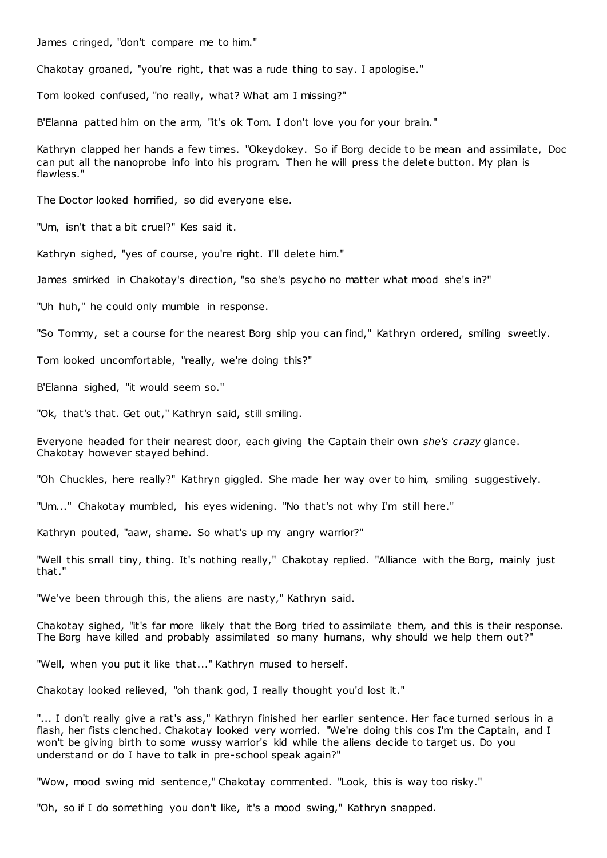James cringed, "don't compare me to him."

Chakotay groaned, "you're right, that was a rude thing to say. I apologise."

Tom looked confused, "no really, what? What am I missing?"

B'Elanna patted him on the arm, "it's ok Tom. I don't love you for your brain."

Kathryn clapped her hands a few times. "Okeydokey. So if Borg decide to be mean and assimilate, Doc can put all the nanoprobe info into his program. Then he will press the delete button. My plan is flawless."

The Doctor looked horrified, so did everyone else.

"Um, isn't that a bit cruel?" Kes said it.

Kathryn sighed, "yes of course, you're right. I'll delete him."

James smirked in Chakotay's direction, "so she's psycho no matter what mood she's in?"

"Uh huh," he could only mumble in response.

"So Tommy, set a course for the nearest Borg ship you can find," Kathryn ordered, smiling sweetly.

Tom looked uncomfortable, "really, we're doing this?"

B'Elanna sighed, "it would seem so."

"Ok, that's that. Get out," Kathryn said, still smiling.

Everyone headed for their nearest door, each giving the Captain their own *she's crazy* glance. Chakotay however stayed behind.

"Oh Chuckles, here really?" Kathryn giggled. She made her way over to him, smiling suggestively.

"Um..." Chakotay mumbled, his eyes widening. "No that's not why I'm still here."

Kathryn pouted, "aaw, shame. So what's up my angry warrior?"

"Well this small tiny, thing. It's nothing really," Chakotay replied. "Alliance with the Borg, mainly just that."

"We've been through this, the aliens are nasty," Kathryn said.

Chakotay sighed, "it's far more likely that the Borg tried to assimilate them, and this is their response. The Borg have killed and probably assimilated so many humans, why should we help them out?"

"Well, when you put it like that..." Kathryn mused to herself.

Chakotay looked relieved, "oh thank god, I really thought you'd lost it."

"... I don't really give a rat's ass," Kathryn finished her earlier sentence. Her face turned serious in a flash, her fists clenched. Chakotay looked very worried. "We're doing this cos I'm the Captain, and I won't be giving birth to some wussy warrior's kid while the aliens decide to target us. Do you understand or do I have to talk in pre-school speak again?"

"Wow, mood swing mid sentence," Chakotay commented. "Look, this is way too risky."

"Oh, so if I do something you don't like, it's a mood swing," Kathryn snapped.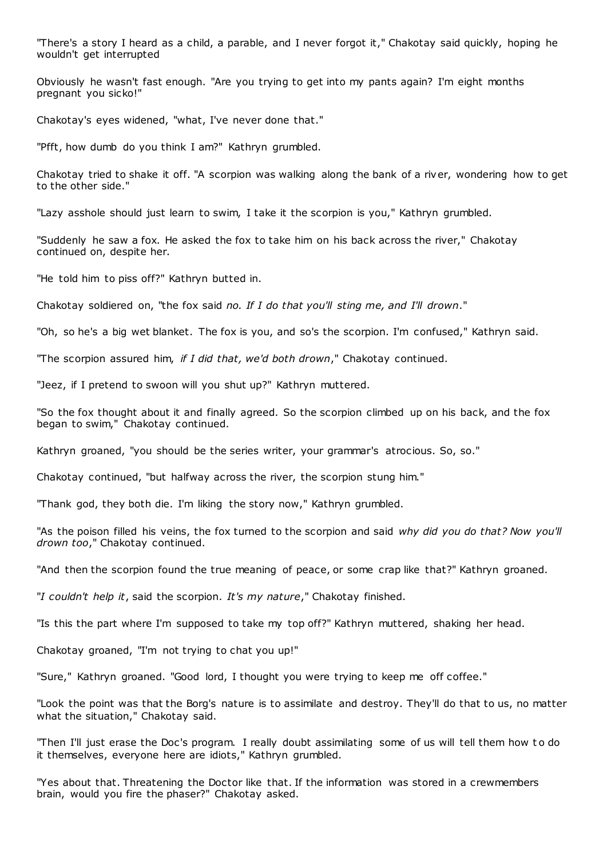"There's a story I heard as a child, a parable, and I never forgot it," Chakotay said quickly, hoping he wouldn't get interrupted

Obviously he wasn't fast enough. "Are you trying to get into my pants again? I'm eight months pregnant you sicko!"

Chakotay's eyes widened, "what, I've never done that."

"Pfft, how dumb do you think I am?" Kathryn grumbled.

Chakotay tried to shake it off. "A scorpion was walking along the bank of a river, wondering how to get to the other side."

"Lazy asshole should just learn to swim, I take it the scorpion is you," Kathryn grumbled.

"Suddenly he saw a fox. He asked the fox to take him on his back across the river," Chakotay continued on, despite her.

"He told him to piss off?" Kathryn butted in.

Chakotay soldiered on, "the fox said *no. If I do that you'll sting me, and I'll drown*."

"Oh, so he's a big wet blanket. The fox is you, and so's the scorpion. I'm confused," Kathryn said.

"The scorpion assured him, *if I did that, we'd both drown*," Chakotay continued.

"Jeez, if I pretend to swoon will you shut up?" Kathryn muttered.

"So the fox thought about it and finally agreed. So the scorpion climbed up on his back, and the fox began to swim," Chakotay continued.

Kathryn groaned, "you should be the series writer, your grammar's atrocious. So, so."

Chakotay continued, "but halfway across the river, the scorpion stung him."

"Thank god, they both die. I'm liking the story now," Kathryn grumbled.

"As the poison filled his veins, the fox turned to the scorpion and said *why did you do that? Now you'll drown too*," Chakotay continued.

"And then the scorpion found the true meaning of peace, or some crap like that?" Kathryn groaned.

"*I couldn't help it*, said the scorpion. *It's my nature*," Chakotay finished.

"Is this the part where I'm supposed to take my top off?" Kathryn muttered, shaking her head.

Chakotay groaned, "I'm not trying to chat you up!"

"Sure," Kathryn groaned. "Good lord, I thought you were trying to keep me off coffee."

"Look the point was that the Borg's nature is to assimilate and destroy. They'll do that to us, no matter what the situation," Chakotay said.

"Then I'll just erase the Doc's program. I really doubt assimilating some of us will tell them how t o do it themselves, everyone here are idiots," Kathryn grumbled.

"Yes about that. Threatening the Doctor like that. If the information was stored in a crewmembers brain, would you fire the phaser?" Chakotay asked.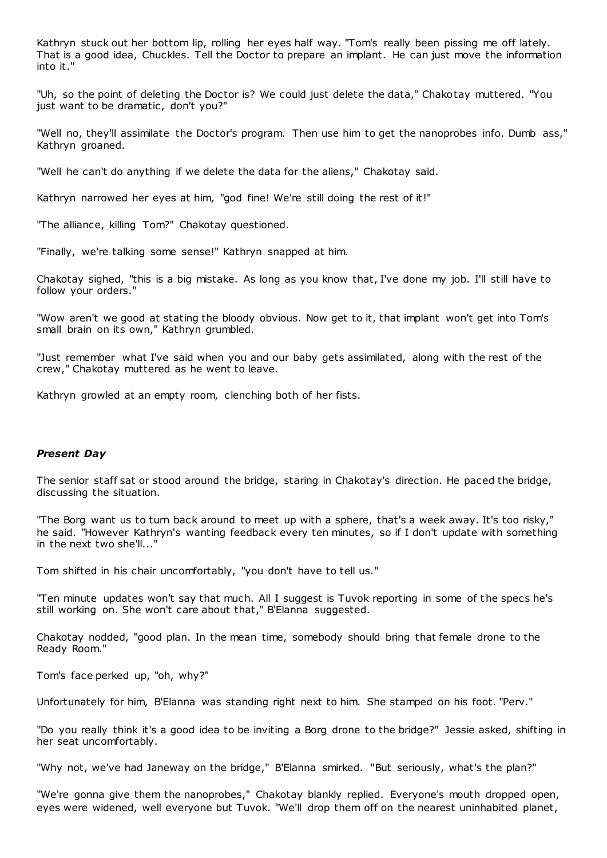Kathryn stuck out her bottom lip, rolling her eyes half way. "Tom's really been pissing me off lately. That is a good idea, Chuckles. Tell the Doctor to prepare an implant. He can just move the information into it."

"Uh, so the point of deleting the Doctor is? We could just delete the data," Chakotay muttered. "You just want to be dramatic, don't you?"

"Well no, they'll assimilate the Doctor's program. Then use him to get the nanoprobes info. Dumb ass," Kathryn groaned.

"Well he can't do anything if we delete the data for the aliens," Chakotay said.

Kathryn narrowed her eyes at him, "god fine! We're still doing the rest of it!"

"The alliance, killing Tom?" Chakotay questioned.

"Finally, we're talking some sense!" Kathryn snapped at him.

Chakotay sighed, "this is a big mistake. As long as you know that, I've done my job. I'll still have to follow your orders."

"Wow aren't we good at stating the bloody obvious. Now get to it, that implant won't get into Tom's small brain on its own," Kathryn grumbled.

"Just remember what I've said when you and our baby gets assimilated, along with the rest of the crew," Chakotay muttered as he went to leave.

Kathryn growled at an empty room, clenching both of her fists.

# *Present Day*

The senior staff sat or stood around the bridge, staring in Chakotay's direction. He paced the bridge, discussing the situation.

"The Borg want us to turn back around to meet up with a sphere, that's a week away. It's too risky," he said. "However Kathryn's wanting feedback every ten minutes, so if I don't update with something in the next two she'll..."

Tom shifted in his chair uncomfortably, "you don't have to tell us."

"Ten minute updates won't say that much. All I suggest is Tuvok reporting in some of t he specs he's still working on. She won't care about that," B'Elanna suggested.

Chakotay nodded, "good plan. In the mean time, somebody should bring that female drone to the Ready Room."

Tom's face perked up, "oh, why?"

Unfortunately for him, B'Elanna was standing right next to him. She stamped on his foot. "Perv."

"Do you really think it's a good idea to be inviting a Borg drone to the bridge?" Jessie asked, shifting in her seat uncomfortably.

"Why not, we've had Janeway on the bridge," B'Elanna smirked. "But seriously, what's the plan?"

"We're gonna give them the nanoprobes," Chakotay blankly replied. Everyone's mouth dropped open, eyes were widened, well everyone but Tuvok. "We'll drop them off on the nearest uninhabited planet,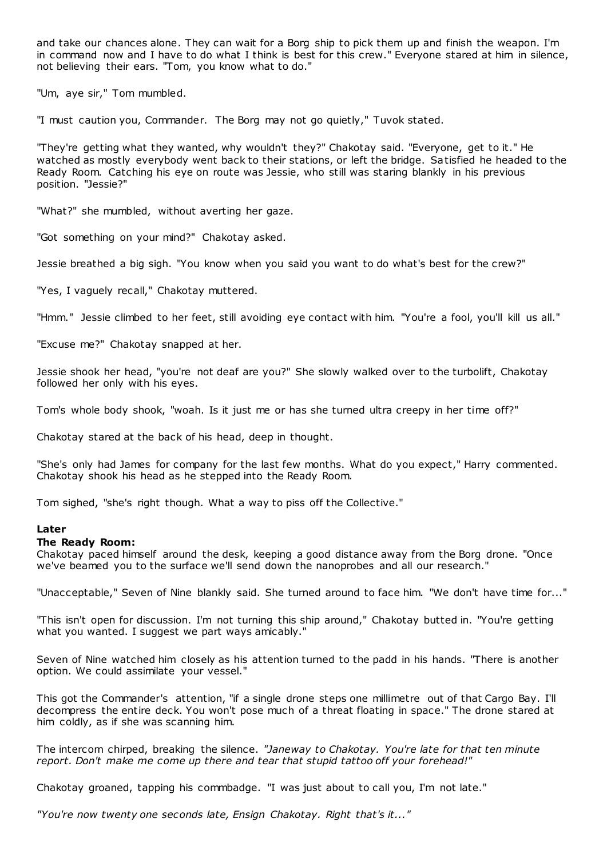and take our chances alone. They can wait for a Borg ship to pick them up and finish the weapon. I'm in command now and I have to do what I think is best for this crew." Everyone stared at him in silence, not believing their ears. "Tom, you know what to do."

"Um, aye sir," Tom mumbled.

"I must caution you, Commander. The Borg may not go quietly," Tuvok stated.

"They're getting what they wanted, why wouldn't they?" Chakotay said. "Everyone, get to it." He watched as mostly everybody went back to their stations, or left the bridge. Satisfied he headed to the Ready Room. Catching his eye on route was Jessie, who still was staring blankly in his previous position. "Jessie?"

"What?" she mumbled, without averting her gaze.

"Got something on your mind?" Chakotay asked.

Jessie breathed a big sigh. "You know when you said you want to do what's best for the crew?"

"Yes, I vaguely recall," Chakotay muttered.

"Hmm." Jessie climbed to her feet, still avoiding eye contact with him. "You're a fool, you'll kill us all."

"Excuse me?" Chakotay snapped at her.

Jessie shook her head, "you're not deaf are you?" She slowly walked over to the turbolift, Chakotay followed her only with his eyes.

Tom's whole body shook, "woah. Is it just me or has she turned ultra creepy in her time off?"

Chakotay stared at the back of his head, deep in thought.

"She's only had James for company for the last few months. What do you expect," Harry commented. Chakotay shook his head as he stepped into the Ready Room.

Tom sighed, "she's right though. What a way to piss off the Collective."

# **Later**

# **The Ready Room:**

Chakotay paced himself around the desk, keeping a good distance away from the Borg drone. "Once we've beamed you to the surface we'll send down the nanoprobes and all our research."

"Unacceptable," Seven of Nine blankly said. She turned around to face him. "We don't have time for..."

"This isn't open for discussion. I'm not turning this ship around," Chakotay butted in. "You're getting what you wanted. I suggest we part ways amicably."

Seven of Nine watched him closely as his attention turned to the padd in his hands. "There is another option. We could assimilate your vessel."

This got the Commander's attention, "if a single drone steps one millimetre out of that Cargo Bay. I'll decompress the entire deck. You won't pose much of a threat floating in space." The drone stared at him coldly, as if she was scanning him.

The intercom chirped, breaking the silence. *"Janeway to Chakotay. You're late for that ten minute report. Don't make me come up there and tear that stupid tattoo off your forehead!"*

Chakotay groaned, tapping his commbadge. "I was just about to call you, I'm not late."

*"You're now twenty one seconds late, Ensign Chakotay. Right that's it..."*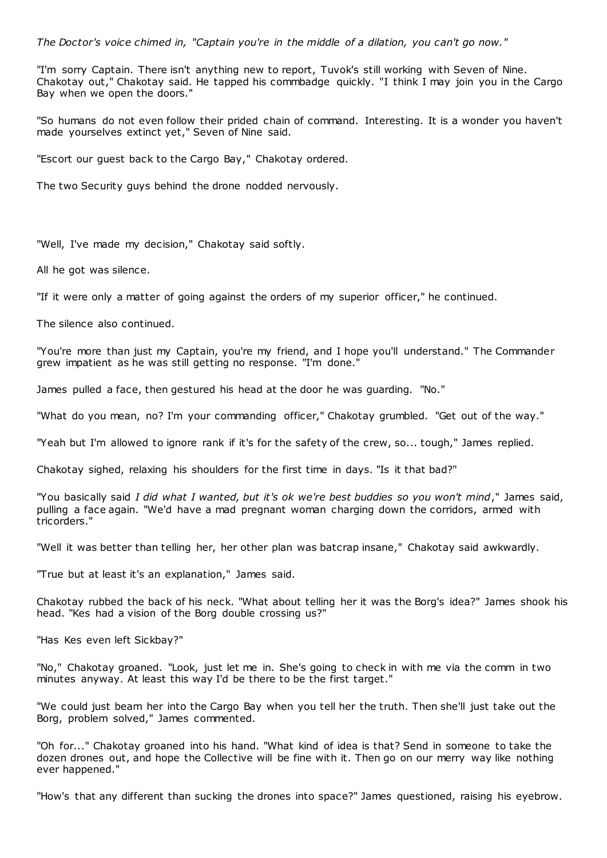*The Doctor's voice chimed in, "Captain you're in the middle of a dilation, you can't go now."*

"I'm sorry Captain. There isn't anything new to report, Tuvok's still working with Seven of Nine. Chakotay out," Chakotay said. He tapped his commbadge quickly. "I think I may join you in the Cargo Bay when we open the doors."

"So humans do not even follow their prided chain of command. Interesting. It is a wonder you haven't made yourselves extinct yet," Seven of Nine said.

"Escort our guest back to the Cargo Bay," Chakotay ordered.

The two Security guys behind the drone nodded nervously.

"Well, I've made my decision," Chakotay said softly.

All he got was silence.

"If it were only a matter of going against the orders of my superior officer," he continued.

The silence also continued.

"You're more than just my Captain, you're my friend, and I hope you'll understand." The Commander grew impatient as he was still getting no response. "I'm done."

James pulled a face, then gestured his head at the door he was guarding. "No."

"What do you mean, no? I'm your commanding officer," Chakotay grumbled. "Get out of the way."

"Yeah but I'm allowed to ignore rank if it's for the safety of the crew, so... tough," James replied.

Chakotay sighed, relaxing his shoulders for the first time in days. "Is it that bad?"

"You basically said *I did what I wanted, but it's ok we're best buddies so you won't mind*," James said, pulling a face again. "We'd have a mad pregnant woman charging down the corridors, armed with tricorders."

"Well it was better than telling her, her other plan was batcrap insane," Chakotay said awkwardly.

"True but at least it's an explanation," James said.

Chakotay rubbed the back of his neck. "What about telling her it was the Borg's idea?" James shook his head. "Kes had a vision of the Borg double crossing us?"

"Has Kes even left Sickbay?"

"No," Chakotay groaned. "Look, just let me in. She's going to check in with me via the comm in two minutes anyway. At least this way I'd be there to be the first target."

"We could just beam her into the Cargo Bay when you tell her the truth. Then she'll just take out the Borg, problem solved," James commented.

"Oh for..." Chakotay groaned into his hand. "What kind of idea is that? Send in someone to take the dozen drones out, and hope the Collective will be fine with it. Then go on our merry way like nothing ever happened."

"How's that any different than sucking the drones into space?" James questioned, raising his eyebrow.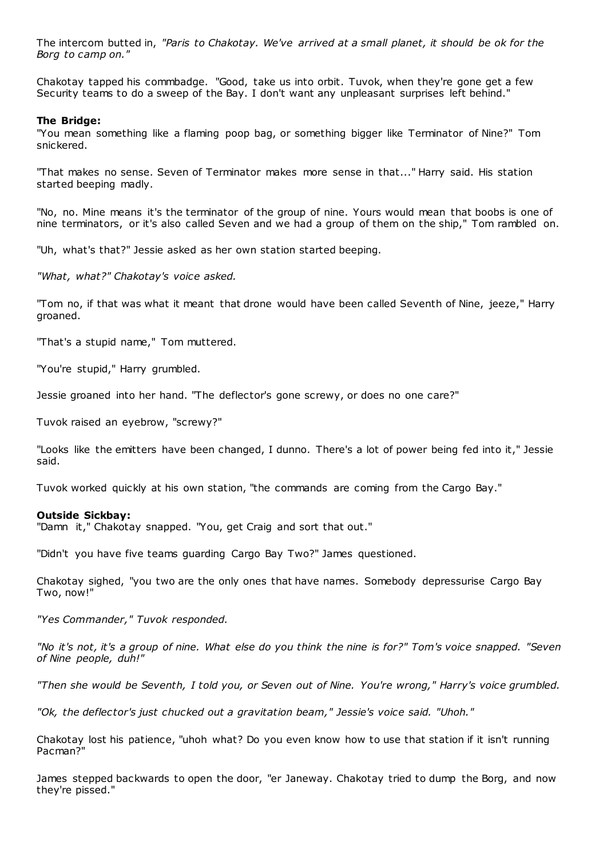The intercom butted in, *"Paris to Chakotay. We've arrived at a small planet, it should be ok for the Borg to camp on."*

Chakotay tapped his commbadge. "Good, take us into orbit. Tuvok, when they're gone get a few Security teams to do a sweep of the Bay. I don't want any unpleasant surprises left behind."

### **The Bridge:**

"You mean something like a flaming poop bag, or something bigger like Terminator of Nine?" Tom snickered.

"That makes no sense. Seven of Terminator makes more sense in that..." Harry said. His station started beeping madly.

"No, no. Mine means it's the terminator of the group of nine. Yours would mean that boobs is one of nine terminators, or it's also called Seven and we had a group of them on the ship," Tom rambled on.

"Uh, what's that?" Jessie asked as her own station started beeping.

*"What, what?" Chakotay's voice asked.*

"Tom no, if that was what it meant that drone would have been called Seventh of Nine, jeeze," Harry groaned.

"That's a stupid name," Tom muttered.

"You're stupid," Harry grumbled.

Jessie groaned into her hand. "The deflector's gone screwy, or does no one care?"

Tuvok raised an eyebrow, "screwy?"

"Looks like the emitters have been changed, I dunno. There's a lot of power being fed into it," Jessie said.

Tuvok worked quickly at his own station, "the commands are coming from the Cargo Bay."

#### **Outside Sickbay:**

"Damn it," Chakotay snapped. "You, get Craig and sort that out."

"Didn't you have five teams guarding Cargo Bay Two?" James questioned.

Chakotay sighed, "you two are the only ones that have names. Somebody depressurise Cargo Bay Two, now!"

*"Yes Commander," Tuvok responded.*

*"No it's not, it's a group of nine. What else do you think the nine is for?" Tom's voice snapped. "Seven of Nine people, duh!"*

*"Then she would be Seventh, I told you, or Seven out of Nine. You're wrong," Harry's voice grumbled.*

*"Ok, the deflector's just chucked out a gravitation beam," Jessie's voice said. "Uhoh."*

Chakotay lost his patience, "uhoh what? Do you even know how to use that station if it isn't running Pacman?"

James stepped backwards to open the door, "er Janeway. Chakotay tried to dump the Borg, and now they're pissed."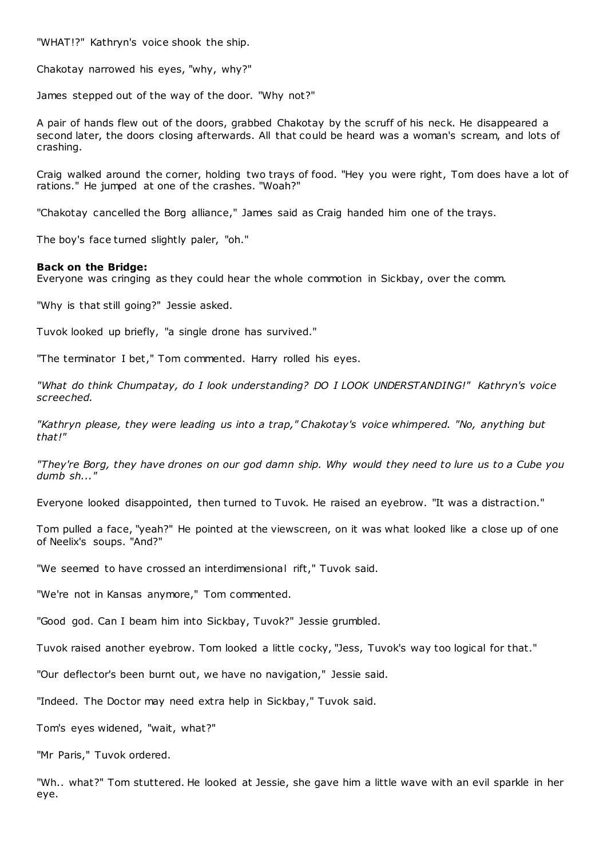"WHAT!?" Kathryn's voice shook the ship.

Chakotay narrowed his eyes, "why, why?"

James stepped out of the way of the door. "Why not?"

A pair of hands flew out of the doors, grabbed Chakotay by the scruff of his neck. He disappeared a second later, the doors closing afterwards. All that could be heard was a woman's scream, and lots of crashing.

Craig walked around the corner, holding two trays of food. "Hey you were right, Tom does have a lot of rations." He jumped at one of the crashes. "Woah?"

"Chakotay cancelled the Borg alliance," James said as Craig handed him one of the trays.

The boy's face turned slightly paler, "oh."

### **Back on the Bridge:**

Everyone was cringing as they could hear the whole commotion in Sickbay, over the comm.

"Why is that still going?" Jessie asked.

Tuvok looked up briefly, "a single drone has survived."

"The terminator I bet," Tom commented. Harry rolled his eyes.

*"What do think Chumpatay, do I look understanding? DO I LOOK UNDERSTANDING!" Kathryn's voice screeched.*

*"Kathryn please, they were leading us into a trap," Chakotay's voice whimpered. "No, anything but that!"*

*"They're Borg, they have drones on our god damn ship. Why would they need to lure us to a Cube you dumb sh..."*

Everyone looked disappointed, then turned to Tuvok. He raised an eyebrow. "It was a distraction."

Tom pulled a face, "yeah?" He pointed at the viewscreen, on it was what looked like a close up of one of Neelix's soups. "And?"

"We seemed to have crossed an interdimensional rift," Tuvok said.

"We're not in Kansas anymore," Tom commented.

"Good god. Can I beam him into Sickbay, Tuvok?" Jessie grumbled.

Tuvok raised another eyebrow. Tom looked a little cocky, "Jess, Tuvok's way too logical for that."

"Our deflector's been burnt out, we have no navigation," Jessie said.

"Indeed. The Doctor may need extra help in Sickbay," Tuvok said.

Tom's eyes widened, "wait, what?"

"Mr Paris," Tuvok ordered.

"Wh.. what?" Tom stuttered. He looked at Jessie, she gave him a little wave with an evil sparkle in her eye.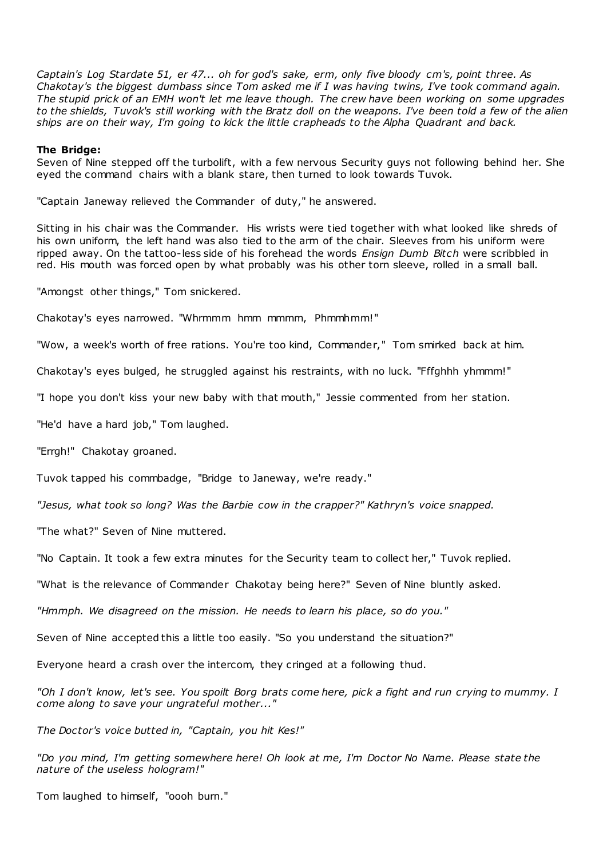*Captain's Log Stardate 51, er 47... oh for god's sake, erm, only five bloody cm's, point three. As Chakotay's the biggest dumbass since Tom asked me if I was having twins, I've took command again. The stupid prick of an EMH won't let me leave though. The crew have been working on some upgrades to the shields, Tuvok's still working with the Bratz doll on the weapons. I've been told a few of the alien ships are on their way, I'm going to kick the little crapheads to the Alpha Quadrant and back.*

### **The Bridge:**

Seven of Nine stepped off the turbolift, with a few nervous Security guys not following behind her. She eyed the command chairs with a blank stare, then turned to look towards Tuvok.

"Captain Janeway relieved the Commander of duty," he answered.

Sitting in his chair was the Commander. His wrists were tied together with what looked like shreds of his own uniform, the left hand was also tied to the arm of the chair. Sleeves from his uniform were ripped away. On the tattoo-less side of his forehead the words *Ensign Dumb Bitch* were scribbled in red. His mouth was forced open by what probably was his other torn sleeve, rolled in a small ball.

"Amongst other things," Tom snickered.

Chakotay's eyes narrowed. "Whrmmm hmm mmmm, Phmmhmm!"

"Wow, a week's worth of free rations. You're too kind, Commander," Tom smirked back at him.

Chakotay's eyes bulged, he struggled against his restraints, with no luck. "Fffghhh yhmmm!"

"I hope you don't kiss your new baby with that mouth," Jessie commented from her station.

"He'd have a hard job," Tom laughed.

"Errgh!" Chakotay groaned.

Tuvok tapped his commbadge, "Bridge to Janeway, we're ready."

*"Jesus, what took so long? Was the Barbie cow in the crapper?" Kathryn's voice snapped.*

"The what?" Seven of Nine muttered.

"No Captain. It took a few extra minutes for the Security team to collect her," Tuvok replied.

"What is the relevance of Commander Chakotay being here?" Seven of Nine bluntly asked.

*"Hmmph. We disagreed on the mission. He needs to learn his place, so do you."*

Seven of Nine accepted this a little too easily. "So you understand the situation?"

Everyone heard a crash over the intercom, they cringed at a following thud.

*"Oh I don't know, let's see. You spoilt Borg brats come here, pick a fight and run crying to mummy. I come along to save your ungrateful mother..."*

*The Doctor's voice butted in, "Captain, you hit Kes!"*

*"Do you mind, I'm getting somewhere here! Oh look at me, I'm Doctor No Name. Please state the nature of the useless hologram!"*

Tom laughed to himself, "oooh burn."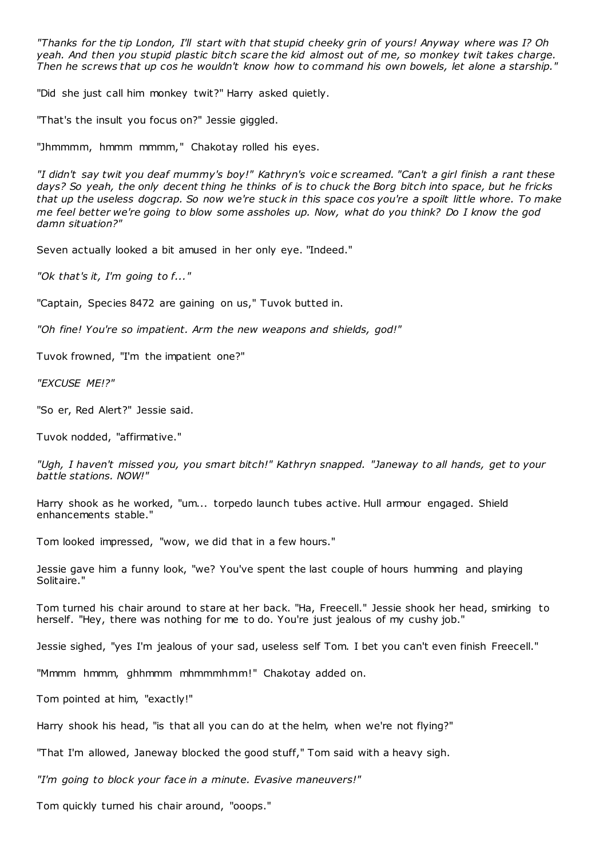*"Thanks for the tip London, I'll start with that stupid cheeky grin of yours! Anyway where was I? Oh yeah. And then you stupid plastic bitch scare the kid almost out of me, so monkey twit takes charge. Then he screws that up cos he wouldn't know how to command his own bowels, let alone a starship."*

"Did she just call him monkey twit?" Harry asked quietly.

"That's the insult you focus on?" Jessie giggled.

"Jhmmmm, hmmm mmmm," Chakotay rolled his eyes.

*"I didn't say twit you deaf mummy's boy!" Kathryn's voic e screamed. "Can't a girl finish a rant these days? So yeah, the only decent thing he thinks of is to chuck the Borg bitch into space, but he fricks that up the useless dogcrap. So now we're stuck in this space cos you're a spoilt little whore. To make me feel better we're going to blow some assholes up. Now, what do you think? Do I know the god damn situation?"*

Seven actually looked a bit amused in her only eye. "Indeed."

*"Ok that's it, I'm going to f..."*

"Captain, Species 8472 are gaining on us," Tuvok butted in.

*"Oh fine! You're so impatient. Arm the new weapons and shields, god!"*

Tuvok frowned, "I'm the impatient one?"

*"EXCUSE ME!?"*

"So er, Red Alert?" Jessie said.

Tuvok nodded, "affirmative."

*"Ugh, I haven't missed you, you smart bitch!" Kathryn snapped. "Janeway to all hands, get to your battle stations. NOW!"*

Harry shook as he worked, "um... torpedo launch tubes active. Hull armour engaged. Shield enhancements stable."

Tom looked impressed, "wow, we did that in a few hours."

Jessie gave him a funny look, "we? You've spent the last couple of hours humming and playing Solitaire."

Tom turned his chair around to stare at her back. "Ha, Freecell." Jessie shook her head, smirking to herself. "Hey, there was nothing for me to do. You're just jealous of my cushy job."

Jessie sighed, "yes I'm jealous of your sad, useless self Tom. I bet you can't even finish Freecell."

"Mmmm hmmm, ghhmmm mhmmmhmm!" Chakotay added on.

Tom pointed at him, "exactly!"

Harry shook his head, "is that all you can do at the helm, when we're not flying?"

"That I'm allowed, Janeway blocked the good stuff," Tom said with a heavy sigh.

*"I'm going to block your face in a minute. Evasive maneuvers!"*

Tom quickly turned his chair around, "ooops."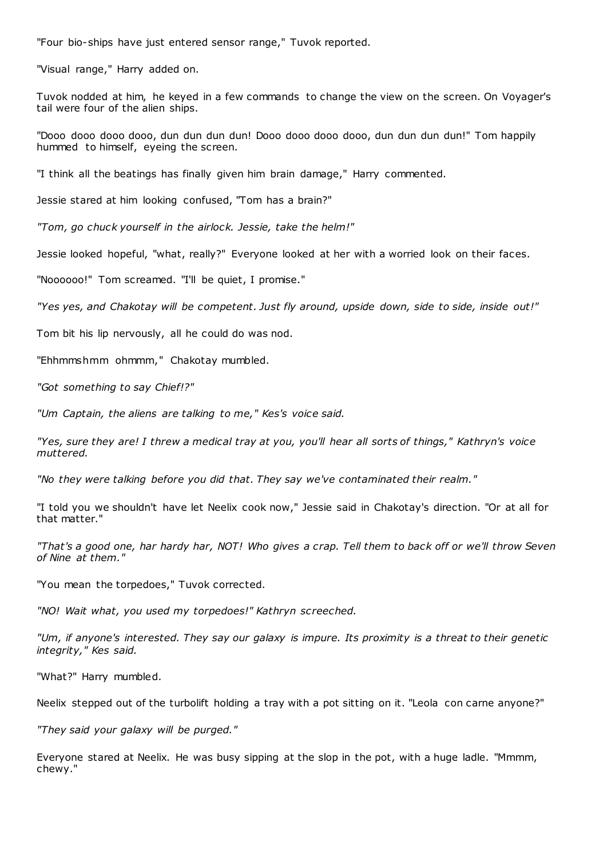"Four bio-ships have just entered sensor range," Tuvok reported.

"Visual range," Harry added on.

Tuvok nodded at him, he keyed in a few commands to change the view on the screen. On Voyager's tail were four of the alien ships.

"Dooo dooo dooo dooo, dun dun dun dun! Dooo dooo dooo dooo, dun dun dun dun!" Tom happily hummed to himself, eyeing the screen.

"I think all the beatings has finally given him brain damage," Harry commented.

Jessie stared at him looking confused, "Tom has a brain?"

*"Tom, go chuck yourself in the airlock. Jessie, take the helm!"*

Jessie looked hopeful, "what, really?" Everyone looked at her with a worried look on their faces.

"Noooooo!" Tom screamed. "I'll be quiet, I promise."

*"Yes yes, and Chakotay will be competent. Just fly around, upside down, side to side, inside out!"*

Tom bit his lip nervously, all he could do was nod.

"Ehhmmshmm ohmmm," Chakotay mumbled.

*"Got something to say Chief!?"*

*"Um Captain, the aliens are talking to me," Kes's voice said.*

*"Yes, sure they are! I threw a medical tray at you, you'll hear all sorts of things," Kathryn's voice muttered.*

*"No they were talking before you did that. They say we've contaminated their realm."*

"I told you we shouldn't have let Neelix cook now," Jessie said in Chakotay's direction. "Or at all for that matter."

*"That's a good one, har hardy har, NOT! Who gives a crap. Tell them to back off or we'll throw Seven of Nine at them."*

"You mean the torpedoes," Tuvok corrected.

*"NO! Wait what, you used my torpedoes!" Kathryn screeched.*

*"Um, if anyone's interested. They say our galaxy is impure. Its proximity is a threat to their genetic integrity," Kes said.*

"What?" Harry mumbled.

Neelix stepped out of the turbolift holding a tray with a pot sitting on it. "Leola con carne anyone?"

*"They said your galaxy will be purged."*

Everyone stared at Neelix. He was busy sipping at the slop in the pot, with a huge ladle. "Mmmm, chewy."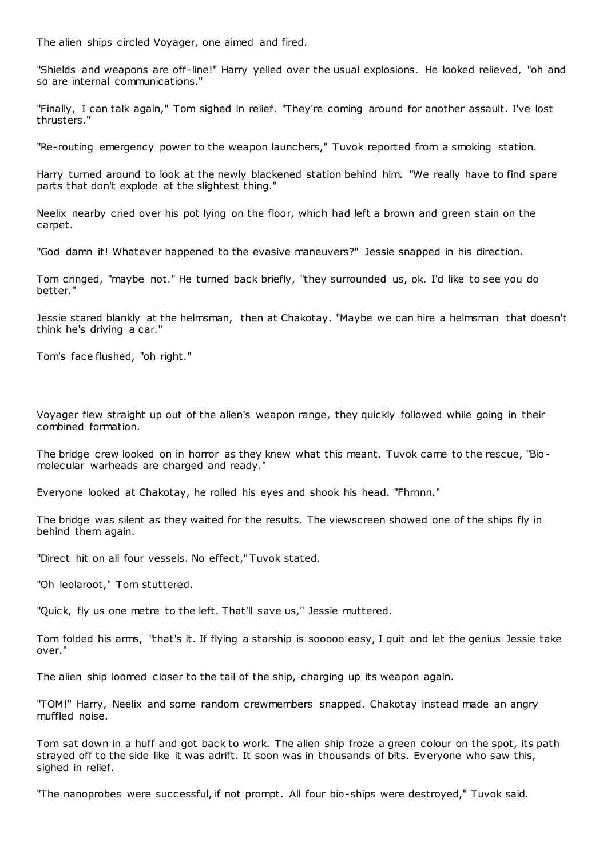The alien ships circled Voyager, one aimed and fired.

"Shields and weapons are off-line!" Harry yelled over the usual explosions. He looked relieved, "oh and so are internal communications."

"Finally, I can talk again," Tom sighed in relief. "They're coming around for another assault. I've lost thrusters."

"Re-routing emergency power to the weapon launchers," Tuvok reported from a smoking station.

Harry turned around to look at the newly blackened station behind him. "We really have to find spare parts that don't explode at the slightest thing."

Neelix nearby cried over his pot lying on the floor, which had left a brown and green stain on the carpet.

"God damn it! Whatever happened to the evasive maneuvers?" Jessie snapped in his direction.

Tom cringed, "maybe not." He turned back briefly, "they surrounded us, ok. I'd like to see you do better."

Jessie stared blankly at the helmsman, then at Chakotay. "Maybe we can hire a helmsman that doesn't think he's driving a car."

Tom's face flushed, "oh right."

Voyager flew straight up out of the alien's weapon range, they quickly followed while going in their combined formation.

The bridge crew looked on in horror as they knew what this meant. Tuvok came to the rescue, "Biomolecular warheads are charged and ready."

Everyone looked at Chakotay, he rolled his eyes and shook his head. "Fhrnnn."

The bridge was silent as they waited for the results. The viewscreen showed one of the ships fly in behind them again.

"Direct hit on all four vessels. No effect," Tuvok stated.

"Oh leolaroot," Tom stuttered.

"Quick, fly us one metre to the left. That'll save us," Jessie muttered.

Tom folded his arms, "that's it. If flying a starship is sooooo easy, I quit and let the genius Jessie take over."

The alien ship loomed closer to the tail of the ship, charging up its weapon again.

"TOM!" Harry, Neelix and some random crewmembers snapped. Chakotay instead made an angry muffled noise.

Tom sat down in a huff and got back to work. The alien ship froze a green colour on the spot, its path strayed off to the side like it was adrift. It soon was in thousands of bits. Everyone who saw this, sighed in relief.

"The nanoprobes were successful, if not prompt. All four bio-ships were destroyed," Tuvok said.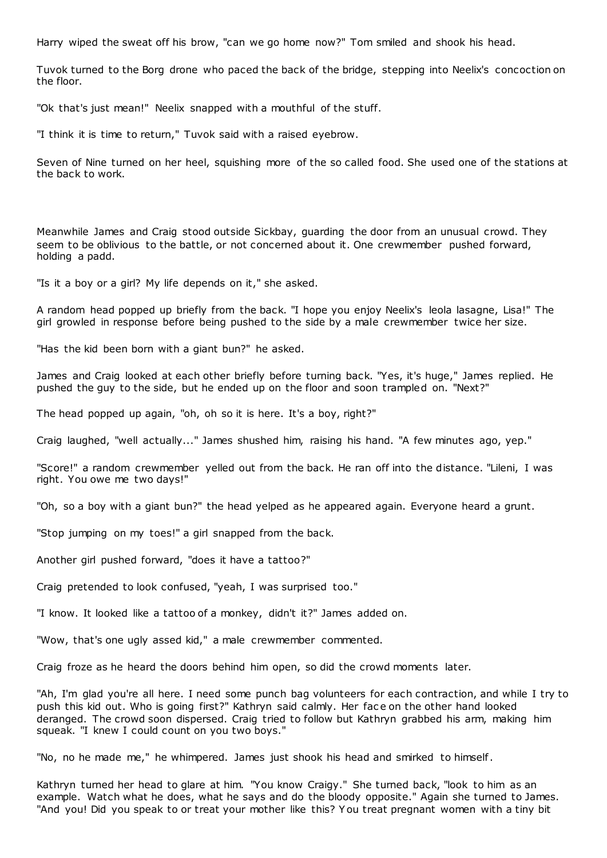Harry wiped the sweat off his brow, "can we go home now?" Tom smiled and shook his head.

Tuvok turned to the Borg drone who paced the back of the bridge, stepping into Neelix's concoction on the floor.

"Ok that's just mean!" Neelix snapped with a mouthful of the stuff.

"I think it is time to return," Tuvok said with a raised eyebrow.

Seven of Nine turned on her heel, squishing more of the so called food. She used one of the stations at the back to work.

Meanwhile James and Craig stood outside Sickbay, guarding the door from an unusual crowd. They seem to be oblivious to the battle, or not concerned about it. One crewmember pushed forward, holding a padd.

"Is it a boy or a girl? My life depends on it," she asked.

A random head popped up briefly from the back. "I hope you enjoy Neelix's leola lasagne, Lisa!" The girl growled in response before being pushed to the side by a male crewmember twice her size.

"Has the kid been born with a giant bun?" he asked.

James and Craig looked at each other briefly before turning back. "Yes, it's huge," James replied. He pushed the guy to the side, but he ended up on the floor and soon trampled on. "Next?"

The head popped up again, "oh, oh so it is here. It's a boy, right?"

Craig laughed, "well actually..." James shushed him, raising his hand. "A few minutes ago, yep."

"Score!" a random crewmember yelled out from the back. He ran off into the distance. "Lileni, I was right. You owe me two days!"

"Oh, so a boy with a giant bun?" the head yelped as he appeared again. Everyone heard a grunt.

"Stop jumping on my toes!" a girl snapped from the back.

Another girl pushed forward, "does it have a tattoo?"

Craig pretended to look confused, "yeah, I was surprised too."

"I know. It looked like a tattoo of a monkey, didn't it?" James added on.

"Wow, that's one ugly assed kid," a male crewmember commented.

Craig froze as he heard the doors behind him open, so did the crowd moments later.

"Ah, I'm glad you're all here. I need some punch bag volunteers for each contraction, and while I try to push this kid out. Who is going first?" Kathryn said calmly. Her face on the other hand looked deranged. The crowd soon dispersed. Craig tried to follow but Kathryn grabbed his arm, making him squeak. "I knew I could count on you two boys."

"No, no he made me," he whimpered. James just shook his head and smirked to himself.

Kathryn turned her head to glare at him. "You know Craigy." She turned back, "look to him as an example. Watch what he does, what he says and do the bloody opposite." Again she turned to James. "And you! Did you speak to or treat your mother like this? Y ou treat pregnant women with a tiny bit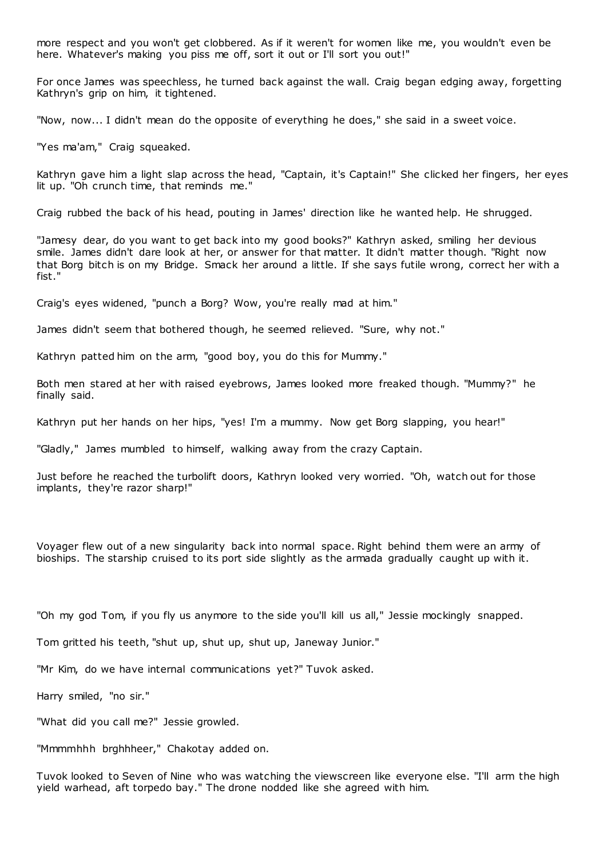more respect and you won't get clobbered. As if it weren't for women like me, you wouldn't even be here. Whatever's making you piss me off, sort it out or I'll sort you out!"

For once James was speechless, he turned back against the wall. Craig began edging away, forgetting Kathryn's grip on him, it tightened.

"Now, now... I didn't mean do the opposite of everything he does," she said in a sweet voice.

"Yes ma'am," Craig squeaked.

Kathryn gave him a light slap across the head, "Captain, it's Captain!" She clicked her fingers, her eyes lit up. "Oh crunch time, that reminds me."

Craig rubbed the back of his head, pouting in James' direction like he wanted help. He shrugged.

"Jamesy dear, do you want to get back into my good books?" Kathryn asked, smiling her devious smile. James didn't dare look at her, or answer for that matter. It didn't matter though. "Right now that Borg bitch is on my Bridge. Smack her around a little. If she says futile wrong, correct her with a fist."

Craig's eyes widened, "punch a Borg? Wow, you're really mad at him."

James didn't seem that bothered though, he seemed relieved. "Sure, why not."

Kathryn patted him on the arm, "good boy, you do this for Mummy."

Both men stared at her with raised eyebrows, James looked more freaked though. "Mummy?" he finally said.

Kathryn put her hands on her hips, "yes! I'm a mummy. Now get Borg slapping, you hear!"

"Gladly," James mumbled to himself, walking away from the crazy Captain.

Just before he reached the turbolift doors, Kathryn looked very worried. "Oh, watch out for those implants, they're razor sharp!"

Voyager flew out of a new singularity back into normal space. Right behind them were an army of bioships. The starship cruised to its port side slightly as the armada gradually caught up with it.

"Oh my god Tom, if you fly us anymore to the side you'll kill us all," Jessie mockingly snapped.

Tom gritted his teeth, "shut up, shut up, shut up, Janeway Junior."

"Mr Kim, do we have internal communications yet?" Tuvok asked.

Harry smiled, "no sir."

"What did you call me?" Jessie growled.

"Mmmmhhh brghhheer," Chakotay added on.

Tuvok looked to Seven of Nine who was watching the viewscreen like everyone else. "I'll arm the high yield warhead, aft torpedo bay." The drone nodded like she agreed with him.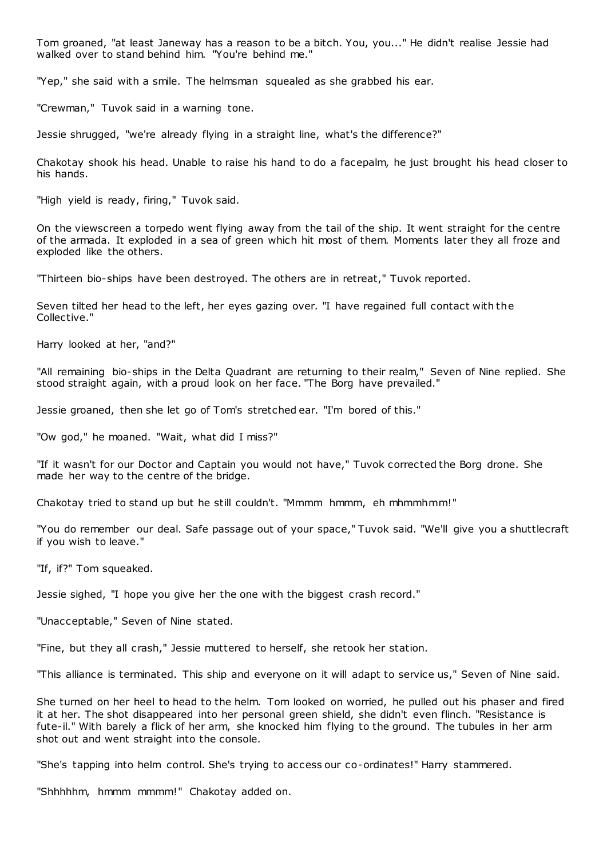Tom groaned, "at least Janeway has a reason to be a bitch. You, you..." He didn't realise Jessie had walked over to stand behind him. "You're behind me."

"Yep," she said with a smile. The helmsman squealed as she grabbed his ear.

"Crewman," Tuvok said in a warning tone.

Jessie shrugged, "we're already flying in a straight line, what's the difference?"

Chakotay shook his head. Unable to raise his hand to do a facepalm, he just brought his head closer to his hands.

"High yield is ready, firing," Tuvok said.

On the viewscreen a torpedo went flying away from the tail of the ship. It went straight for the centre of the armada. It exploded in a sea of green which hit most of them. Moments later they all froze and exploded like the others.

"Thirteen bio-ships have been destroyed. The others are in retreat," Tuvok reported.

Seven tilted her head to the left, her eyes gazing over. "I have regained full contact with the Collective."

Harry looked at her, "and?"

"All remaining bio-ships in the Delta Quadrant are returning to their realm," Seven of Nine replied. She stood straight again, with a proud look on her face. "The Borg have prevailed."

Jessie groaned, then she let go of Tom's stretched ear. "I'm bored of this."

"Ow god," he moaned. "Wait, what did I miss?"

"If it wasn't for our Doctor and Captain you would not have," Tuvok corrected the Borg drone. She made her way to the centre of the bridge.

Chakotay tried to stand up but he still couldn't. "Mmmm hmmm, eh mhmmhmm!"

"You do remember our deal. Safe passage out of your space," Tuvok said. "We'll give you a shuttlecraft if you wish to leave."

"If, if?" Tom squeaked.

Jessie sighed, "I hope you give her the one with the biggest crash record."

"Unacceptable," Seven of Nine stated.

"Fine, but they all crash," Jessie muttered to herself, she retook her station.

"This alliance is terminated. This ship and everyone on it will adapt to service us," Seven of Nine said.

She turned on her heel to head to the helm. Tom looked on worried, he pulled out his phaser and fired it at her. The shot disappeared into her personal green shield, she didn't even flinch. "Resistance is fute-il." With barely a flick of her arm, she knocked him flying to the ground. The tubules in her arm shot out and went straight into the console.

"She's tapping into helm control. She's trying to access our co-ordinates!" Harry stammered.

"Shhhhhm, hmmm mmmm!" Chakotay added on.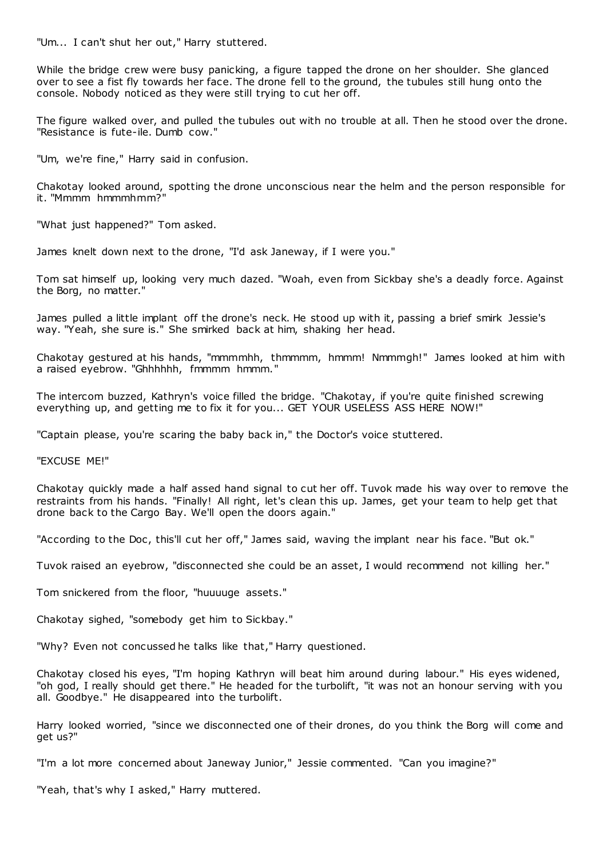"Um... I can't shut her out," Harry stuttered.

While the bridge crew were busy panicking, a figure tapped the drone on her shoulder. She glanced over to see a fist fly towards her face. The drone fell to the ground, the tubules still hung onto the console. Nobody noticed as they were still trying to cut her off.

The figure walked over, and pulled the tubules out with no trouble at all. Then he stood over the drone. "Resistance is fute-ile. Dumb cow."

"Um, we're fine," Harry said in confusion.

Chakotay looked around, spotting the drone unconscious near the helm and the person responsible for it. "Mmmm hmmmhmm?"

"What just happened?" Tom asked.

James knelt down next to the drone, "I'd ask Janeway, if I were you."

Tom sat himself up, looking very much dazed. "Woah, even from Sickbay she's a deadly force. Against the Borg, no matter."

James pulled a little implant off the drone's neck. He stood up with it, passing a brief smirk Jessie's way. "Yeah, she sure is." She smirked back at him, shaking her head.

Chakotay gestured at his hands, "mmmmhh, thmmmm, hmmm! Nmmmgh!" James looked at him with a raised eyebrow. "Ghhhhhh, fmmmm hmmm."

The intercom buzzed, Kathryn's voice filled the bridge. "Chakotay, if you're quite finished screwing everything up, and getting me to fix it for you... GET YOUR USELESS ASS HERE NOW!"

"Captain please, you're scaring the baby back in," the Doctor's voice stuttered.

"EXCUSE ME!"

Chakotay quickly made a half assed hand signal to cut her off. Tuvok made his way over to remove the restraints from his hands. "Finally! All right, let's clean this up. James, get your team to help get that drone back to the Cargo Bay. We'll open the doors again."

"According to the Doc, this'll cut her off," James said, waving the implant near his face. "But ok."

Tuvok raised an eyebrow, "disconnected she could be an asset, I would recommend not killing her."

Tom snickered from the floor, "huuuuge assets."

Chakotay sighed, "somebody get him to Sickbay."

"Why? Even not concussed he talks like that," Harry questioned.

Chakotay closed his eyes, "I'm hoping Kathryn will beat him around during labour." His eyes widened, "oh god, I really should get there." He headed for the turbolift, "it was not an honour serving with you all. Goodbye." He disappeared into the turbolift.

Harry looked worried, "since we disconnected one of their drones, do you think the Borg will come and get us?"

"I'm a lot more concerned about Janeway Junior," Jessie commented. "Can you imagine?"

"Yeah, that's why I asked," Harry muttered.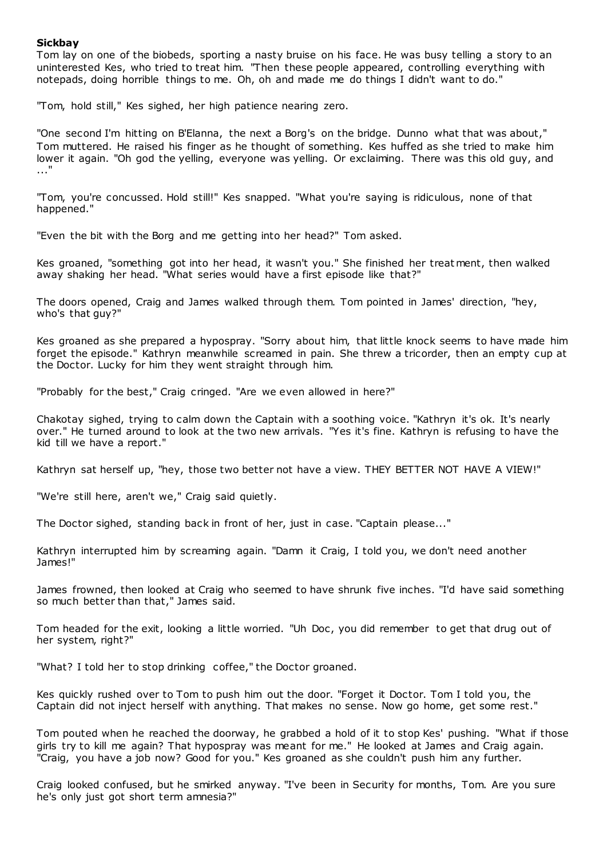# **Sickbay**

Tom lay on one of the biobeds, sporting a nasty bruise on his face. He was busy telling a story to an uninterested Kes, who tried to treat him. "Then these people appeared, controlling everything with notepads, doing horrible things to me. Oh, oh and made me do things I didn't want to do."

"Tom, hold still," Kes sighed, her high patience nearing zero.

"One second I'm hitting on B'Elanna, the next a Borg's on the bridge. Dunno what that was about," Tom muttered. He raised his finger as he thought of something. Kes huffed as she tried to make him lower it again. "Oh god the yelling, everyone was yelling. Or exclaiming. There was this old guy, and ..."

"Tom, you're concussed. Hold still!" Kes snapped. "What you're saying is ridiculous, none of that happened."

"Even the bit with the Borg and me getting into her head?" Tom asked.

Kes groaned, "something got into her head, it wasn't you." She finished her treat ment, then walked away shaking her head. "What series would have a first episode like that?"

The doors opened, Craig and James walked through them. Tom pointed in James' direction, "hey, who's that guy?"

Kes groaned as she prepared a hypospray. "Sorry about him, that little knock seems to have made him forget the episode." Kathryn meanwhile screamed in pain. She threw a tricorder, then an empty cup at the Doctor. Lucky for him they went straight through him.

"Probably for the best," Craig cringed. "Are we even allowed in here?"

Chakotay sighed, trying to calm down the Captain with a soothing voice. "Kathryn it's ok. It's nearly over." He turned around to look at the two new arrivals. "Yes it's fine. Kathryn is refusing to have the kid till we have a report."

Kathryn sat herself up, "hey, those two better not have a view. THEY BETTER NOT HAVE A VIEW!"

"We're still here, aren't we," Craig said quietly.

The Doctor sighed, standing back in front of her, just in case. "Captain please..."

Kathryn interrupted him by screaming again. "Damn it Craig, I told you, we don't need another James!"

James frowned, then looked at Craig who seemed to have shrunk five inches. "I'd have said something so much better than that," James said.

Tom headed for the exit, looking a little worried. "Uh Doc, you did remember to get that drug out of her system, right?"

"What? I told her to stop drinking coffee," the Doctor groaned.

Kes quickly rushed over to Tom to push him out the door. "Forget it Doctor. Tom I told you, the Captain did not inject herself with anything. That makes no sense. Now go home, get some rest."

Tom pouted when he reached the doorway, he grabbed a hold of it to stop Kes' pushing. "What if those girls try to kill me again? That hypospray was meant for me." He looked at James and Craig again. "Craig, you have a job now? Good for you." Kes groaned as she couldn't push him any further.

Craig looked confused, but he smirked anyway. "I've been in Security for months, Tom. Are you sure he's only just got short term amnesia?"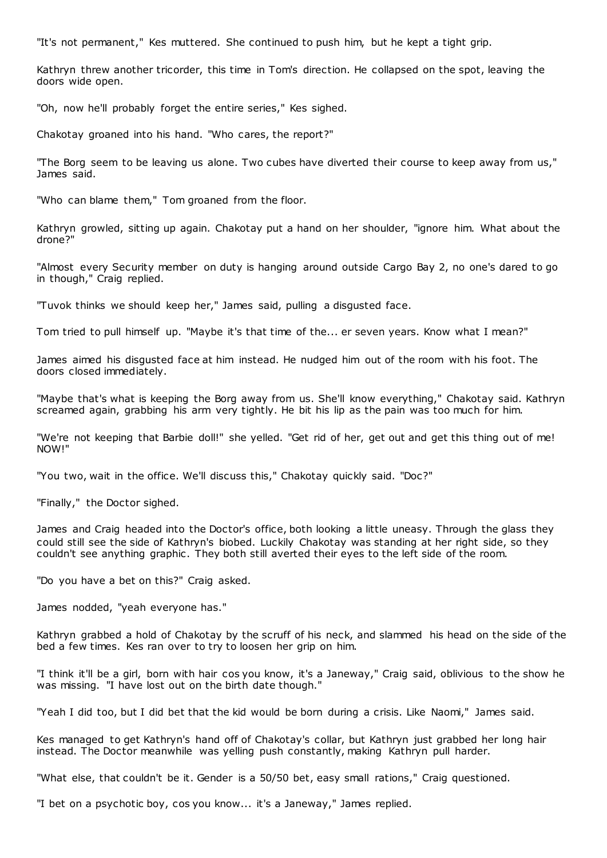"It's not permanent," Kes muttered. She continued to push him, but he kept a tight grip.

Kathryn threw another tricorder, this time in Tom's direction. He collapsed on the spot, leaving the doors wide open.

"Oh, now he'll probably forget the entire series," Kes sighed.

Chakotay groaned into his hand. "Who cares, the report?"

"The Borg seem to be leaving us alone. Two cubes have diverted their course to keep away from us," James said.

"Who can blame them," Tom groaned from the floor.

Kathryn growled, sitting up again. Chakotay put a hand on her shoulder, "ignore him. What about the drone?"

"Almost every Security member on duty is hanging around outside Cargo Bay 2, no one's dared to go in though," Craig replied.

"Tuvok thinks we should keep her," James said, pulling a disgusted face.

Tom tried to pull himself up. "Maybe it's that time of the... er seven years. Know what I mean?"

James aimed his disgusted face at him instead. He nudged him out of the room with his foot. The doors closed immediately.

"Maybe that's what is keeping the Borg away from us. She'll know everything," Chakotay said. Kathryn screamed again, grabbing his arm very tightly. He bit his lip as the pain was too much for him.

"We're not keeping that Barbie doll!" she yelled. "Get rid of her, get out and get this thing out of me! NOW!"

"You two, wait in the office. We'll discuss this," Chakotay quickly said. "Doc?"

"Finally," the Doctor sighed.

James and Craig headed into the Doctor's office, both looking a little uneasy. Through the glass they could still see the side of Kathryn's biobed. Luckily Chakotay was standing at her right side, so they couldn't see anything graphic. They both still averted their eyes to the left side of the room.

"Do you have a bet on this?" Craig asked.

James nodded, "yeah everyone has."

Kathryn grabbed a hold of Chakotay by the scruff of his neck, and slammed his head on the side of the bed a few times. Kes ran over to try to loosen her grip on him.

"I think it'll be a girl, born with hair cos you know, it's a Janeway," Craig said, oblivious to the show he was missing. "I have lost out on the birth date though."

"Yeah I did too, but I did bet that the kid would be born during a crisis. Like Naomi," James said.

Kes managed to get Kathryn's hand off of Chakotay's collar, but Kathryn just grabbed her long hair instead. The Doctor meanwhile was yelling push constantly, making Kathryn pull harder.

"What else, that couldn't be it. Gender is a 50/50 bet, easy small rations," Craig questioned.

"I bet on a psychotic boy, cos you know... it's a Janeway," James replied.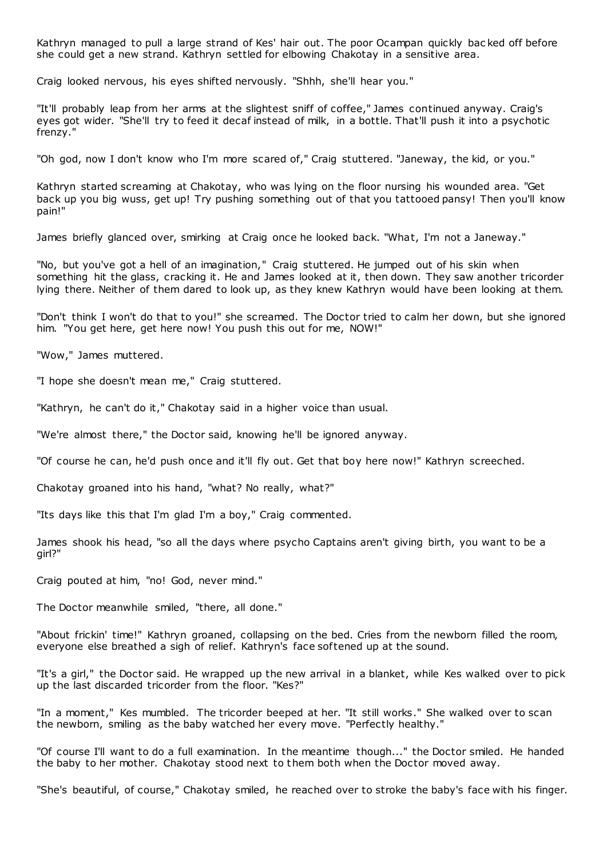Kathryn managed to pull a large strand of Kes' hair out. The poor Ocampan quickly bac ked off before she could get a new strand. Kathryn settled for elbowing Chakotay in a sensitive area.

Craig looked nervous, his eyes shifted nervously. "Shhh, she'll hear you."

"It'll probably leap from her arms at the slightest sniff of coffee," James continued anyway. Craig's eyes got wider. "She'll try to feed it decaf instead of milk, in a bottle. That'll push it into a psychotic frenzy."

"Oh god, now I don't know who I'm more scared of," Craig stuttered. "Janeway, the kid, or you."

Kathryn started screaming at Chakotay, who was lying on the floor nursing his wounded area. "Get back up you big wuss, get up! Try pushing something out of that you tattooed pansy! Then you'll know pain!"

James briefly glanced over, smirking at Craig once he looked back. "What, I'm not a Janeway."

"No, but you've got a hell of an imagination," Craig stuttered. He jumped out of his skin when something hit the glass, cracking it. He and James looked at it, then down. They saw another tricorder lying there. Neither of them dared to look up, as they knew Kathryn would have been looking at them.

"Don't think I won't do that to you!" she screamed. The Doctor tried to calm her down, but she ignored him. "You get here, get here now! You push this out for me, NOW!"

"Wow," James muttered.

"I hope she doesn't mean me," Craig stuttered.

"Kathryn, he can't do it," Chakotay said in a higher voice than usual.

"We're almost there," the Doctor said, knowing he'll be ignored anyway.

"Of course he can, he'd push once and it'll fly out. Get that boy here now!" Kathryn screeched.

Chakotay groaned into his hand, "what? No really, what?"

"Its days like this that I'm glad I'm a boy," Craig commented.

James shook his head, "so all the days where psycho Captains aren't giving birth, you want to be a girl?"

Craig pouted at him, "no! God, never mind."

The Doctor meanwhile smiled, "there, all done."

"About frickin' time!" Kathryn groaned, collapsing on the bed. Cries from the newborn filled the room, everyone else breathed a sigh of relief. Kathryn's face softened up at the sound.

"It's a girl," the Doctor said. He wrapped up the new arrival in a blanket, while Kes walked over to pick up the last discarded tricorder from the floor. "Kes?"

"In a moment," Kes mumbled. The tricorder beeped at her. "It still works." She walked over to scan the newborn, smiling as the baby watched her every move. "Perfectly healthy."

"Of course I'll want to do a full examination. In the meantime though..." the Doctor smiled. He handed the baby to her mother. Chakotay stood next to them both when the Doctor moved away.

"She's beautiful, of course," Chakotay smiled, he reached over to stroke the baby's face with his finger.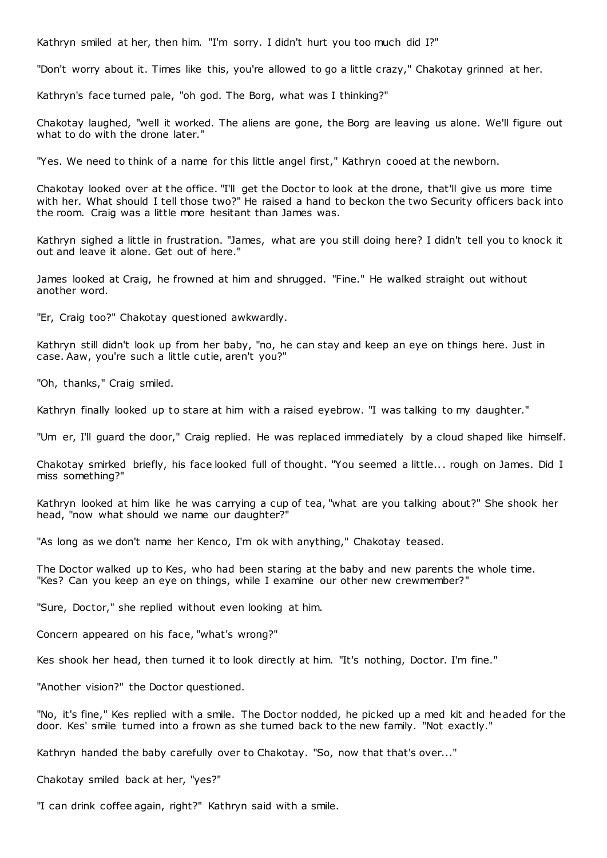Kathryn smiled at her, then him. "I'm sorry. I didn't hurt you too much did I?"

"Don't worry about it. Times like this, you're allowed to go a little crazy," Chakotay grinned at her.

Kathryn's face turned pale, "oh god. The Borg, what was I thinking?"

Chakotay laughed, "well it worked. The aliens are gone, the Borg are leaving us alone. We'll figure out what to do with the drone later."

"Yes. We need to think of a name for this little angel first," Kathryn cooed at the newborn.

Chakotay looked over at the office. "I'll get the Doctor to look at the drone, that'll give us more time with her. What should I tell those two?" He raised a hand to beckon the two Security officers back into the room. Craig was a little more hesitant than James was.

Kathryn sighed a little in frustration. "James, what are you still doing here? I didn't tell you to knock it out and leave it alone. Get out of here."

James looked at Craig, he frowned at him and shrugged. "Fine." He walked straight out without another word.

"Er, Craig too?" Chakotay questioned awkwardly.

Kathryn still didn't look up from her baby, "no, he can stay and keep an eye on things here. Just in case. Aaw, you're such a little cutie, aren't you?"

"Oh, thanks," Craig smiled.

Kathryn finally looked up to stare at him with a raised eyebrow. "I was talking to my daughter."

"Um er, I'll guard the door," Craig replied. He was replaced immediately by a cloud shaped like himself.

Chakotay smirked briefly, his face looked full of thought. "You seemed a little... rough on James. Did I miss something?"

Kathryn looked at him like he was carrying a cup of tea, "what are you talking about?" She shook her head, "now what should we name our daughter?"

"As long as we don't name her Kenco, I'm ok with anything," Chakotay teased.

The Doctor walked up to Kes, who had been staring at the baby and new parents the whole time. "Kes? Can you keep an eye on things, while I examine our other new crewmember?"

"Sure, Doctor," she replied without even looking at him.

Concern appeared on his face, "what's wrong?"

Kes shook her head, then turned it to look directly at him. "It's nothing, Doctor. I'm fine."

"Another vision?" the Doctor questioned.

"No, it's fine," Kes replied with a smile. The Doctor nodded, he picked up a med kit and headed for the door. Kes' smile turned into a frown as she turned back to the new family. "Not exactly."

Kathryn handed the baby carefully over to Chakotay. "So, now that that's over..."

Chakotay smiled back at her, "yes?"

"I can drink coffee again, right?" Kathryn said with a smile.